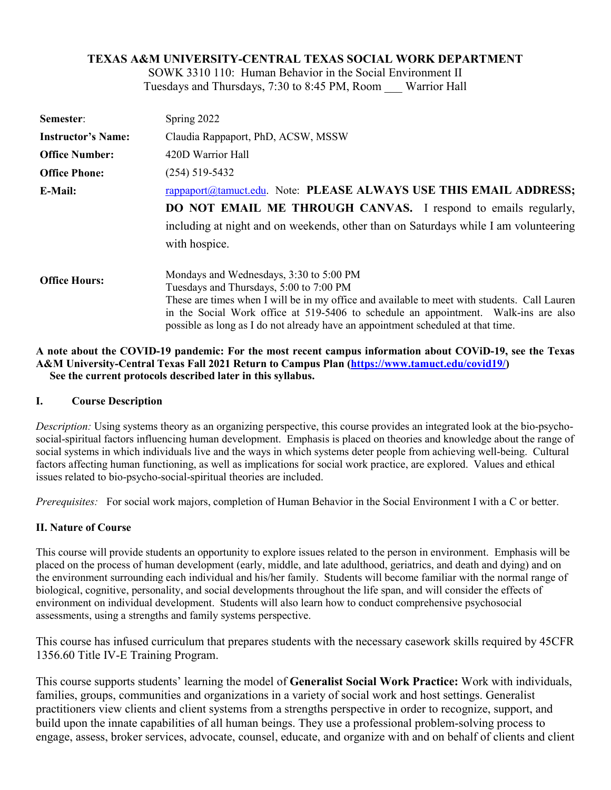## **TEXAS A&M UNIVERSITY-CENTRAL TEXAS SOCIAL WORK DEPARTMENT**

SOWK 3310 110: Human Behavior in the Social Environment II Tuesdays and Thursdays, 7:30 to 8:45 PM, Room \_\_\_ Warrior Hall

| Semester:                 | Spring 2022                                                                                                                                                                                                                                                                                                                                                   |  |
|---------------------------|---------------------------------------------------------------------------------------------------------------------------------------------------------------------------------------------------------------------------------------------------------------------------------------------------------------------------------------------------------------|--|
| <b>Instructor's Name:</b> | Claudia Rappaport, PhD, ACSW, MSSW                                                                                                                                                                                                                                                                                                                            |  |
| <b>Office Number:</b>     | 420D Warrior Hall                                                                                                                                                                                                                                                                                                                                             |  |
| <b>Office Phone:</b>      | $(254)$ 519-5432                                                                                                                                                                                                                                                                                                                                              |  |
| E-Mail:                   | rappaport@tamuct.edu. Note: PLEASE ALWAYS USE THIS EMAIL ADDRESS;                                                                                                                                                                                                                                                                                             |  |
|                           | DO NOT EMAIL ME THROUGH CANVAS. I respond to emails regularly,                                                                                                                                                                                                                                                                                                |  |
|                           | including at night and on weekends, other than on Saturdays while I am volunteering                                                                                                                                                                                                                                                                           |  |
|                           | with hospice.                                                                                                                                                                                                                                                                                                                                                 |  |
| <b>Office Hours:</b>      | Mondays and Wednesdays, 3:30 to 5:00 PM<br>Tuesdays and Thursdays, 5:00 to 7:00 PM<br>These are times when I will be in my office and available to meet with students. Call Lauren<br>in the Social Work office at 519-5406 to schedule an appointment. Walk-ins are also<br>possible as long as I do not already have an appointment scheduled at that time. |  |

#### **A note about the COVID-19 pandemic: For the most recent campus information about COViD-19, see the Texas A&M University-Central Texas Fall 2021 Return to Campus Plan [\(https://www.tamuct.edu/covid19/\)](https://www.tamuct.edu/covid19/) See the current protocols described later in this syllabus.**

### **I. Course Description**

*Description:* Using systems theory as an organizing perspective, this course provides an integrated look at the bio-psychosocial-spiritual factors influencing human development. Emphasis is placed on theories and knowledge about the range of social systems in which individuals live and the ways in which systems deter people from achieving well-being. Cultural factors affecting human functioning, as well as implications for social work practice, are explored. Values and ethical issues related to bio-psycho-social-spiritual theories are included.

*Prerequisites:* For social work majors, completion of Human Behavior in the Social Environment I with a C or better.

### **II. Nature of Course**

This course will provide students an opportunity to explore issues related to the person in environment. Emphasis will be placed on the process of human development (early, middle, and late adulthood, geriatrics, and death and dying) and on the environment surrounding each individual and his/her family. Students will become familiar with the normal range of biological, cognitive, personality, and social developments throughout the life span, and will consider the effects of environment on individual development. Students will also learn how to conduct comprehensive psychosocial assessments, using a strengths and family systems perspective.

This course has infused curriculum that prepares students with the necessary casework skills required by 45CFR 1356.60 Title IV-E Training Program.

This course supports students' learning the model of **Generalist Social Work Practice:** Work with individuals, families, groups, communities and organizations in a variety of social work and host settings. Generalist practitioners view clients and client systems from a strengths perspective in order to recognize, support, and build upon the innate capabilities of all human beings. They use a professional problem-solving process to engage, assess, broker services, advocate, counsel, educate, and organize with and on behalf of clients and client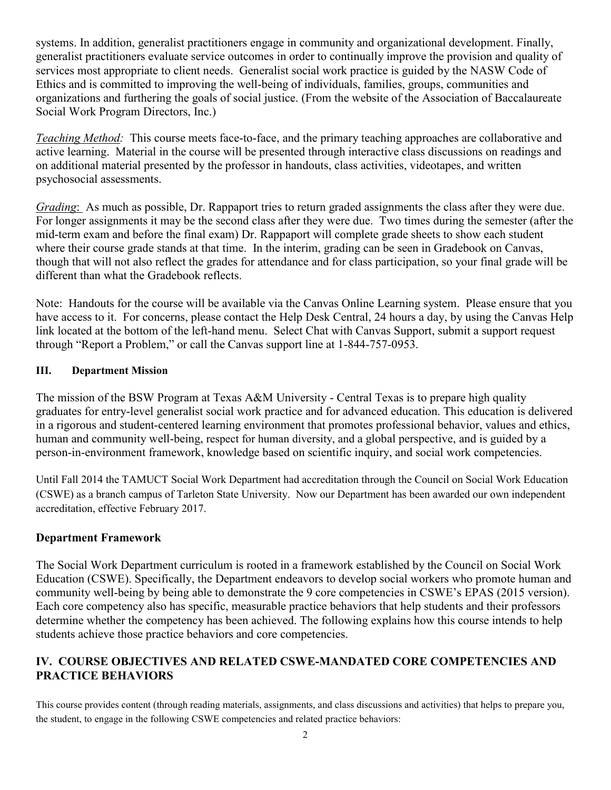systems. In addition, generalist practitioners engage in community and organizational development. Finally, generalist practitioners evaluate service outcomes in order to continually improve the provision and quality of services most appropriate to client needs. Generalist social work practice is guided by the NASW Code of Ethics and is committed to improving the well-being of individuals, families, groups, communities and organizations and furthering the goals of social justice. (From the website of the Association of Baccalaureate Social Work Program Directors, Inc.)

*Teaching Method:* This course meets face-to-face, and the primary teaching approaches are collaborative and active learning. Material in the course will be presented through interactive class discussions on readings and on additional material presented by the professor in handouts, class activities, videotapes, and written psychosocial assessments.

*Grading*: As much as possible, Dr. Rappaport tries to return graded assignments the class after they were due. For longer assignments it may be the second class after they were due. Two times during the semester (after the mid-term exam and before the final exam) Dr. Rappaport will complete grade sheets to show each student where their course grade stands at that time. In the interim, grading can be seen in Gradebook on Canvas, though that will not also reflect the grades for attendance and for class participation, so your final grade will be different than what the Gradebook reflects.

Note: Handouts for the course will be available via the Canvas Online Learning system. Please ensure that you have access to it. For concerns, please contact the Help Desk Central, 24 hours a day, by using the Canvas Help link located at the bottom of the left-hand menu. Select Chat with Canvas Support, submit a support request through "Report a Problem," or call the Canvas support line at 1-844-757-0953.

## **III. Department Mission**

The mission of the BSW Program at Texas A&M University - Central Texas is to prepare high quality graduates for entry-level generalist social work practice and for advanced education. This education is delivered in a rigorous and student-centered learning environment that promotes professional behavior, values and ethics, human and community well-being, respect for human diversity, and a global perspective, and is guided by a person-in-environment framework, knowledge based on scientific inquiry, and social work competencies.

Until Fall 2014 the TAMUCT Social Work Department had accreditation through the Council on Social Work Education (CSWE) as a branch campus of Tarleton State University. Now our Department has been awarded our own independent accreditation, effective February 2017.

## **Department Framework**

The Social Work Department curriculum is rooted in a framework established by the Council on Social Work Education (CSWE). Specifically, the Department endeavors to develop social workers who promote human and community well-being by being able to demonstrate the 9 core competencies in CSWE's EPAS (2015 version). Each core competency also has specific, measurable practice behaviors that help students and their professors determine whether the competency has been achieved. The following explains how this course intends to help students achieve those practice behaviors and core competencies.

## **IV. COURSE OBJECTIVES AND RELATED CSWE-MANDATED CORE COMPETENCIES AND PRACTICE BEHAVIORS**

This course provides content (through reading materials, assignments, and class discussions and activities) that helps to prepare you, the student, to engage in the following CSWE competencies and related practice behaviors: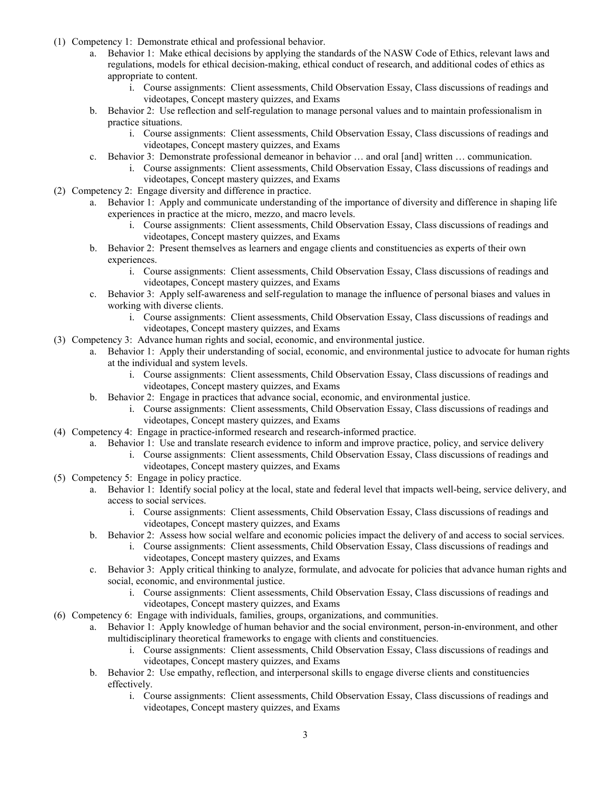- (1) Competency 1: Demonstrate ethical and professional behavior.
	- a. Behavior 1: Make ethical decisions by applying the standards of the NASW Code of Ethics, relevant laws and regulations, models for ethical decision-making, ethical conduct of research, and additional codes of ethics as appropriate to content.
		- i. Course assignments: Client assessments, Child Observation Essay, Class discussions of readings and videotapes, Concept mastery quizzes, and Exams
	- b. Behavior 2: Use reflection and self-regulation to manage personal values and to maintain professionalism in practice situations.
		- i. Course assignments: Client assessments, Child Observation Essay, Class discussions of readings and videotapes, Concept mastery quizzes, and Exams
	- c. Behavior 3: Demonstrate professional demeanor in behavior … and oral [and] written … communication.
		- i. Course assignments: Client assessments, Child Observation Essay, Class discussions of readings and videotapes, Concept mastery quizzes, and Exams
- (2) Competency 2: Engage diversity and difference in practice.
	- a. Behavior 1: Apply and communicate understanding of the importance of diversity and difference in shaping life experiences in practice at the micro, mezzo, and macro levels.
		- i. Course assignments: Client assessments, Child Observation Essay, Class discussions of readings and videotapes, Concept mastery quizzes, and Exams
	- b. Behavior 2: Present themselves as learners and engage clients and constituencies as experts of their own experiences.
		- i. Course assignments: Client assessments, Child Observation Essay, Class discussions of readings and videotapes, Concept mastery quizzes, and Exams
	- c. Behavior 3: Apply self-awareness and self-regulation to manage the influence of personal biases and values in working with diverse clients.
		- i. Course assignments: Client assessments, Child Observation Essay, Class discussions of readings and videotapes, Concept mastery quizzes, and Exams
- (3) Competency 3: Advance human rights and social, economic, and environmental justice.
	- a. Behavior 1: Apply their understanding of social, economic, and environmental justice to advocate for human rights at the individual and system levels.
		- i. Course assignments: Client assessments, Child Observation Essay, Class discussions of readings and videotapes, Concept mastery quizzes, and Exams
		- b. Behavior 2: Engage in practices that advance social, economic, and environmental justice.
			- i. Course assignments: Client assessments, Child Observation Essay, Class discussions of readings and videotapes, Concept mastery quizzes, and Exams
- (4) Competency 4: Engage in practice-informed research and research-informed practice.
	- a. Behavior 1: Use and translate research evidence to inform and improve practice, policy, and service delivery
		- i. Course assignments: Client assessments, Child Observation Essay, Class discussions of readings and videotapes, Concept mastery quizzes, and Exams
- (5) Competency 5: Engage in policy practice.
	- a. Behavior 1: Identify social policy at the local, state and federal level that impacts well-being, service delivery, and access to social services.
		- i. Course assignments: Client assessments, Child Observation Essay, Class discussions of readings and videotapes, Concept mastery quizzes, and Exams
	- b. Behavior 2: Assess how social welfare and economic policies impact the delivery of and access to social services.
		- i. Course assignments: Client assessments, Child Observation Essay, Class discussions of readings and videotapes, Concept mastery quizzes, and Exams
	- c. Behavior 3: Apply critical thinking to analyze, formulate, and advocate for policies that advance human rights and social, economic, and environmental justice.
		- i. Course assignments: Client assessments, Child Observation Essay, Class discussions of readings and videotapes, Concept mastery quizzes, and Exams
- (6) Competency 6: Engage with individuals, families, groups, organizations, and communities.
	- a. Behavior 1: Apply knowledge of human behavior and the social environment, person-in-environment, and other multidisciplinary theoretical frameworks to engage with clients and constituencies.
		- i. Course assignments: Client assessments, Child Observation Essay, Class discussions of readings and videotapes, Concept mastery quizzes, and Exams
	- b. Behavior 2: Use empathy, reflection, and interpersonal skills to engage diverse clients and constituencies effectively.
		- i. Course assignments: Client assessments, Child Observation Essay, Class discussions of readings and videotapes, Concept mastery quizzes, and Exams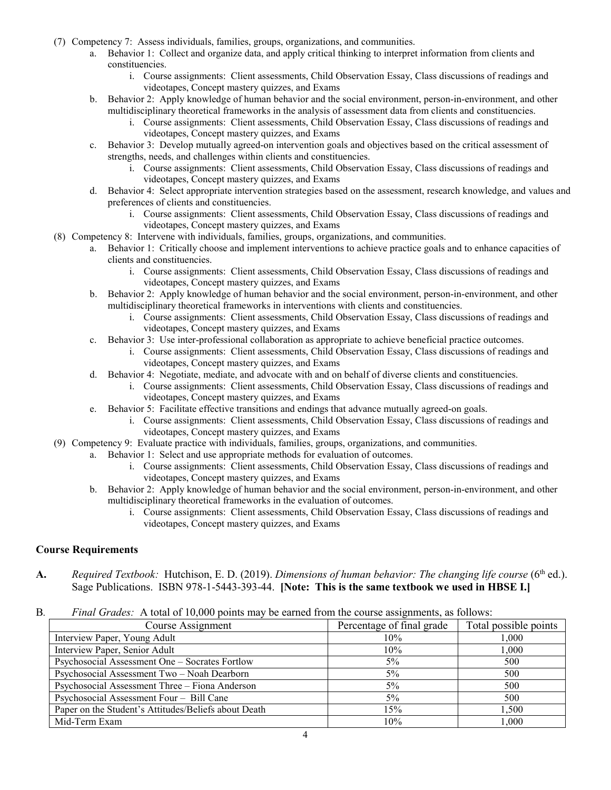- (7) Competency 7: Assess individuals, families, groups, organizations, and communities.
	- a. Behavior 1: Collect and organize data, and apply critical thinking to interpret information from clients and constituencies.
		- i. Course assignments: Client assessments, Child Observation Essay, Class discussions of readings and videotapes, Concept mastery quizzes, and Exams
	- b. Behavior 2: Apply knowledge of human behavior and the social environment, person-in-environment, and other multidisciplinary theoretical frameworks in the analysis of assessment data from clients and constituencies.
		- i. Course assignments: Client assessments, Child Observation Essay, Class discussions of readings and videotapes, Concept mastery quizzes, and Exams
	- c. Behavior 3: Develop mutually agreed-on intervention goals and objectives based on the critical assessment of strengths, needs, and challenges within clients and constituencies.
		- i. Course assignments: Client assessments, Child Observation Essay, Class discussions of readings and videotapes, Concept mastery quizzes, and Exams
	- d. Behavior 4: Select appropriate intervention strategies based on the assessment, research knowledge, and values and preferences of clients and constituencies.
		- i. Course assignments: Client assessments, Child Observation Essay, Class discussions of readings and videotapes, Concept mastery quizzes, and Exams
- (8) Competency 8: Intervene with individuals, families, groups, organizations, and communities.
	- a. Behavior 1: Critically choose and implement interventions to achieve practice goals and to enhance capacities of clients and constituencies.
		- i. Course assignments: Client assessments, Child Observation Essay, Class discussions of readings and videotapes, Concept mastery quizzes, and Exams
	- b. Behavior 2: Apply knowledge of human behavior and the social environment, person-in-environment, and other multidisciplinary theoretical frameworks in interventions with clients and constituencies.
		- i. Course assignments: Client assessments, Child Observation Essay, Class discussions of readings and videotapes, Concept mastery quizzes, and Exams
	- c. Behavior 3: Use inter-professional collaboration as appropriate to achieve beneficial practice outcomes.
		- i. Course assignments: Client assessments, Child Observation Essay, Class discussions of readings and videotapes, Concept mastery quizzes, and Exams
	- d. Behavior 4: Negotiate, mediate, and advocate with and on behalf of diverse clients and constituencies.
		- i. Course assignments: Client assessments, Child Observation Essay, Class discussions of readings and videotapes, Concept mastery quizzes, and Exams
	- e. Behavior 5: Facilitate effective transitions and endings that advance mutually agreed-on goals.
		- i. Course assignments: Client assessments, Child Observation Essay, Class discussions of readings and videotapes, Concept mastery quizzes, and Exams
- (9) Competency 9: Evaluate practice with individuals, families, groups, organizations, and communities.
	- a. Behavior 1: Select and use appropriate methods for evaluation of outcomes.
		- i. Course assignments: Client assessments, Child Observation Essay, Class discussions of readings and videotapes, Concept mastery quizzes, and Exams
		- b. Behavior 2: Apply knowledge of human behavior and the social environment, person-in-environment, and other multidisciplinary theoretical frameworks in the evaluation of outcomes.
			- i. Course assignments: Client assessments, Child Observation Essay, Class discussions of readings and videotapes, Concept mastery quizzes, and Exams

#### **Course Requirements**

- A. Required Textbook: Hutchison, E. D. (2019). *Dimensions of human behavior: The changing life course* (6<sup>th</sup> ed.). Sage Publications. ISBN 978-1-5443-393-44. **[Note: This is the same textbook we used in HBSE I.]**
- B*. Final Grades:* A total of 10,000 points may be earned from the course assignments, as follows:

| Course Assignment                                    | Percentage of final grade | Total possible points |
|------------------------------------------------------|---------------------------|-----------------------|
| Interview Paper, Young Adult                         | 10%                       | 1.000                 |
| Interview Paper, Senior Adult                        | 10%                       | 1.000                 |
| Psychosocial Assessment One - Socrates Fortlow       | $5\%$                     | 500                   |
| Psychosocial Assessment Two - Noah Dearborn          | $5\%$                     | 500                   |
| Psychosocial Assessment Three - Fiona Anderson       | $5\%$                     | 500                   |
| Psychosocial Assessment Four - Bill Cane             | 5%                        | 500                   |
| Paper on the Student's Attitudes/Beliefs about Death | 15%                       | 1.500                 |
| Mid-Term Exam                                        | 10%                       | 1.000                 |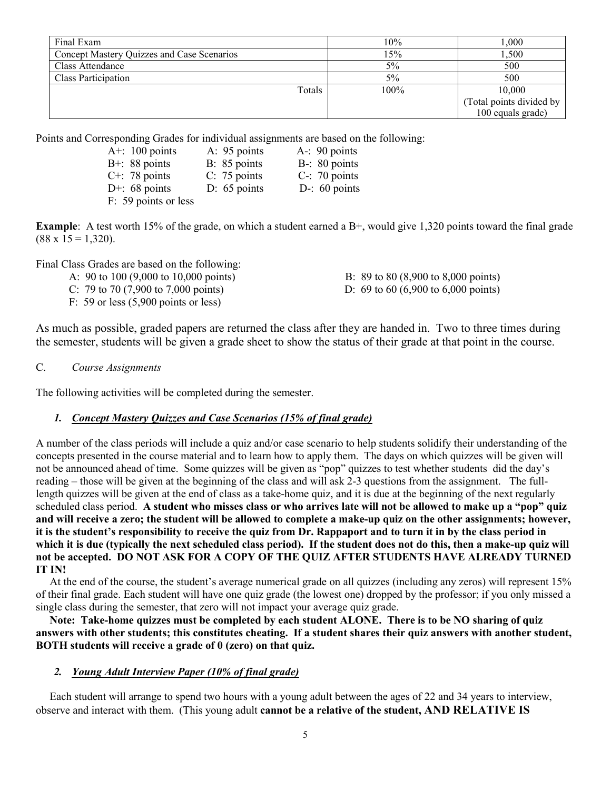| Final Exam                                 | 10%   | 1.000                    |
|--------------------------------------------|-------|--------------------------|
| Concept Mastery Quizzes and Case Scenarios | $5\%$ | 1,500                    |
| Class Attendance                           | $5\%$ | 500                      |
| Class Participation                        | 5%    | 500                      |
| Totals                                     | 100%  | 10,000                   |
|                                            |       | (Total points divided by |
|                                            |       | 100 equals grade)        |

Points and Corresponding Grades for individual assignments are based on the following:

| A+: $100$ points     | A: 95 points   | $A - 90$ points  |
|----------------------|----------------|------------------|
| $B+$ : 88 points     | B: 85 points   | $B-$ : 80 points |
| $C^+$ : 78 points    | C: 75 points   | $C-$ : 70 points |
| D+: $68$ points      | $D: 65$ points | D-: $60$ points  |
| F: 59 points or less |                |                  |

**Example**: A test worth 15% of the grade, on which a student earned a B+, would give 1,320 points toward the final grade  $(88 \times 15 = 1,320)$ .

Final Class Grades are based on the following:

- A: 90 to 100 (9,000 to 10,000 points) B: 89 to 80 (8,900 to 8,000 points)
- C: 79 to 70 (7,900 to 7,000 points) D: 69 to 60 (6,900 to 6,000 points)
- F: 59 or less (5,900 points or less)

As much as possible, graded papers are returned the class after they are handed in. Two to three times during the semester, students will be given a grade sheet to show the status of their grade at that point in the course.

#### C. *Course Assignments*

The following activities will be completed during the semester.

#### *1. Concept Mastery Quizzes and Case Scenarios (15% of final grade)*

A number of the class periods will include a quiz and/or case scenario to help students solidify their understanding of the concepts presented in the course material and to learn how to apply them. The days on which quizzes will be given will not be announced ahead of time. Some quizzes will be given as "pop" quizzes to test whether students did the day's reading – those will be given at the beginning of the class and will ask 2-3 questions from the assignment. The fulllength quizzes will be given at the end of class as a take-home quiz, and it is due at the beginning of the next regularly scheduled class period. **A student who misses class or who arrives late will not be allowed to make up a "pop" quiz and will receive a zero; the student will be allowed to complete a make-up quiz on the other assignments; however, it is the student's responsibility to receive the quiz from Dr. Rappaport and to turn it in by the class period in which it is due (typically the next scheduled class period). If the student does not do this, then a make-up quiz will not be accepted. DO NOT ASK FOR A COPY OF THE QUIZ AFTER STUDENTS HAVE ALREADY TURNED IT IN!**

 At the end of the course, the student's average numerical grade on all quizzes (including any zeros) will represent 15% of their final grade. Each student will have one quiz grade (the lowest one) dropped by the professor; if you only missed a single class during the semester, that zero will not impact your average quiz grade.

 **Note: Take-home quizzes must be completed by each student ALONE. There is to be NO sharing of quiz answers with other students; this constitutes cheating. If a student shares their quiz answers with another student, BOTH students will receive a grade of 0 (zero) on that quiz.**

#### *2. Young Adult Interview Paper (10% of final grade)*

 Each student will arrange to spend two hours with a young adult between the ages of 22 and 34 years to interview, observe and interact with them. (This young adult **cannot be a relative of the student, AND RELATIVE IS**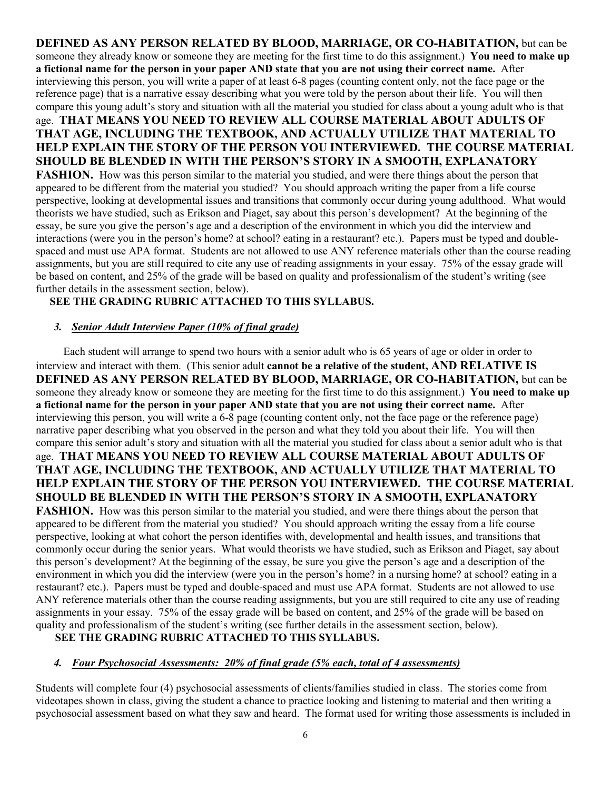**DEFINED AS ANY PERSON RELATED BY BLOOD, MARRIAGE, OR CO-HABITATION,** but can be someone they already know or someone they are meeting for the first time to do this assignment.) **You need to make up a fictional name for the person in your paper AND state that you are not using their correct name.** After interviewing this person, you will write a paper of at least 6-8 pages (counting content only, not the face page or the reference page) that is a narrative essay describing what you were told by the person about their life. You will then compare this young adult's story and situation with all the material you studied for class about a young adult who is that age. **THAT MEANS YOU NEED TO REVIEW ALL COURSE MATERIAL ABOUT ADULTS OF THAT AGE, INCLUDING THE TEXTBOOK, AND ACTUALLY UTILIZE THAT MATERIAL TO HELP EXPLAIN THE STORY OF THE PERSON YOU INTERVIEWED. THE COURSE MATERIAL SHOULD BE BLENDED IN WITH THE PERSON'S STORY IN A SMOOTH, EXPLANATORY FASHION.** How was this person similar to the material you studied, and were there things about the person that appeared to be different from the material you studied? You should approach writing the paper from a life course perspective, looking at developmental issues and transitions that commonly occur during young adulthood. What would theorists we have studied, such as Erikson and Piaget, say about this person's development? At the beginning of the essay, be sure you give the person's age and a description of the environment in which you did the interview and interactions (were you in the person's home? at school? eating in a restaurant? etc.). Papers must be typed and doublespaced and must use APA format. Students are not allowed to use ANY reference materials other than the course reading assignments, but you are still required to cite any use of reading assignments in your essay. 75% of the essay grade will be based on content, and 25% of the grade will be based on quality and professionalism of the student's writing (see further details in the assessment section, below).

### **SEE THE GRADING RUBRIC ATTACHED TO THIS SYLLABUS.**

### *3. Senior Adult Interview Paper (10% of final grade)*

 Each student will arrange to spend two hours with a senior adult who is 65 years of age or older in order to interview and interact with them. (This senior adult **cannot be a relative of the student, AND RELATIVE IS DEFINED AS ANY PERSON RELATED BY BLOOD, MARRIAGE, OR CO-HABITATION,** but can be someone they already know or someone they are meeting for the first time to do this assignment.) **You need to make up a fictional name for the person in your paper AND state that you are not using their correct name.** After interviewing this person, you will write a 6-8 page (counting content only, not the face page or the reference page) narrative paper describing what you observed in the person and what they told you about their life. You will then compare this senior adult's story and situation with all the material you studied for class about a senior adult who is that age. **THAT MEANS YOU NEED TO REVIEW ALL COURSE MATERIAL ABOUT ADULTS OF THAT AGE, INCLUDING THE TEXTBOOK, AND ACTUALLY UTILIZE THAT MATERIAL TO HELP EXPLAIN THE STORY OF THE PERSON YOU INTERVIEWED. THE COURSE MATERIAL SHOULD BE BLENDED IN WITH THE PERSON'S STORY IN A SMOOTH, EXPLANATORY FASHION.** How was this person similar to the material you studied, and were there things about the person that appeared to be different from the material you studied? You should approach writing the essay from a life course perspective, looking at what cohort the person identifies with, developmental and health issues, and transitions that commonly occur during the senior years. What would theorists we have studied, such as Erikson and Piaget, say about this person's development? At the beginning of the essay, be sure you give the person's age and a description of the environment in which you did the interview (were you in the person's home? in a nursing home? at school? eating in a restaurant? etc.). Papers must be typed and double-spaced and must use APA format. Students are not allowed to use ANY reference materials other than the course reading assignments, but you are still required to cite any use of reading assignments in your essay. 75% of the essay grade will be based on content, and 25% of the grade will be based on quality and professionalism of the student's writing (see further details in the assessment section, below).

#### **SEE THE GRADING RUBRIC ATTACHED TO THIS SYLLABUS.**

#### *4. Four Psychosocial Assessments: 20% of final grade (5% each, total of 4 assessments)*

Students will complete four (4) psychosocial assessments of clients/families studied in class. The stories come from videotapes shown in class, giving the student a chance to practice looking and listening to material and then writing a psychosocial assessment based on what they saw and heard. The format used for writing those assessments is included in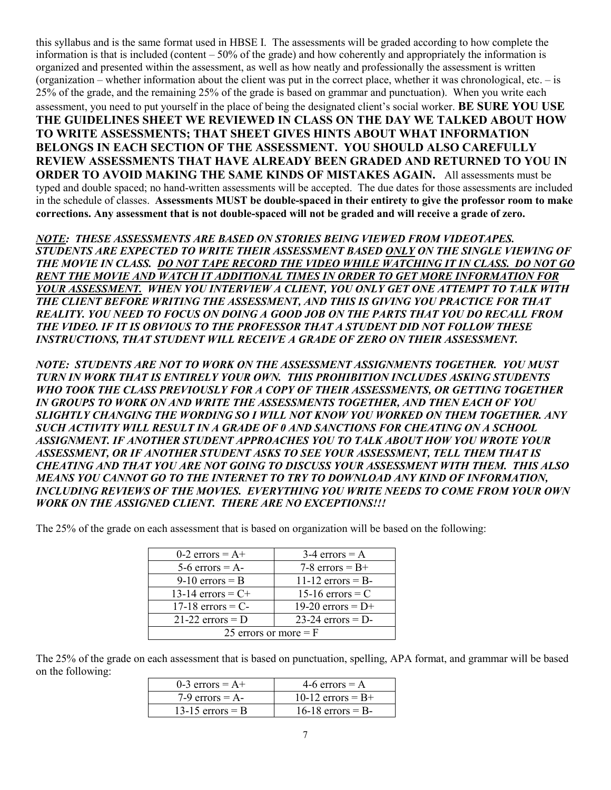this syllabus and is the same format used in HBSE I. The assessments will be graded according to how complete the information is that is included (content  $-50\%$  of the grade) and how coherently and appropriately the information is organized and presented within the assessment, as well as how neatly and professionally the assessment is written (organization – whether information about the client was put in the correct place, whether it was chronological, etc. – is 25% of the grade, and the remaining 25% of the grade is based on grammar and punctuation). When you write each assessment, you need to put yourself in the place of being the designated client's social worker. **BE SURE YOU USE THE GUIDELINES SHEET WE REVIEWED IN CLASS ON THE DAY WE TALKED ABOUT HOW TO WRITE ASSESSMENTS; THAT SHEET GIVES HINTS ABOUT WHAT INFORMATION BELONGS IN EACH SECTION OF THE ASSESSMENT. YOU SHOULD ALSO CAREFULLY REVIEW ASSESSMENTS THAT HAVE ALREADY BEEN GRADED AND RETURNED TO YOU IN ORDER TO AVOID MAKING THE SAME KINDS OF MISTAKES AGAIN.** All assessments must be typed and double spaced; no hand-written assessments will be accepted. The due dates for those assessments are included in the schedule of classes. **Assessments MUST be double-spaced in their entirety to give the professor room to make corrections. Any assessment that is not double-spaced will not be graded and will receive a grade of zero.**

*NOTE: THESE ASSESSMENTS ARE BASED ON STORIES BEING VIEWED FROM VIDEOTAPES. STUDENTS ARE EXPECTED TO WRITE THEIR ASSESSMENT BASED ONLY ON THE SINGLE VIEWING OF THE MOVIE IN CLASS. DO NOT TAPE RECORD THE VIDEO WHILE WATCHING IT IN CLASS. DO NOT GO RENT THE MOVIE AND WATCH IT ADDITIONAL TIMES IN ORDER TO GET MORE INFORMATION FOR YOUR ASSESSMENT. WHEN YOU INTERVIEW A CLIENT, YOU ONLY GET ONE ATTEMPT TO TALK WITH THE CLIENT BEFORE WRITING THE ASSESSMENT, AND THIS IS GIVING YOU PRACTICE FOR THAT REALITY. YOU NEED TO FOCUS ON DOING A GOOD JOB ON THE PARTS THAT YOU DO RECALL FROM THE VIDEO. IF IT IS OBVIOUS TO THE PROFESSOR THAT A STUDENT DID NOT FOLLOW THESE INSTRUCTIONS, THAT STUDENT WILL RECEIVE A GRADE OF ZERO ON THEIR ASSESSMENT.*

*NOTE: STUDENTS ARE NOT TO WORK ON THE ASSESSMENT ASSIGNMENTS TOGETHER. YOU MUST TURN IN WORK THAT IS ENTIRELY YOUR OWN. THIS PROHIBITION INCLUDES ASKING STUDENTS WHO TOOK THE CLASS PREVIOUSLY FOR A COPY OF THEIR ASSESSMENTS, OR GETTING TOGETHER IN GROUPS TO WORK ON AND WRITE THE ASSESSMENTS TOGETHER, AND THEN EACH OF YOU SLIGHTLY CHANGING THE WORDING SO I WILL NOT KNOW YOU WORKED ON THEM TOGETHER. ANY SUCH ACTIVITY WILL RESULT IN A GRADE OF 0 AND SANCTIONS FOR CHEATING ON A SCHOOL ASSIGNMENT. IF ANOTHER STUDENT APPROACHES YOU TO TALK ABOUT HOW YOU WROTE YOUR ASSESSMENT, OR IF ANOTHER STUDENT ASKS TO SEE YOUR ASSESSMENT, TELL THEM THAT IS CHEATING AND THAT YOU ARE NOT GOING TO DISCUSS YOUR ASSESSMENT WITH THEM. THIS ALSO MEANS YOU CANNOT GO TO THE INTERNET TO TRY TO DOWNLOAD ANY KIND OF INFORMATION, INCLUDING REVIEWS OF THE MOVIES. EVERYTHING YOU WRITE NEEDS TO COME FROM YOUR OWN WORK ON THE ASSIGNED CLIENT. THERE ARE NO EXCEPTIONS!!!*

The 25% of the grade on each assessment that is based on organization will be based on the following:

| 0-2 errors = $A+$                         | $3-4$ errors = A    |  |
|-------------------------------------------|---------------------|--|
| $5-6$ errors = A-                         | 7-8 errors = $B+$   |  |
| 9-10 errors $=$ B                         | 11-12 errors $=$ B- |  |
| 13-14 errors = $C+$                       | 15-16 errors $= C$  |  |
| $17-18$ errors = C-                       | 19-20 errors = $D+$ |  |
| 21-22 errors $= D$<br>$23-24$ errors = D- |                     |  |
| 25 errors or more $=$ F                   |                     |  |

The 25% of the grade on each assessment that is based on punctuation, spelling, APA format, and grammar will be based on the following:

| $0-3$ errors = A+  | 4-6 errors = $A$    |
|--------------------|---------------------|
| 7-9 errors $= A$ - | 10-12 errors = $B+$ |
| 13-15 errors $=$ B | $16-18$ errors = B- |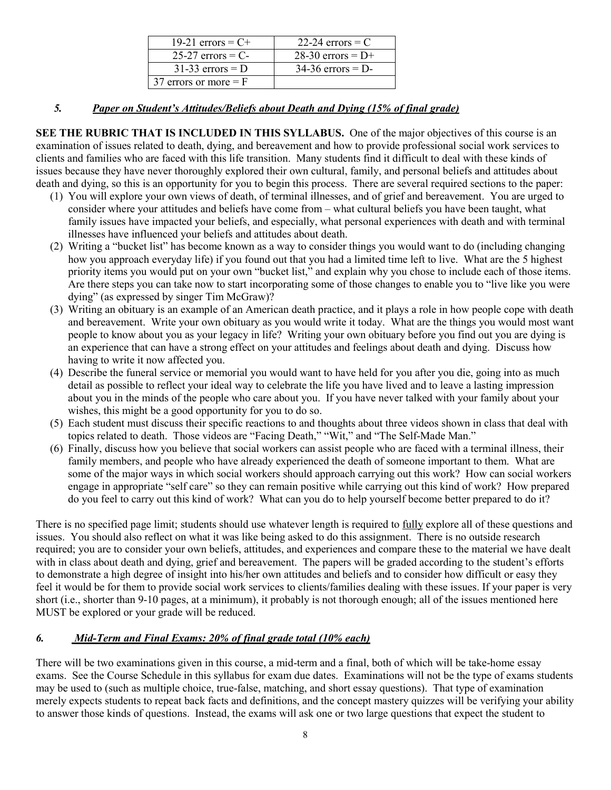| 19-21 errors = $C+$     | 22-24 errors $=$ C  |
|-------------------------|---------------------|
| $25-27$ errors = C-     | 28-30 errors = $D+$ |
| $31-33$ errors = D      | $34-36$ errors = D- |
| 37 errors or more $=$ F |                     |

### *5. Paper on Student's Attitudes/Beliefs about Death and Dying (15% of final grade)*

**SEE THE RUBRIC THAT IS INCLUDED IN THIS SYLLABUS.** One of the major objectives of this course is an examination of issues related to death, dying, and bereavement and how to provide professional social work services to clients and families who are faced with this life transition. Many students find it difficult to deal with these kinds of issues because they have never thoroughly explored their own cultural, family, and personal beliefs and attitudes about death and dying, so this is an opportunity for you to begin this process. There are several required sections to the paper:

- (1) You will explore your own views of death, of terminal illnesses, and of grief and bereavement. You are urged to consider where your attitudes and beliefs have come from – what cultural beliefs you have been taught, what family issues have impacted your beliefs, and especially, what personal experiences with death and with terminal illnesses have influenced your beliefs and attitudes about death.
- (2) Writing a "bucket list" has become known as a way to consider things you would want to do (including changing how you approach everyday life) if you found out that you had a limited time left to live. What are the 5 highest priority items you would put on your own "bucket list," and explain why you chose to include each of those items. Are there steps you can take now to start incorporating some of those changes to enable you to "live like you were dying" (as expressed by singer Tim McGraw)?
- (3) Writing an obituary is an example of an American death practice, and it plays a role in how people cope with death and bereavement. Write your own obituary as you would write it today. What are the things you would most want people to know about you as your legacy in life? Writing your own obituary before you find out you are dying is an experience that can have a strong effect on your attitudes and feelings about death and dying. Discuss how having to write it now affected you.
- (4) Describe the funeral service or memorial you would want to have held for you after you die, going into as much detail as possible to reflect your ideal way to celebrate the life you have lived and to leave a lasting impression about you in the minds of the people who care about you. If you have never talked with your family about your wishes, this might be a good opportunity for you to do so.
- (5) Each student must discuss their specific reactions to and thoughts about three videos shown in class that deal with topics related to death. Those videos are "Facing Death," "Wit," and "The Self-Made Man."
- (6) Finally, discuss how you believe that social workers can assist people who are faced with a terminal illness, their family members, and people who have already experienced the death of someone important to them. What are some of the major ways in which social workers should approach carrying out this work? How can social workers engage in appropriate "self care" so they can remain positive while carrying out this kind of work? How prepared do you feel to carry out this kind of work? What can you do to help yourself become better prepared to do it?

There is no specified page limit; students should use whatever length is required to fully explore all of these questions and issues. You should also reflect on what it was like being asked to do this assignment. There is no outside research required; you are to consider your own beliefs, attitudes, and experiences and compare these to the material we have dealt with in class about death and dying, grief and bereavement. The papers will be graded according to the student's efforts to demonstrate a high degree of insight into his/her own attitudes and beliefs and to consider how difficult or easy they feel it would be for them to provide social work services to clients/families dealing with these issues. If your paper is very short (i.e., shorter than 9-10 pages, at a minimum), it probably is not thorough enough; all of the issues mentioned here MUST be explored or your grade will be reduced.

## *6. Mid-Term and Final Exams: 20% of final grade total (10% each)*

There will be two examinations given in this course, a mid-term and a final, both of which will be take-home essay exams. See the Course Schedule in this syllabus for exam due dates. Examinations will not be the type of exams students may be used to (such as multiple choice, true-false, matching, and short essay questions). That type of examination merely expects students to repeat back facts and definitions, and the concept mastery quizzes will be verifying your ability to answer those kinds of questions. Instead, the exams will ask one or two large questions that expect the student to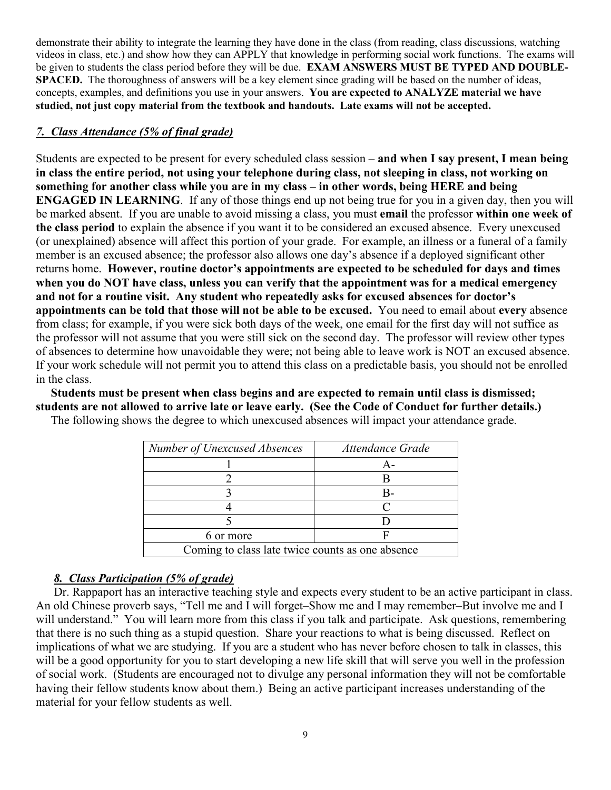demonstrate their ability to integrate the learning they have done in the class (from reading, class discussions, watching videos in class, etc.) and show how they can APPLY that knowledge in performing social work functions. The exams will be given to students the class period before they will be due. **EXAM ANSWERS MUST BE TYPED AND DOUBLE-SPACED.** The thoroughness of answers will be a key element since grading will be based on the number of ideas, concepts, examples, and definitions you use in your answers. **You are expected to ANALYZE material we have studied, not just copy material from the textbook and handouts. Late exams will not be accepted.** 

## *7. Class Attendance (5% of final grade)*

Students are expected to be present for every scheduled class session – **and when I say present, I mean being in class the entire period, not using your telephone during class, not sleeping in class, not working on something for another class while you are in my class – in other words, being HERE and being ENGAGED IN LEARNING**. If any of those things end up not being true for you in a given day, then you will be marked absent. If you are unable to avoid missing a class, you must **email** the professor **within one week of the class period** to explain the absence if you want it to be considered an excused absence. Every unexcused (or unexplained) absence will affect this portion of your grade. For example, an illness or a funeral of a family member is an excused absence; the professor also allows one day's absence if a deployed significant other returns home. **However, routine doctor's appointments are expected to be scheduled for days and times when you do NOT have class, unless you can verify that the appointment was for a medical emergency and not for a routine visit. Any student who repeatedly asks for excused absences for doctor's appointments can be told that those will not be able to be excused.** You need to email about **every** absence from class; for example, if you were sick both days of the week, one email for the first day will not suffice as the professor will not assume that you were still sick on the second day. The professor will review other types of absences to determine how unavoidable they were; not being able to leave work is NOT an excused absence. If your work schedule will not permit you to attend this class on a predictable basis, you should not be enrolled in the class.

 **Students must be present when class begins and are expected to remain until class is dismissed; students are not allowed to arrive late or leave early. (See the Code of Conduct for further details.)** 

| Number of Unexcused Absences                     | Attendance Grade |  |
|--------------------------------------------------|------------------|--|
|                                                  | д.               |  |
|                                                  |                  |  |
|                                                  | B-               |  |
|                                                  |                  |  |
|                                                  |                  |  |
| 6 or more                                        |                  |  |
| Coming to class late twice counts as one absence |                  |  |

The following shows the degree to which unexcused absences will impact your attendance grade.

## *8. Class Participation (5% of grade)*

Dr. Rappaport has an interactive teaching style and expects every student to be an active participant in class. An old Chinese proverb says, "Tell me and I will forget–Show me and I may remember–But involve me and I will understand." You will learn more from this class if you talk and participate. Ask questions, remembering that there is no such thing as a stupid question. Share your reactions to what is being discussed. Reflect on implications of what we are studying. If you are a student who has never before chosen to talk in classes, this will be a good opportunity for you to start developing a new life skill that will serve you well in the profession of social work. (Students are encouraged not to divulge any personal information they will not be comfortable having their fellow students know about them.) Being an active participant increases understanding of the material for your fellow students as well.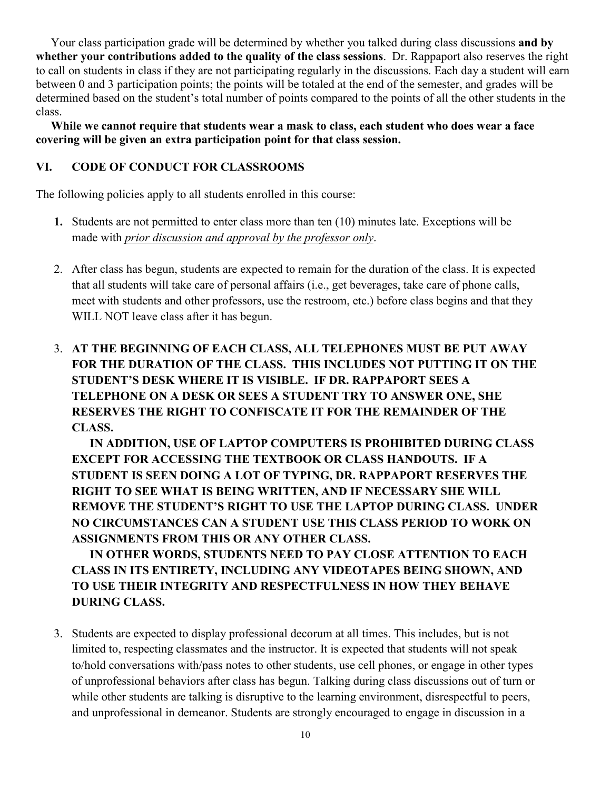Your class participation grade will be determined by whether you talked during class discussions **and by whether your contributions added to the quality of the class sessions**. Dr. Rappaport also reserves the right to call on students in class if they are not participating regularly in the discussions. Each day a student will earn between 0 and 3 participation points; the points will be totaled at the end of the semester, and grades will be determined based on the student's total number of points compared to the points of all the other students in the class.

 **While we cannot require that students wear a mask to class, each student who does wear a face covering will be given an extra participation point for that class session.**

## **VI. CODE OF CONDUCT FOR CLASSROOMS**

The following policies apply to all students enrolled in this course:

- **1.** Students are not permitted to enter class more than ten (10) minutes late. Exceptions will be made with *prior discussion and approval by the professor only*.
- 2. After class has begun, students are expected to remain for the duration of the class. It is expected that all students will take care of personal affairs (i.e., get beverages, take care of phone calls, meet with students and other professors, use the restroom, etc.) before class begins and that they WILL NOT leave class after it has begun.
- 3. **AT THE BEGINNING OF EACH CLASS, ALL TELEPHONES MUST BE PUT AWAY FOR THE DURATION OF THE CLASS. THIS INCLUDES NOT PUTTING IT ON THE STUDENT'S DESK WHERE IT IS VISIBLE. IF DR. RAPPAPORT SEES A TELEPHONE ON A DESK OR SEES A STUDENT TRY TO ANSWER ONE, SHE RESERVES THE RIGHT TO CONFISCATE IT FOR THE REMAINDER OF THE CLASS.**

**IN ADDITION, USE OF LAPTOP COMPUTERS IS PROHIBITED DURING CLASS EXCEPT FOR ACCESSING THE TEXTBOOK OR CLASS HANDOUTS. IF A STUDENT IS SEEN DOING A LOT OF TYPING, DR. RAPPAPORT RESERVES THE RIGHT TO SEE WHAT IS BEING WRITTEN, AND IF NECESSARY SHE WILL REMOVE THE STUDENT'S RIGHT TO USE THE LAPTOP DURING CLASS. UNDER NO CIRCUMSTANCES CAN A STUDENT USE THIS CLASS PERIOD TO WORK ON ASSIGNMENTS FROM THIS OR ANY OTHER CLASS.** 

**IN OTHER WORDS, STUDENTS NEED TO PAY CLOSE ATTENTION TO EACH CLASS IN ITS ENTIRETY, INCLUDING ANY VIDEOTAPES BEING SHOWN, AND TO USE THEIR INTEGRITY AND RESPECTFULNESS IN HOW THEY BEHAVE DURING CLASS.**

3. Students are expected to display professional decorum at all times. This includes, but is not limited to, respecting classmates and the instructor. It is expected that students will not speak to/hold conversations with/pass notes to other students, use cell phones, or engage in other types of unprofessional behaviors after class has begun. Talking during class discussions out of turn or while other students are talking is disruptive to the learning environment, disrespectful to peers, and unprofessional in demeanor. Students are strongly encouraged to engage in discussion in a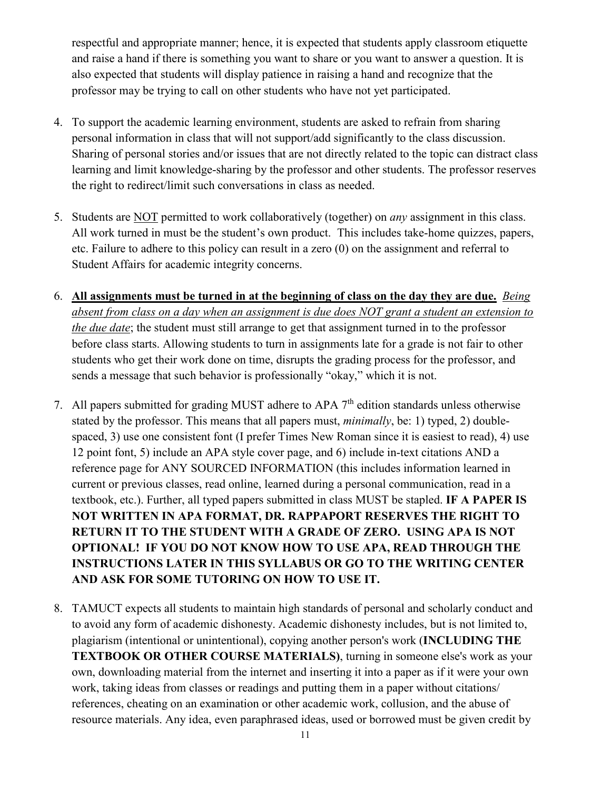respectful and appropriate manner; hence, it is expected that students apply classroom etiquette and raise a hand if there is something you want to share or you want to answer a question. It is also expected that students will display patience in raising a hand and recognize that the professor may be trying to call on other students who have not yet participated.

- 4. To support the academic learning environment, students are asked to refrain from sharing personal information in class that will not support/add significantly to the class discussion. Sharing of personal stories and/or issues that are not directly related to the topic can distract class learning and limit knowledge-sharing by the professor and other students. The professor reserves the right to redirect/limit such conversations in class as needed.
- 5. Students are NOT permitted to work collaboratively (together) on *any* assignment in this class. All work turned in must be the student's own product. This includes take-home quizzes, papers, etc. Failure to adhere to this policy can result in a zero (0) on the assignment and referral to Student Affairs for academic integrity concerns.
- 6. **All assignments must be turned in at the beginning of class on the day they are due.** *Being absent from class on a day when an assignment is due does NOT grant a student an extension to the due date*; the student must still arrange to get that assignment turned in to the professor before class starts. Allowing students to turn in assignments late for a grade is not fair to other students who get their work done on time, disrupts the grading process for the professor, and sends a message that such behavior is professionally "okay," which it is not.
- 7. All papers submitted for grading MUST adhere to APA  $7<sup>th</sup>$  edition standards unless otherwise stated by the professor. This means that all papers must, *minimally*, be: 1) typed, 2) doublespaced, 3) use one consistent font (I prefer Times New Roman since it is easiest to read), 4) use 12 point font, 5) include an APA style cover page, and 6) include in-text citations AND a reference page for ANY SOURCED INFORMATION (this includes information learned in current or previous classes, read online, learned during a personal communication, read in a textbook, etc.). Further, all typed papers submitted in class MUST be stapled. **IF A PAPER IS NOT WRITTEN IN APA FORMAT, DR. RAPPAPORT RESERVES THE RIGHT TO RETURN IT TO THE STUDENT WITH A GRADE OF ZERO. USING APA IS NOT OPTIONAL! IF YOU DO NOT KNOW HOW TO USE APA, READ THROUGH THE INSTRUCTIONS LATER IN THIS SYLLABUS OR GO TO THE WRITING CENTER AND ASK FOR SOME TUTORING ON HOW TO USE IT.**
- 8. TAMUCT expects all students to maintain high standards of personal and scholarly conduct and to avoid any form of academic dishonesty. Academic dishonesty includes, but is not limited to, plagiarism (intentional or unintentional), copying another person's work (**INCLUDING THE TEXTBOOK OR OTHER COURSE MATERIALS)**, turning in someone else's work as your own, downloading material from the internet and inserting it into a paper as if it were your own work, taking ideas from classes or readings and putting them in a paper without citations/ references, cheating on an examination or other academic work, collusion, and the abuse of resource materials. Any idea, even paraphrased ideas, used or borrowed must be given credit by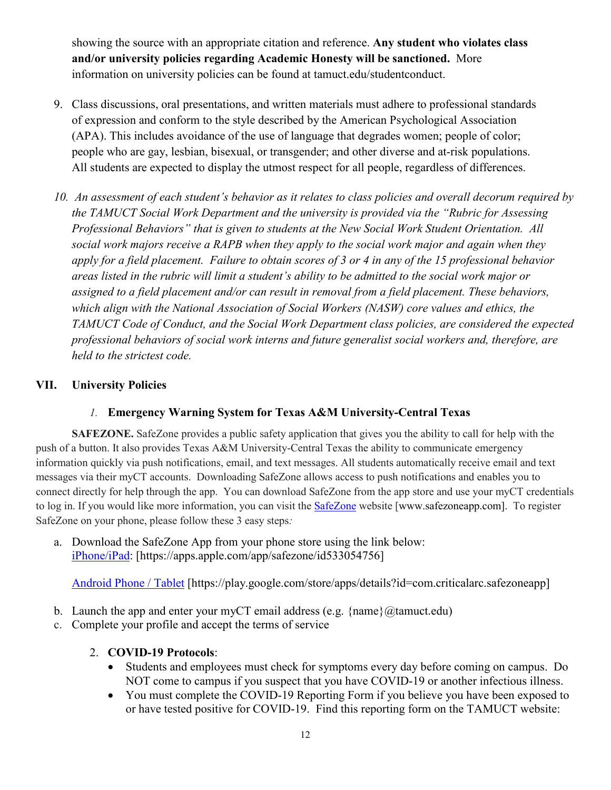showing the source with an appropriate citation and reference. **Any student who violates class and/or university policies regarding Academic Honesty will be sanctioned.** More information on university policies can be found at tamuct.edu/studentconduct.

- 9. Class discussions, oral presentations, and written materials must adhere to professional standards of expression and conform to the style described by the American Psychological Association (APA). This includes avoidance of the use of language that degrades women; people of color; people who are gay, lesbian, bisexual, or transgender; and other diverse and at-risk populations. All students are expected to display the utmost respect for all people, regardless of differences.
- *10. An assessment of each student's behavior as it relates to class policies and overall decorum required by the TAMUCT Social Work Department and the university is provided via the "Rubric for Assessing Professional Behaviors" that is given to students at the New Social Work Student Orientation. All social work majors receive a RAPB when they apply to the social work major and again when they apply for a field placement. Failure to obtain scores of 3 or 4 in any of the 15 professional behavior areas listed in the rubric will limit a student's ability to be admitted to the social work major or assigned to a field placement and/or can result in removal from a field placement. These behaviors, which align with the National Association of Social Workers (NASW) core values and ethics, the TAMUCT Code of Conduct, and the Social Work Department class policies, are considered the expected professional behaviors of social work interns and future generalist social workers and, therefore, are held to the strictest code.*

## **VII. University Policies**

# *1.* **Emergency Warning System for Texas A&M University-Central Texas**

**SAFEZONE.** SafeZone provides a public safety application that gives you the ability to call for help with the push of a button. It also provides Texas A&M University-Central Texas the ability to communicate emergency information quickly via push notifications, email, and text messages. All students automatically receive email and text messages via their myCT accounts. Downloading SafeZone allows access to push notifications and enables you to connect directly for help through the app. You can download SafeZone from the app store and use your myCT credentials to log in. If you would like more information, you can visit the [SafeZone](http://www.safezoneapp.com/) website [www.safezoneapp.com]. To register SafeZone on your phone, please follow these 3 easy steps*:*

a. Download the SafeZone App from your phone store using the link below: [iPhone/iPad:](https://apps.apple.com/app/safezone/id533054756) [https://apps.apple.com/app/safezone/id533054756]

[Android Phone / Tablet](https://play.google.com/store/apps/details?id=com.criticalarc.safezoneapp) [https://play.google.com/store/apps/details?id=com.criticalarc.safezoneapp]

- b. Launch the app and enter your myCT email address (e.g.  $\{\text{name}\}\langle\omega\rangle$  tamuct.edu)
- c. Complete your profile and accept the terms of service

## 2. **COVID-19 Protocols**:

- Students and employees must check for symptoms every day before coming on campus. Do NOT come to campus if you suspect that you have COVID-19 or another infectious illness.
- You must complete the COVID-19 Reporting Form if you believe you have been exposed to or have tested positive for COVID-19. Find this reporting form on the TAMUCT website: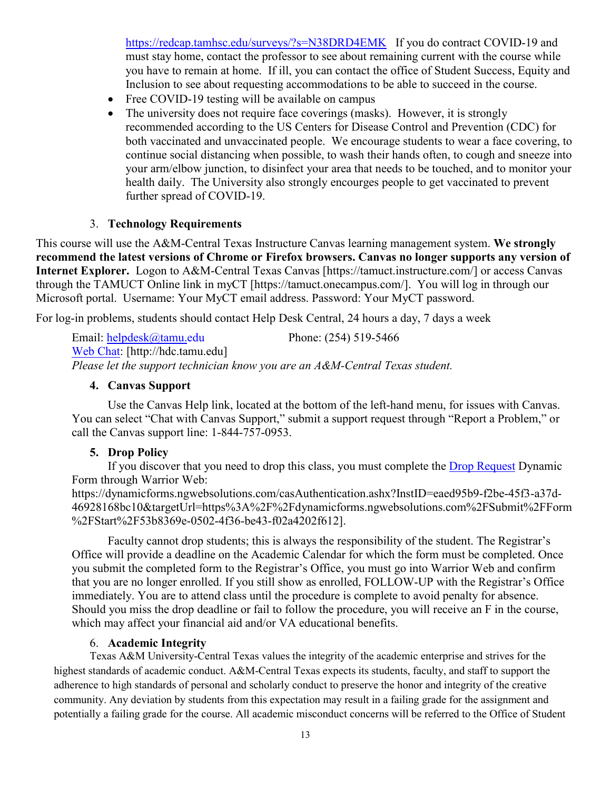<https://redcap.tamhsc.edu/surveys/?s=N38DRD4EMK>If you do contract COVID-19 and must stay home, contact the professor to see about remaining current with the course while you have to remain at home. If ill, you can contact the office of Student Success, Equity and Inclusion to see about requesting accommodations to be able to succeed in the course.

- Free COVID-19 testing will be available on campus
- The university does not require face coverings (masks). However, it is strongly recommended according to the US Centers for Disease Control and Prevention (CDC) for both vaccinated and unvaccinated people. We encourage students to wear a face covering, to continue social distancing when possible, to wash their hands often, to cough and sneeze into your arm/elbow junction, to disinfect your area that needs to be touched, and to monitor your health daily. The University also strongly encourges people to get vaccinated to prevent further spread of COVID-19.

### 3. **Technology Requirements**

This course will use the A&M-Central Texas Instructure Canvas learning management system. **We strongly recommend the latest versions of Chrome or Firefox browsers. Canvas no longer supports any version of Internet Explorer.** Logon to A&M-Central Texas Canvas [https://tamuct.instructure.com/] or access Canvas through the TAMUCT Online link in myCT [https://tamuct.onecampus.com/]. You will log in through our Microsoft portal. Username: Your MyCT email address. Password: Your MyCT password.

For log-in problems, students should contact Help Desk Central, 24 hours a day, 7 days a week

Email: [helpdesk@tamu.edu](mailto:helpdesk@tamu.edu) Phone: (254) 519-5466 [Web Chat:](http://hdc.tamu.edu/) [http://hdc.tamu.edu] *Please let the support technician know you are an A&M-Central Texas student.*

### **4. Canvas Support**

Use the Canvas Help link, located at the bottom of the left-hand menu, for issues with Canvas. You can select "Chat with Canvas Support," submit a support request through "Report a Problem," or call the Canvas support line: 1-844-757-0953.

### **5. Drop Policy**

If you discover that you need to drop this class, you must complete the **Drop Request Dynamic** Form through Warrior Web:

https://dynamicforms.ngwebsolutions.com/casAuthentication.ashx?InstID=eaed95b9-f2be-45f3-a37d-46928168bc10&targetUrl=https%3A%2F%2Fdynamicforms.ngwebsolutions.com%2FSubmit%2FForm %2FStart%2F53b8369e-0502-4f36-be43-f02a4202f612].

Faculty cannot drop students; this is always the responsibility of the student. The Registrar's Office will provide a deadline on the Academic Calendar for which the form must be completed. Once you submit the completed form to the Registrar's Office, you must go into Warrior Web and confirm that you are no longer enrolled. If you still show as enrolled, FOLLOW-UP with the Registrar's Office immediately. You are to attend class until the procedure is complete to avoid penalty for absence. Should you miss the drop deadline or fail to follow the procedure, you will receive an F in the course, which may affect your financial aid and/or VA educational benefits.

### 6. **Academic Integrity**

Texas A&M University-Central Texas values the integrity of the academic enterprise and strives for the highest standards of academic conduct. A&M-Central Texas expects its students, faculty, and staff to support the adherence to high standards of personal and scholarly conduct to preserve the honor and integrity of the creative community. Any deviation by students from this expectation may result in a failing grade for the assignment and potentially a failing grade for the course. All academic misconduct concerns will be referred to the Office of Student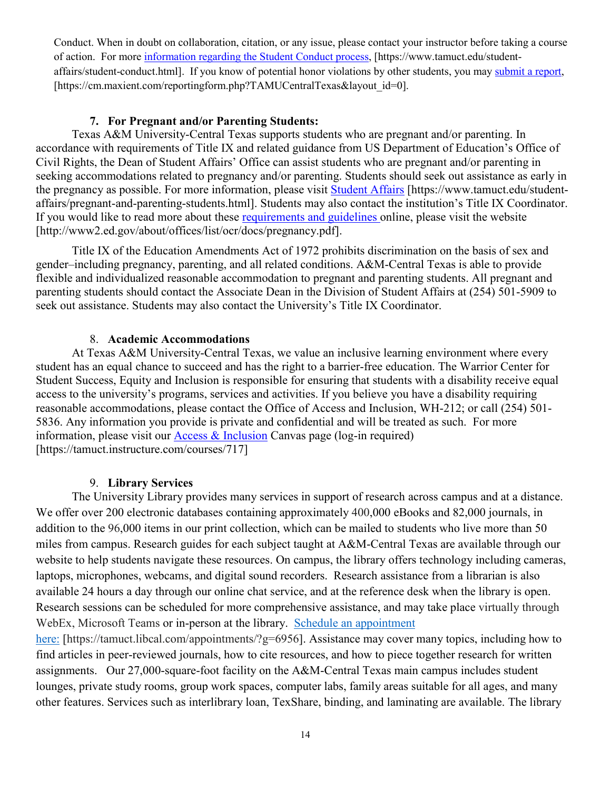Conduct. When in doubt on collaboration, citation, or any issue, please contact your instructor before taking a course of action. For more [information](https://nam04.safelinks.protection.outlook.com/?url=https%3A%2F%2Fwww.tamuct.edu%2Fstudent-affairs%2Fstudent-conduct.html&data=04%7C01%7Clisa.bunkowski%40tamuct.edu%7Ccfb6e486f24745f53e1a08d910055cb2%7C9eed4e3000f744849ff193ad8005acec%7C0%7C0%7C637558437485252160%7CUnknown%7CTWFpbGZsb3d8eyJWIjoiMC4wLjAwMDAiLCJQIjoiV2luMzIiLCJBTiI6Ik1haWwiLCJXVCI6Mn0%3D%7C1000&sdata=yjftDEVHvLX%2FhM%2FcFU0B99krV1RgEWR%2BJ%2BhvtoR6TYk%3D&reserved=0) regarding the Student Conduct process, [https://www.tamuct.edu/studentaffairs/student-conduct.html]. If you know of potential honor violations by other students, you may [submit](https://nam04.safelinks.protection.outlook.com/?url=https%3A%2F%2Fcm.maxient.com%2Freportingform.php%3FTAMUCentralTexas%26layout_id%3D0&data=04%7C01%7Clisa.bunkowski%40tamuct.edu%7Ccfb6e486f24745f53e1a08d910055cb2%7C9eed4e3000f744849ff193ad8005acec%7C0%7C0%7C637558437485262157%7CUnknown%7CTWFpbGZsb3d8eyJWIjoiMC4wLjAwMDAiLCJQIjoiV2luMzIiLCJBTiI6Ik1haWwiLCJXVCI6Mn0%3D%7C1000&sdata=CXGkOa6uPDPX1IMZ87z3aZDq2n91xfHKu4MMS43Ejjk%3D&reserved=0) a report, [https://cm.maxient.com/reportingform.php?TAMUCentralTexas&layout\_id=0].

## **7. For Pregnant and/or Parenting Students:**

Texas A&M University-Central Texas supports students who are pregnant and/or parenting. In accordance with requirements of Title IX and related guidance from US Department of Education's Office of Civil Rights, the Dean of Student Affairs' Office can assist students who are pregnant and/or parenting in seeking accommodations related to pregnancy and/or parenting. Students should seek out assistance as early in the pregnancy as possible. For more information, please visit [Student Affairs](https://www.tamuct.edu/student-affairs/pregnant-and-parenting-students.html) [https://www.tamuct.edu/studentaffairs/pregnant-and-parenting-students.html]. Students may also contact the institution's Title IX Coordinator. If you would like to read more about these [requirements and guidelines](http://www2.ed.gov/about/offices/list/ocr/docs/pregnancy.pdf) online, please visit the website [http://www2.ed.gov/about/offices/list/ocr/docs/pregnancy.pdf].

Title IX of the Education Amendments Act of 1972 prohibits discrimination on the basis of sex and gender–including pregnancy, parenting, and all related conditions. A&M-Central Texas is able to provide flexible and individualized reasonable accommodation to pregnant and parenting students. All pregnant and parenting students should contact the Associate Dean in the Division of Student Affairs at (254) 501-5909 to seek out assistance. Students may also contact the University's Title IX Coordinator.

#### 8. **Academic Accommodations**

At Texas A&M University-Central Texas, we value an inclusive learning environment where every student has an equal chance to succeed and has the right to a barrier-free education. The Warrior Center for Student Success, Equity and Inclusion is responsible for ensuring that students with a disability receive equal access to the university's programs, services and activities. If you believe you have a disability requiring reasonable accommodations, please contact the Office of Access and Inclusion, WH-212; or call (254) 501- 5836. Any information you provide is private and confidential and will be treated as such. For more information, please visit our [Access & Inclusion](https://tamuct.instructure.com/courses/717) Canvas page (log-in required) [https://tamuct.instructure.com/courses/717]

### 9. **Library Services**

The University Library provides many services in support of research across campus and at a distance. We offer over 200 electronic databases containing approximately 400,000 eBooks and 82,000 journals, in addition to the 96,000 items in our print collection, which can be mailed to students who live more than 50 miles from campus. Research guides for each subject taught at A&M-Central Texas are available through our website to help students navigate these resources. On campus, the library offers technology including cameras, laptops, microphones, webcams, and digital sound recorders. Research assistance from a librarian is also available 24 hours a day through our online chat service, and at the reference desk when the library is open. Research sessions can be scheduled for more comprehensive assistance, and may take place virtually through WebEx, Microsoft Teams or in-person at the library. Schedule an [appointment](https://nam04.safelinks.protection.outlook.com/?url=https%3A%2F%2Ftamuct.libcal.com%2Fappointments%2F%3Fg%3D6956&data=04%7C01%7Clisa.bunkowski%40tamuct.edu%7Cde2c07d9f5804f09518008d9ab7ba6ff%7C9eed4e3000f744849ff193ad8005acec%7C0%7C0%7C637729369835011558%7CUnknown%7CTWFpbGZsb3d8eyJWIjoiMC4wLjAwMDAiLCJQIjoiV2luMzIiLCJBTiI6Ik1haWwiLCJXVCI6Mn0%3D%7C3000&sdata=KhtjgRSAw9aq%2FoBsB6wyu8b7PSuGN5EGPypzr3Ty2No%3D&reserved=0)

[here:](https://nam04.safelinks.protection.outlook.com/?url=https%3A%2F%2Ftamuct.libcal.com%2Fappointments%2F%3Fg%3D6956&data=04%7C01%7Clisa.bunkowski%40tamuct.edu%7Cde2c07d9f5804f09518008d9ab7ba6ff%7C9eed4e3000f744849ff193ad8005acec%7C0%7C0%7C637729369835011558%7CUnknown%7CTWFpbGZsb3d8eyJWIjoiMC4wLjAwMDAiLCJQIjoiV2luMzIiLCJBTiI6Ik1haWwiLCJXVCI6Mn0%3D%7C3000&sdata=KhtjgRSAw9aq%2FoBsB6wyu8b7PSuGN5EGPypzr3Ty2No%3D&reserved=0) [https://tamuct.libcal.com/appointments/?g=6956]. Assistance may cover many topics, including how to find articles in peer-reviewed journals, how to cite resources, and how to piece together research for written assignments. Our 27,000-square-foot facility on the A&M-Central Texas main campus includes student lounges, private study rooms, group work spaces, computer labs, family areas suitable for all ages, and many other features. Services such as interlibrary loan, TexShare, binding, and laminating are available. The library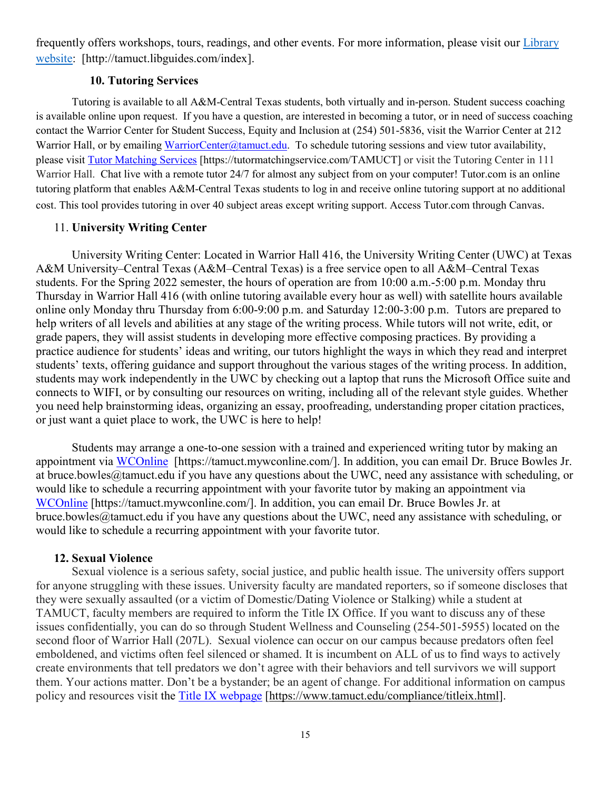frequently offers workshops, tours, readings, and other events. For more information, please visit our *[Library](https://nam04.safelinks.protection.outlook.com/?url=https%3A%2F%2Ftamuct.libguides.com%2Findex&data=04%7C01%7Clisa.bunkowski%40tamuct.edu%7C7d8489e8839a4915335f08d916f067f2%7C9eed4e3000f744849ff193ad8005acec%7C0%7C0%7C637566044056484222%7CUnknown%7CTWFpbGZsb3d8eyJWIjoiMC4wLjAwMDAiLCJQIjoiV2luMzIiLCJBTiI6Ik1haWwiLCJXVCI6Mn0%3D%7C1000&sdata=2R755V6rcIyedGrd4Os5rkgn1PvhHKU3kUV1vBKiHFo%3D&reserved=0)* [website:](https://nam04.safelinks.protection.outlook.com/?url=https%3A%2F%2Ftamuct.libguides.com%2Findex&data=04%7C01%7Clisa.bunkowski%40tamuct.edu%7C7d8489e8839a4915335f08d916f067f2%7C9eed4e3000f744849ff193ad8005acec%7C0%7C0%7C637566044056484222%7CUnknown%7CTWFpbGZsb3d8eyJWIjoiMC4wLjAwMDAiLCJQIjoiV2luMzIiLCJBTiI6Ik1haWwiLCJXVCI6Mn0%3D%7C1000&sdata=2R755V6rcIyedGrd4Os5rkgn1PvhHKU3kUV1vBKiHFo%3D&reserved=0) [http://tamuct.libguides.com/index].

### **10. Tutoring Services**

Tutoring is available to all A&M-Central Texas students, both virtually and in-person. Student success coaching is available online upon request. If you have a question, are interested in becoming a tutor, or in need of success coaching contact the Warrior Center for Student Success, Equity and Inclusion at (254) 501-5836, visit the Warrior Center at 212 Warrior Hall, or by emailing [WarriorCenter@tamuct.edu.](mailto:WarriorCenter@tamuct.edu) To schedule tutoring sessions and view tutor availability, please visit Tutor [Matching](https://tutormatchingservice.com/TAMUCT) Services [https://tutormatchingservice.com/TAMUCT] or visit the Tutoring Center in 111 Warrior Hall. Chat live with a remote tutor 24/7 for almost any subject from on your computer! Tutor.com is an online tutoring platform that enables A&M-Central Texas students to log in and receive online tutoring support at no additional cost. This tool provides tutoring in over 40 subject areas except writing support. Access Tutor.com through Canvas.

### 11. **University Writing Center**

University Writing Center: Located in Warrior Hall 416, the University Writing Center (UWC) at Texas A&M University–Central Texas (A&M–Central Texas) is a free service open to all A&M–Central Texas students. For the Spring 2022 semester, the hours of operation are from 10:00 a.m.-5:00 p.m. Monday thru Thursday in Warrior Hall 416 (with online tutoring available every hour as well) with satellite hours available online only Monday thru Thursday from 6:00-9:00 p.m. and Saturday 12:00-3:00 p.m. Tutors are prepared to help writers of all levels and abilities at any stage of the writing process. While tutors will not write, edit, or grade papers, they will assist students in developing more effective composing practices. By providing a practice audience for students' ideas and writing, our tutors highlight the ways in which they read and interpret students' texts, offering guidance and support throughout the various stages of the writing process. In addition, students may work independently in the UWC by checking out a laptop that runs the Microsoft Office suite and connects to WIFI, or by consulting our resources on writing, including all of the relevant style guides. Whether you need help brainstorming ideas, organizing an essay, proofreading, understanding proper citation practices, or just want a quiet place to work, the UWC is here to help!

Students may arrange a one-to-one session with a trained and experienced writing tutor by making an appointment via [WCOnline](https://tamuct.mywconline.com/) [https://tamuct.mywconline.com/]. In addition, you can email Dr. Bruce Bowles Jr. at bruce.bowles@tamuct.edu if you have any questions about the UWC, need any assistance with scheduling, or would like to schedule a recurring appointment with your favorite tutor by making an appointment via [WCOnline](https://tamuct.mywconline.com/) [https://tamuct.mywconline.com/]. In addition, you can email Dr. Bruce Bowles Jr. at bruce.bowles@tamuct.edu if you have any questions about the UWC, need any assistance with scheduling, or would like to schedule a recurring appointment with your favorite tutor.

#### **12. Sexual Violence**

Sexual violence is a serious safety, social justice, and public health issue. The university offers support for anyone struggling with these issues. University faculty are mandated reporters, so if someone discloses that they were sexually assaulted (or a victim of Domestic/Dating Violence or Stalking) while a student at TAMUCT, faculty members are required to inform the Title IX Office. If you want to discuss any of these issues confidentially, you can do so through Student Wellness and Counseling (254-501-5955) located on the second floor of Warrior Hall (207L). Sexual violence can occur on our campus because predators often feel emboldened, and victims often feel silenced or shamed. It is incumbent on ALL of us to find ways to actively create environments that tell predators we don't agree with their behaviors and tell survivors we will support them. Your actions matter. Don't be a bystander; be an agent of change. For additional information on campus policy and resources visit the [Title IX webpage](https://www.tamuct.edu/compliance/titleix.html) [\[https://www.tamuct.edu/compliance/titleix.html\]](https://www.tamuct.edu/compliance/titleix.html).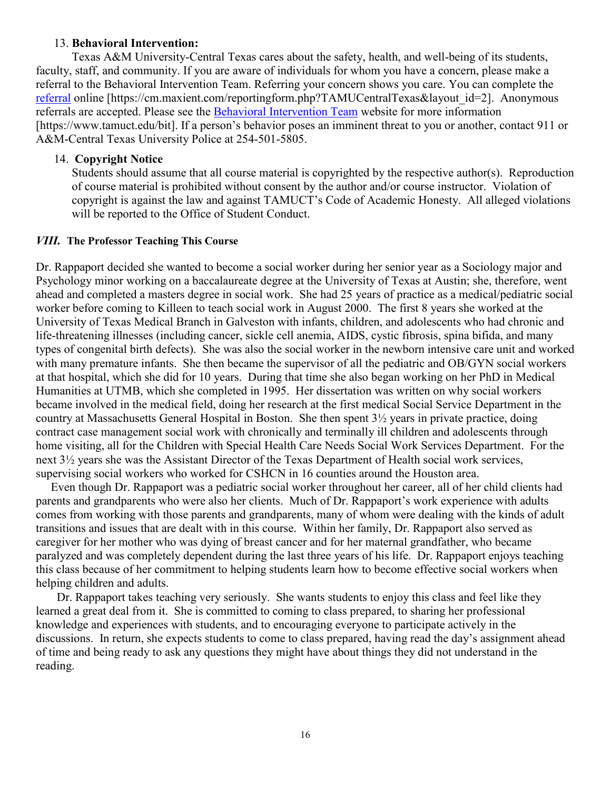#### 13. **Behavioral Intervention:**

Texas A&M University-Central Texas cares about the safety, health, and well-being of its students, faculty, staff, and community. If you are aware of individuals for whom you have a concern, please make a referral to the Behavioral Intervention Team. Referring your concern shows you care. You can complete the [referral](https://cm.maxient.com/reportingform.php?TAMUCentralTexas&layout_id=2) online [https://cm.maxient.com/reportingform.php?TAMUCentralTexas&layout\_id=2]. Anonymous referrals are accepted. Please see the [Behavioral Intervention Team](https://www.tamuct.edu/bit) website for more information [https://www.tamuct.edu/bit]. If a person's behavior poses an imminent threat to you or another, contact 911 or A&M-Central Texas University Police at 254-501-5805.

### 14. **Copyright Notice**

Students should assume that all course material is copyrighted by the respective author(s). Reproduction of course material is prohibited without consent by the author and/or course instructor. Violation of copyright is against the law and against TAMUCT's Code of Academic Honesty. All alleged violations will be reported to the Office of Student Conduct.

### *VIII.* **The Professor Teaching This Course**

Dr. Rappaport decided she wanted to become a social worker during her senior year as a Sociology major and Psychology minor working on a baccalaureate degree at the University of Texas at Austin; she, therefore, went ahead and completed a masters degree in social work. She had 25 years of practice as a medical/pediatric social worker before coming to Killeen to teach social work in August 2000. The first 8 years she worked at the University of Texas Medical Branch in Galveston with infants, children, and adolescents who had chronic and life-threatening illnesses (including cancer, sickle cell anemia, AIDS, cystic fibrosis, spina bifida, and many types of congenital birth defects). She was also the social worker in the newborn intensive care unit and worked with many premature infants. She then became the supervisor of all the pediatric and OB/GYN social workers at that hospital, which she did for 10 years. During that time she also began working on her PhD in Medical Humanities at UTMB, which she completed in 1995. Her dissertation was written on why social workers became involved in the medical field, doing her research at the first medical Social Service Department in the country at Massachusetts General Hospital in Boston. She then spent 3½ years in private practice, doing contract case management social work with chronically and terminally ill children and adolescents through home visiting, all for the Children with Special Health Care Needs Social Work Services Department. For the next 3½ years she was the Assistant Director of the Texas Department of Health social work services, supervising social workers who worked for CSHCN in 16 counties around the Houston area.

 Even though Dr. Rappaport was a pediatric social worker throughout her career, all of her child clients had parents and grandparents who were also her clients. Much of Dr. Rappaport's work experience with adults comes from working with those parents and grandparents, many of whom were dealing with the kinds of adult transitions and issues that are dealt with in this course. Within her family, Dr. Rappaport also served as caregiver for her mother who was dying of breast cancer and for her maternal grandfather, who became paralyzed and was completely dependent during the last three years of his life. Dr. Rappaport enjoys teaching this class because of her commitment to helping students learn how to become effective social workers when helping children and adults.

 Dr. Rappaport takes teaching very seriously. She wants students to enjoy this class and feel like they learned a great deal from it. She is committed to coming to class prepared, to sharing her professional knowledge and experiences with students, and to encouraging everyone to participate actively in the discussions. In return, she expects students to come to class prepared, having read the day's assignment ahead of time and being ready to ask any questions they might have about things they did not understand in the reading.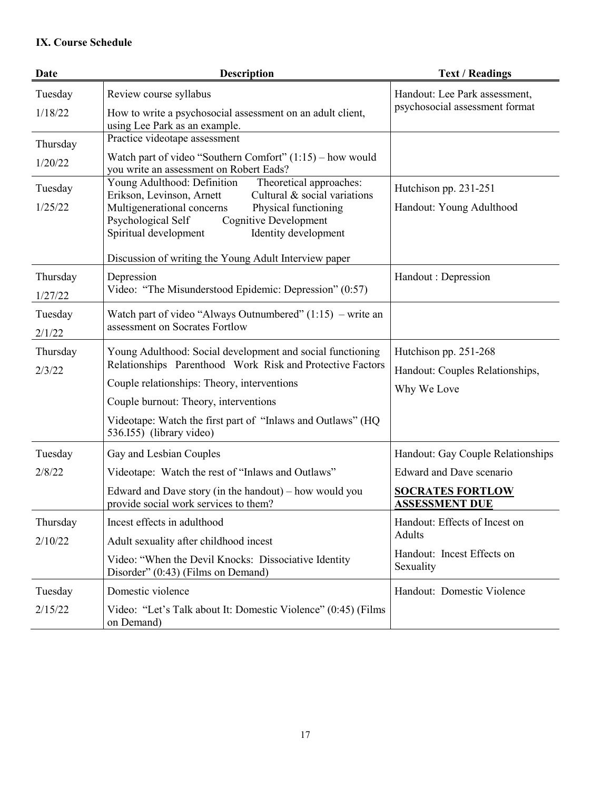# **IX. Course Schedule**

| Date     | <b>Description</b>                                                                                                                                        | <b>Text / Readings</b>                           |  |
|----------|-----------------------------------------------------------------------------------------------------------------------------------------------------------|--------------------------------------------------|--|
| Tuesday  | Review course syllabus                                                                                                                                    | Handout: Lee Park assessment,                    |  |
| 1/18/22  | How to write a psychosocial assessment on an adult client,<br>using Lee Park as an example.                                                               | psychosocial assessment format                   |  |
| Thursday | Practice videotape assessment                                                                                                                             |                                                  |  |
| 1/20/22  | Watch part of video "Southern Comfort" $(1:15)$ – how would<br>you write an assessment on Robert Eads?                                                    |                                                  |  |
| Tuesday  | Young Adulthood: Definition<br>Theoretical approaches:<br>Cultural & social variations<br>Erikson, Levinson, Arnett                                       | Hutchison pp. 231-251                            |  |
| 1/25/22  | Multigenerational concerns<br>Physical functioning<br><b>Cognitive Development</b><br>Psychological Self<br>Spiritual development<br>Identity development | Handout: Young Adulthood                         |  |
|          | Discussion of writing the Young Adult Interview paper                                                                                                     |                                                  |  |
| Thursday | Depression<br>Video: "The Misunderstood Epidemic: Depression" (0:57)                                                                                      | Handout : Depression                             |  |
| 1/27/22  |                                                                                                                                                           |                                                  |  |
| Tuesday  | Watch part of video "Always Outnumbered" $(1:15)$ – write an<br>assessment on Socrates Fortlow                                                            |                                                  |  |
| 2/1/22   |                                                                                                                                                           |                                                  |  |
| Thursday | Young Adulthood: Social development and social functioning<br>Relationships Parenthood Work Risk and Protective Factors                                   | Hutchison pp. 251-268                            |  |
| 2/3/22   | Couple relationships: Theory, interventions                                                                                                               | Handout: Couples Relationships,                  |  |
|          | Couple burnout: Theory, interventions                                                                                                                     | Why We Love                                      |  |
|          | Videotape: Watch the first part of "Inlaws and Outlaws" (HQ<br>536.155) (library video)                                                                   |                                                  |  |
| Tuesday  | Gay and Lesbian Couples                                                                                                                                   | Handout: Gay Couple Relationships                |  |
| 2/8/22   | Videotape: Watch the rest of "Inlaws and Outlaws"                                                                                                         | Edward and Dave scenario                         |  |
|          | Edward and Dave story (in the handout) $-$ how would you<br>provide social work services to them?                                                         | <b>SOCRATES FORTLOW</b><br><b>ASSESSMENT DUE</b> |  |
| Thursday | Incest effects in adulthood                                                                                                                               | Handout: Effects of Incest on                    |  |
| 2/10/22  | Adult sexuality after childhood incest                                                                                                                    | Adults                                           |  |
|          | Video: "When the Devil Knocks: Dissociative Identity<br>Disorder" (0:43) (Films on Demand)                                                                | Handout: Incest Effects on<br>Sexuality          |  |
| Tuesday  | Domestic violence                                                                                                                                         | Handout: Domestic Violence                       |  |
| 2/15/22  | Video: "Let's Talk about It: Domestic Violence" (0:45) (Films<br>on Demand)                                                                               |                                                  |  |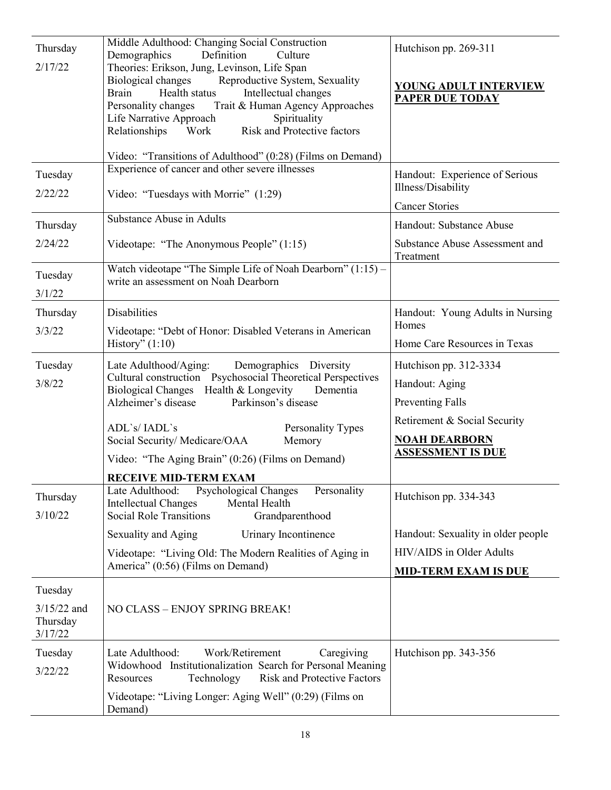| Thursday<br>2/17/22                  | Middle Adulthood: Changing Social Construction<br>Demographics<br>Definition<br>Culture<br>Theories: Erikson, Jung, Levinson, Life Span<br>Reproductive System, Sexuality<br>Biological changes<br>Brain<br>Health status<br>Intellectual changes<br>Trait & Human Agency Approaches<br>Personality changes<br>Life Narrative Approach<br>Spirituality<br>Risk and Protective factors<br>Relationships<br>Work<br>Video: "Transitions of Adulthood" (0:28) (Films on Demand) | Hutchison pp. 269-311<br>YOUNG ADULT INTERVIEW<br><b>PAPER DUE TODAY</b>                                                                                |
|--------------------------------------|------------------------------------------------------------------------------------------------------------------------------------------------------------------------------------------------------------------------------------------------------------------------------------------------------------------------------------------------------------------------------------------------------------------------------------------------------------------------------|---------------------------------------------------------------------------------------------------------------------------------------------------------|
| Tuesday                              | Experience of cancer and other severe illnesses                                                                                                                                                                                                                                                                                                                                                                                                                              | Handout: Experience of Serious                                                                                                                          |
| 2/22/22                              | Video: "Tuesdays with Morrie" (1:29)                                                                                                                                                                                                                                                                                                                                                                                                                                         | Illness/Disability                                                                                                                                      |
|                                      |                                                                                                                                                                                                                                                                                                                                                                                                                                                                              | <b>Cancer Stories</b>                                                                                                                                   |
| Thursday                             | Substance Abuse in Adults                                                                                                                                                                                                                                                                                                                                                                                                                                                    | Handout: Substance Abuse                                                                                                                                |
| 2/24/22                              | Videotape: "The Anonymous People" (1:15)                                                                                                                                                                                                                                                                                                                                                                                                                                     | Substance Abuse Assessment and<br>Treatment                                                                                                             |
| Tuesday<br>3/1/22                    | Watch videotape "The Simple Life of Noah Dearborn" (1:15) -<br>write an assessment on Noah Dearborn                                                                                                                                                                                                                                                                                                                                                                          |                                                                                                                                                         |
| Thursday                             | <b>Disabilities</b>                                                                                                                                                                                                                                                                                                                                                                                                                                                          | Handout: Young Adults in Nursing                                                                                                                        |
| 3/3/22                               | Videotape: "Debt of Honor: Disabled Veterans in American<br>History" $(1:10)$                                                                                                                                                                                                                                                                                                                                                                                                | Homes<br>Home Care Resources in Texas                                                                                                                   |
| Tuesday<br>3/8/22                    | Late Adulthood/Aging:<br>Demographics Diversity<br>Cultural construction  Psychosocial Theoretical Perspectives<br>Health & Longevity<br><b>Biological Changes</b><br>Dementia<br>Alzheimer's disease<br>Parkinson's disease<br>ADL's/IADL's<br>Personality Types<br>Social Security/ Medicare/OAA<br>Memory<br>Video: "The Aging Brain" (0:26) (Films on Demand)                                                                                                            | Hutchison pp. 312-3334<br>Handout: Aging<br><b>Preventing Falls</b><br>Retirement & Social Security<br><b>NOAH DEARBORN</b><br><b>ASSESSMENT IS DUE</b> |
|                                      | <b>RECEIVE MID-TERM EXAM</b>                                                                                                                                                                                                                                                                                                                                                                                                                                                 |                                                                                                                                                         |
| Thursday<br>3/10/22                  | Late Adulthood:<br>Psychological Changes<br>Personality<br>Mental Health<br><b>Intellectual Changes</b><br><b>Social Role Transitions</b><br>Grandparenthood                                                                                                                                                                                                                                                                                                                 | Hutchison pp. 334-343                                                                                                                                   |
|                                      | Sexuality and Aging<br>Urinary Incontinence                                                                                                                                                                                                                                                                                                                                                                                                                                  | Handout: Sexuality in older people                                                                                                                      |
|                                      | Videotape: "Living Old: The Modern Realities of Aging in<br>America" (0:56) (Films on Demand)                                                                                                                                                                                                                                                                                                                                                                                | HIV/AIDS in Older Adults<br><b>MID-TERM EXAM IS DUE</b>                                                                                                 |
| Tuesday                              |                                                                                                                                                                                                                                                                                                                                                                                                                                                                              |                                                                                                                                                         |
| $3/15/22$ and<br>Thursday<br>3/17/22 | NO CLASS - ENJOY SPRING BREAK!                                                                                                                                                                                                                                                                                                                                                                                                                                               |                                                                                                                                                         |
| Tuesday<br>3/22/22                   | Work/Retirement<br>Late Adulthood:<br>Caregiving<br>Widowhood Institutionalization Search for Personal Meaning<br>Technology<br><b>Risk and Protective Factors</b><br>Resources                                                                                                                                                                                                                                                                                              | Hutchison pp. 343-356                                                                                                                                   |
|                                      | Videotape: "Living Longer: Aging Well" (0:29) (Films on<br>Demand)                                                                                                                                                                                                                                                                                                                                                                                                           |                                                                                                                                                         |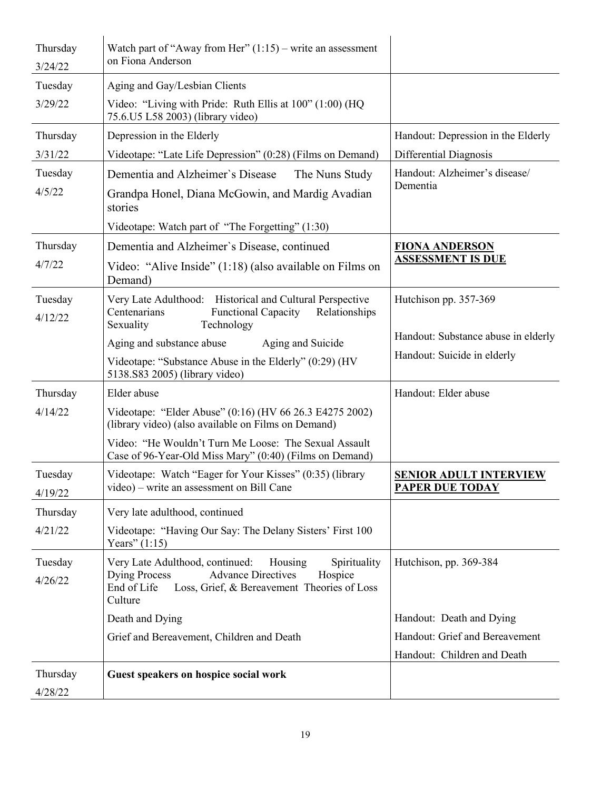| Thursday<br>3/24/22 | Watch part of "Away from Her" $(1:15)$ – write an assessment<br>on Fiona Anderson                                                                                                                   |                                     |
|---------------------|-----------------------------------------------------------------------------------------------------------------------------------------------------------------------------------------------------|-------------------------------------|
| Tuesday             | Aging and Gay/Lesbian Clients                                                                                                                                                                       |                                     |
| 3/29/22             | Video: "Living with Pride: Ruth Ellis at 100" (1:00) (HQ<br>75.6.U5 L58 2003) (library video)                                                                                                       |                                     |
| Thursday            | Depression in the Elderly                                                                                                                                                                           | Handout: Depression in the Elderly  |
| 3/31/22             | Videotape: "Late Life Depression" (0:28) (Films on Demand)                                                                                                                                          | Differential Diagnosis              |
| Tuesday             | Dementia and Alzheimer's Disease<br>The Nuns Study                                                                                                                                                  | Handout: Alzheimer's disease/       |
| 4/5/22              | Grandpa Honel, Diana McGowin, and Mardig Avadian<br>stories                                                                                                                                         | Dementia                            |
|                     | Videotape: Watch part of "The Forgetting" (1:30)                                                                                                                                                    |                                     |
| Thursday            | Dementia and Alzheimer's Disease, continued                                                                                                                                                         | <b>FIONA ANDERSON</b>               |
| 4/7/22              | Video: "Alive Inside" (1:18) (also available on Films on<br>Demand)                                                                                                                                 | <b>ASSESSMENT IS DUE</b>            |
| Tuesday<br>4/12/22  | Very Late Adulthood: Historical and Cultural Perspective<br>Functional Capacity<br>Relationships<br>Centenarians<br>Sexuality<br>Technology                                                         | Hutchison pp. 357-369               |
|                     | Aging and substance abuse<br>Aging and Suicide                                                                                                                                                      | Handout: Substance abuse in elderly |
|                     | Videotape: "Substance Abuse in the Elderly" (0:29) (HV<br>5138.S83 2005) (library video)                                                                                                            | Handout: Suicide in elderly         |
| Thursday            | Elder abuse                                                                                                                                                                                         | Handout: Elder abuse                |
| 4/14/22             | Videotape: "Elder Abuse" (0:16) (HV 66 26.3 E4275 2002)<br>(library video) (also available on Films on Demand)                                                                                      |                                     |
|                     | Video: "He Wouldn't Turn Me Loose: The Sexual Assault<br>Case of 96-Year-Old Miss Mary" (0:40) (Films on Demand)                                                                                    |                                     |
| Tuesday             | Videotape: Watch "Eager for Your Kisses" (0:35) (library                                                                                                                                            | <b>SENIOR ADULT INTERVIEW</b>       |
| 4/19/22             | video) – write an assessment on Bill Cane                                                                                                                                                           | <b>PAPER DUE TODAY</b>              |
| Thursday            | Very late adulthood, continued                                                                                                                                                                      |                                     |
| 4/21/22             | Videotape: "Having Our Say: The Delany Sisters' First 100<br>Years" $(1:15)$                                                                                                                        |                                     |
| Tuesday<br>4/26/22  | Very Late Adulthood, continued:<br>Housing<br>Spirituality<br><b>Dying Process</b><br><b>Advance Directives</b><br>Hospice<br>End of Life<br>Loss, Grief, & Bereavement Theories of Loss<br>Culture | Hutchison, pp. 369-384              |
|                     | Death and Dying                                                                                                                                                                                     | Handout: Death and Dying            |
|                     | Grief and Bereavement, Children and Death                                                                                                                                                           | Handout: Grief and Bereavement      |
|                     |                                                                                                                                                                                                     | Handout: Children and Death         |
| Thursday<br>4/28/22 | Guest speakers on hospice social work                                                                                                                                                               |                                     |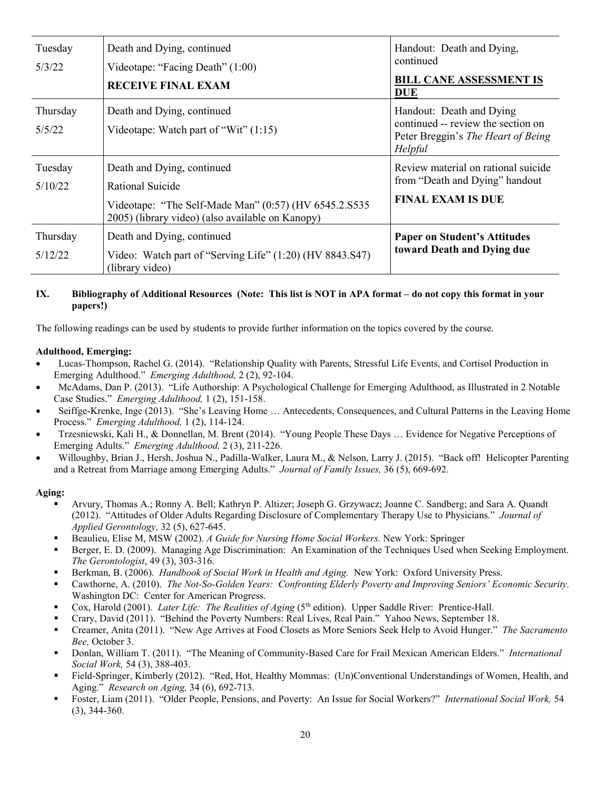| Tuesday<br>5/3/22   | Death and Dying, continued<br>Videotape: "Facing Death" (1:00)<br><b>RECEIVE FINAL EXAM</b>                                                                 | Handout: Death and Dying,<br>continued<br><b>BILL CANE ASSESSMENT IS</b><br><b>DUE</b>                          |
|---------------------|-------------------------------------------------------------------------------------------------------------------------------------------------------------|-----------------------------------------------------------------------------------------------------------------|
| Thursday<br>5/5/22  | Death and Dying, continued<br>Videotape: Watch part of "Wit" $(1:15)$                                                                                       | Handout: Death and Dying<br>continued -- review the section on<br>Peter Breggin's The Heart of Being<br>Helpful |
| Tuesday<br>5/10/22  | Death and Dying, continued<br>Rational Suicide<br>Videotape: "The Self-Made Man" (0:57) (HV 6545.2.S535<br>2005) (library video) (also available on Kanopy) | Review material on rational suicide<br>from "Death and Dying" handout<br><b>FINAL EXAM IS DUE</b>               |
| Thursday<br>5/12/22 | Death and Dying, continued<br>Video: Watch part of "Serving Life" (1:20) (HV 8843.S47)<br>(library video)                                                   | <b>Paper on Student's Attitudes</b><br>toward Death and Dying due                                               |

#### **IX. Bibliography of Additional Resources (Note: This list is NOT in APA format – do not copy this format in your papers!)**

The following readings can be used by students to provide further information on the topics covered by the course.

#### **Adulthood, Emerging:**

- Lucas-Thompson, Rachel G. (2014). "Relationship Quality with Parents, Stressful Life Events, and Cortisol Production in Emerging Adulthood." *Emerging Adulthood,* 2 (2), 92-104.
- McAdams, Dan P. (2013). "Life Authorship: A Psychological Challenge for Emerging Adulthood, as Illustrated in 2 Notable Case Studies." *Emerging Adulthood,* 1 (2), 151-158.
- Seiffge-Krenke, Inge (2013). "She's Leaving Home … Antecedents, Consequences, and Cultural Patterns in the Leaving Home Process." *Emerging Adulthood,* 1 (2), 114-124.
- Trzesniewski, Kali H., & Donnellan, M. Brent (2014). "Young People These Days … Evidence for Negative Perceptions of Emerging Adults." *Emerging Adulthood,* 2 (3), 211-226.
- Willoughby, Brian J., Hersh, Joshua N., Padilla-Walker, Laura M., & Nelson, Larry J. (2015). "Back off! Helicopter Parenting and a Retreat from Marriage among Emerging Adults." *Journal of Family Issues,* 36 (5), 669-692.

#### **Aging:**

- Arvury, Thomas A.; Ronny A. Bell; Kathryn P. Altizer; Joseph G. Grzywacz; Joanne C. Sandberg; and Sara A. Quandt (2012). "Attitudes of Older Adults Regarding Disclosure of Complementary Therapy Use to Physicians." *Journal of Applied Gerontology,* 32 (5), 627-645.
- Beaulieu, Elise M, MSW (2002). *A Guide for Nursing Home Social Workers.* New York: Springer
- Berger, E. D. (2009). Managing Age Discrimination: An Examination of the Techniques Used when Seeking Employment. *The Gerontologist*, 49 (3), 303-316.
- Berkman, B. (2006). *Handbook of Social Work in Health and Aging.* New York: Oxford University Press.
- Cawthorne, A. (2010). *The Not-So-Golden Years: Confronting Elderly Poverty and Improving Seniors' Economic Security.* Washington DC: Center for American Progress.
- Cox, Harold (2001). *Later Life: The Realities of Aging* (5<sup>th</sup> edition). Upper Saddle River: Prentice-Hall.
- Crary, David (2011). "Behind the Poverty Numbers: Real Lives, Real Pain." Yahoo News, September 18.
- Creamer, Anita (2011). "New Age Arrives at Food Closets as More Seniors Seek Help to Avoid Hunger." *The Sacramento Bee,* October 3.
- Donlan, William T. (2011). "The Meaning of Community-Based Care for Frail Mexican American Elders." *International Social Work,* 54 (3), 388-403.
- Field-Springer, Kimberly (2012). "Red, Hot, Healthy Mommas: (Un)Conventional Understandings of Women, Health, and Aging." *Research on Aging,* 34 (6), 692-713.
- Foster, Liam (2011). "Older People, Pensions, and Poverty: An Issue for Social Workers?" *International Social Work,* 54 (3), 344-360.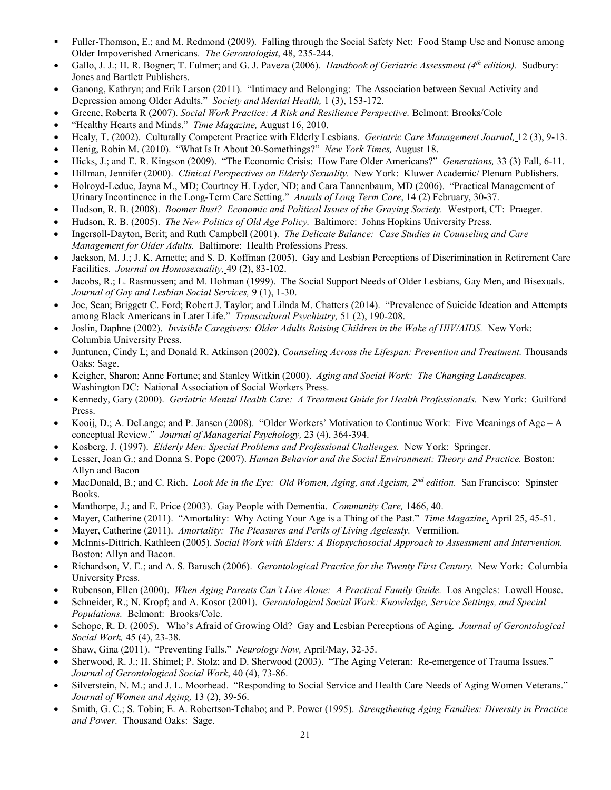- Fuller-Thomson, E.; and M. Redmond (2009). Falling through the Social Safety Net: Food Stamp Use and Nonuse among Older Impoverished Americans. *The Gerontologist*, 48, 235-244.
- Gallo, J. J.; H. R. Bogner; T. Fulmer; and G. J. Paveza (2006). *Handbook of Geriatric Assessment (4th edition).* Sudbury: Jones and Bartlett Publishers.
- Ganong, Kathryn; and Erik Larson (2011). "Intimacy and Belonging: The Association between Sexual Activity and Depression among Older Adults." *Society and Mental Health,* 1 (3), 153-172.
- Greene, Roberta R (2007). *Social Work Practice: A Risk and Resilience Perspective.* Belmont: Brooks/Cole
- "Healthy Hearts and Minds." *Time Magazine,* August 16, 2010.
- Healy, T. (2002). Culturally Competent Practice with Elderly Lesbians. *Geriatric Care Management Journal,* 12 (3), 9-13.
- Henig, Robin M. (2010). "What Is It About 20-Somethings?" *New York Times,* August 18.
- Hicks, J.; and E. R. Kingson (2009). "The Economic Crisis: How Fare Older Americans?" *Generations,* 33 (3) Fall, 6-11.
- Hillman, Jennifer (2000). *Clinical Perspectives on Elderly Sexuality.* New York: Kluwer Academic/ Plenum Publishers.
- Holroyd-Leduc, Jayna M., MD; Courtney H. Lyder, ND; and Cara Tannenbaum, MD (2006). "Practical Management of Urinary Incontinence in the Long-Term Care Setting." *Annals of Long Term Care*, 14 (2) February, 30-37.
- Hudson, R. B. (2008). *Boomer Bust? Economic and Political Issues of the Graying Society.* Westport, CT: Praeger.
- Hudson, R. B. (2005). *The New Politics of Old Age Policy.* Baltimore: Johns Hopkins University Press.
- Ingersoll-Dayton, Berit; and Ruth Campbell (2001). *The Delicate Balance: Case Studies in Counseling and Care Management for Older Adults.* Baltimore: Health Professions Press.
- Jackson, M. J.; J. K. Arnette; and S. D. Koffman (2005). Gay and Lesbian Perceptions of Discrimination in Retirement Care Facilities. *Journal on Homosexuality,* 49 (2), 83-102.
- Jacobs, R.; L. Rasmussen; and M. Hohman (1999). The Social Support Needs of Older Lesbians, Gay Men, and Bisexuals. *Journal of Gay and Lesbian Social Services,* 9 (1), 1-30.
- Joe, Sean; Briggett C. Ford; Robert J. Taylor; and Lilnda M. Chatters (2014). "Prevalence of Suicide Ideation and Attempts among Black Americans in Later Life." *Transcultural Psychiatry,* 51 (2), 190-208.
- Joslin, Daphne (2002). *Invisible Caregivers: Older Adults Raising Children in the Wake of HIV/AIDS.* New York: Columbia University Press.
- Juntunen, Cindy L; and Donald R. Atkinson (2002). *Counseling Across the Lifespan: Prevention and Treatment.* Thousands Oaks: Sage.
- Keigher, Sharon; Anne Fortune; and Stanley Witkin (2000). *Aging and Social Work: The Changing Landscapes.* Washington DC: National Association of Social Workers Press.
- Kennedy, Gary (2000). *Geriatric Mental Health Care: A Treatment Guide for Health Professionals.* New York: Guilford Press.
- Kooij, D.; A. DeLange; and P. Jansen (2008). "Older Workers' Motivation to Continue Work: Five Meanings of Age A conceptual Review." *Journal of Managerial Psychology,* 23 (4), 364-394.
- Kosberg, J. (1997). *Elderly Men: Special Problems and Professional Challenges.* New York: Springer.
- Lesser, Joan G.; and Donna S. Pope (2007). *Human Behavior and the Social Environment: Theory and Practice.* Boston: Allyn and Bacon
- MacDonald, B.; and C. Rich. *Look Me in the Eye: Old Women, Aging, and Ageism, 2nd edition.* San Francisco: Spinster Books.
- Manthorpe, J.; and E. Price (2003). Gay People with Dementia. *Community Care,* 1466, 40.
- Mayer, Catherine (2011). "Amortality: Why Acting Your Age is a Thing of the Past." *Time Magazine*, April 25, 45-51.
- Mayer, Catherine (2011). *Amortality: The Pleasures and Perils of Living Agelessly.* Vermilion.
- McInnis-Dittrich, Kathleen (2005). *Social Work with Elders: A Biopsychosocial Approach to Assessment and Intervention.*  Boston: Allyn and Bacon.
- Richardson, V. E.; and A. S. Barusch (2006). *Gerontological Practice for the Twenty First Century.* New York: Columbia University Press.
- Rubenson, Ellen (2000). *When Aging Parents Can't Live Alone: A Practical Family Guide.* Los Angeles: Lowell House.
- Schneider, R.; N. Kropf; and A. Kosor (2001). *Gerontological Social Work: Knowledge, Service Settings, and Special Populations.* Belmont: Brooks/Cole.
- Schope, R. D. (2005). Who's Afraid of Growing Old? Gay and Lesbian Perceptions of Aging*. Journal of Gerontological Social Work,* 45 (4), 23-38.
- Shaw, Gina (2011). "Preventing Falls." *Neurology Now,* April/May, 32-35.
- Sherwood, R. J.; H. Shimel; P. Stolz; and D. Sherwood (2003). "The Aging Veteran: Re-emergence of Trauma Issues." *Journal of Gerontological Social Work*, 40 (4), 73-86.
- Silverstein, N. M.; and J. L. Moorhead. "Responding to Social Service and Health Care Needs of Aging Women Veterans." *Journal of Women and Aging,* 13 (2), 39-56.
- Smith, G. C.; S. Tobin; E. A. Robertson-Tchabo; and P. Power (1995). *Strengthening Aging Families: Diversity in Practice and Power.* Thousand Oaks: Sage.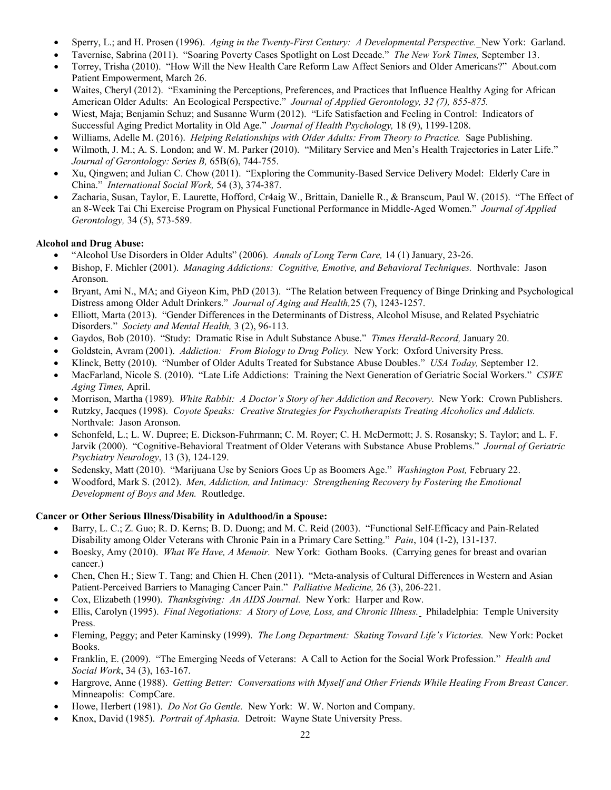- Sperry, L.; and H. Prosen (1996). *Aging in the Twenty-First Century: A Developmental Perspective.* New York: Garland.
- Tavernise, Sabrina (2011). "Soaring Poverty Cases Spotlight on Lost Decade." *The New York Times,* September 13.
- Torrey, Trisha (2010). "How Will the New Health Care Reform Law Affect Seniors and Older Americans?" About.com Patient Empowerment, March 26.
- Waites, Cheryl (2012). "Examining the Perceptions, Preferences, and Practices that Influence Healthy Aging for African American Older Adults: An Ecological Perspective." *Journal of Applied Gerontology, 32 (7), 855-875.*
- Wiest, Maja; Benjamin Schuz; and Susanne Wurm (2012). "Life Satisfaction and Feeling in Control: Indicators of Successful Aging Predict Mortality in Old Age." *Journal of Health Psychology,* 18 (9), 1199-1208.
- Williams, Adelle M. (2016). *Helping Relationships with Older Adults: From Theory to Practice.* Sage Publishing.
- Wilmoth, J. M.; A. S. London; and W. M. Parker (2010). "Military Service and Men's Health Trajectories in Later Life." *Journal of Gerontology: Series B,* 65B(6), 744-755.
- Xu, Qingwen; and Julian C. Chow (2011). "Exploring the Community-Based Service Delivery Model: Elderly Care in China." *International Social Work,* 54 (3), 374-387.
- Zacharia, Susan, Taylor, E. Laurette, Hofford, Cr4aig W., Brittain, Danielle R., & Branscum, Paul W. (2015). "The Effect of an 8-Week Tai Chi Exercise Program on Physical Functional Performance in Middle-Aged Women." *Journal of Applied Gerontology,* 34 (5), 573-589.

#### **Alcohol and Drug Abuse:**

- "Alcohol Use Disorders in Older Adults" (2006). *Annals of Long Term Care,* 14 (1) January, 23-26.
- Bishop, F. Michler (2001). *Managing Addictions: Cognitive, Emotive, and Behavioral Techniques.* Northvale: Jason Aronson.
- Bryant, Ami N., MA; and Giyeon Kim, PhD (2013). "The Relation between Frequency of Binge Drinking and Psychological Distress among Older Adult Drinkers." *Journal of Aging and Health,*25 (7), 1243-1257.
- Elliott, Marta (2013). "Gender Differences in the Determinants of Distress, Alcohol Misuse, and Related Psychiatric Disorders." *Society and Mental Health,* 3 (2), 96-113.
- Gaydos, Bob (2010). "Study: Dramatic Rise in Adult Substance Abuse." *Times Herald-Record,* January 20.
- Goldstein, Avram (2001). *Addiction: From Biology to Drug Policy.* New York: Oxford University Press.
- Klinck, Betty (2010). "Number of Older Adults Treated for Substance Abuse Doubles." *USA Today,* September 12.
- MacFarland, Nicole S. (2010). "Late Life Addictions: Training the Next Generation of Geriatric Social Workers." *CSWE Aging Times,* April.
- Morrison, Martha (1989). *White Rabbit: A Doctor's Story of her Addiction and Recovery.* New York: Crown Publishers.
- Rutzky, Jacques (1998). *Coyote Speaks: Creative Strategies for Psychotherapists Treating Alcoholics and Addicts.* Northvale: Jason Aronson.
- Schonfeld, L.; L. W. Dupree; E. Dickson-Fuhrmann; C. M. Royer; C. H. McDermott; J. S. Rosansky; S. Taylor; and L. F. Jarvik (2000). "Cognitive-Behavioral Treatment of Older Veterans with Substance Abuse Problems." *Journal of Geriatric Psychiatry Neurology*, 13 (3), 124-129.
- Sedensky, Matt (2010). "Marijuana Use by Seniors Goes Up as Boomers Age." *Washington Post,* February 22.
- Woodford, Mark S. (2012). *Men, Addiction, and Intimacy: Strengthening Recovery by Fostering the Emotional Development of Boys and Men.* Routledge.

#### **Cancer or Other Serious Illness/Disability in Adulthood/in a Spouse:**

- Barry, L. C.; Z. Guo; R. D. Kerns; B. D. Duong; and M. C. Reid (2003). "Functional Self-Efficacy and Pain-Related Disability among Older Veterans with Chronic Pain in a Primary Care Setting." *Pain*, 104 (1-2), 131-137.
- Boesky, Amy (2010). *What We Have, A Memoir.* New York: Gotham Books. (Carrying genes for breast and ovarian cancer.)
- Chen, Chen H.; Siew T. Tang; and Chien H. Chen (2011). "Meta-analysis of Cultural Differences in Western and Asian Patient-Perceived Barriers to Managing Cancer Pain." *Palliative Medicine,* 26 (3), 206-221.
- Cox, Elizabeth (1990). *Thanksgiving: An AIDS Journal.* New York: Harper and Row.
- Ellis, Carolyn (1995). *Final Negotiations: A Story of Love, Loss, and Chronic Illness.* Philadelphia: Temple University Press.
- Fleming, Peggy; and Peter Kaminsky (1999). *The Long Department: Skating Toward Life's Victories.* New York: Pocket Books.
- Franklin, E. (2009). "The Emerging Needs of Veterans: A Call to Action for the Social Work Profession." *Health and Social Work*, 34 (3), 163-167.
- Hargrove, Anne (1988). *Getting Better: Conversations with Myself and Other Friends While Healing From Breast Cancer.* Minneapolis: CompCare.
- Howe, Herbert (1981). *Do Not Go Gentle.* New York: W. W. Norton and Company.
- Knox, David (1985). *Portrait of Aphasia.* Detroit: Wayne State University Press.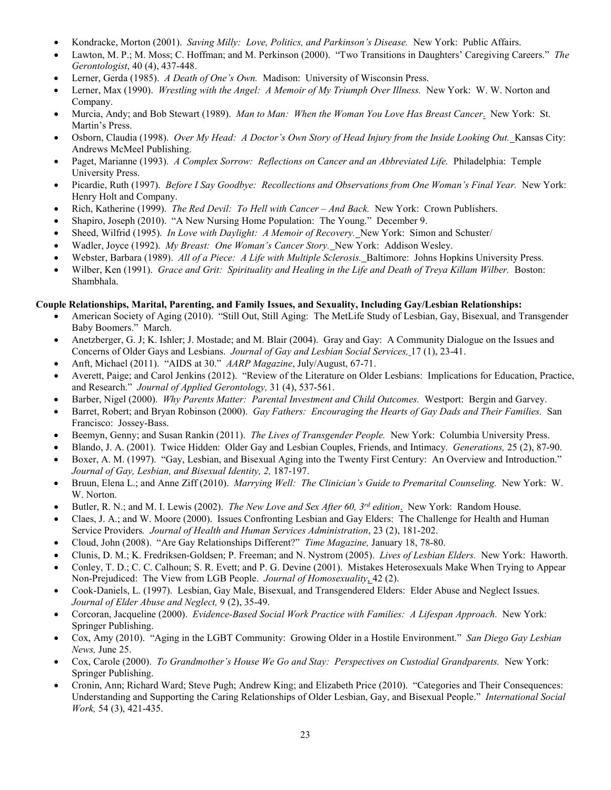- Kondracke, Morton (2001). *Saving Milly: Love, Politics, and Parkinson's Disease.* New York: Public Affairs.
- Lawton, M. P.; M. Moss; C. Hoffman; and M. Perkinson (2000). "Two Transitions in Daughters' Caregiving Careers." *The Gerontologist*, 40 (4), 437-448.
- Lerner, Gerda (1985). *A Death of One's Own.* Madison: University of Wisconsin Press.
- Lerner, Max (1990). *Wrestling with the Angel: A Memoir of My Triumph Over Illness.* New York: W. W. Norton and Company.
- Murcia, Andy; and Bob Stewart (1989). *Man to Man: When the Woman You Love Has Breast Cancer*. New York: St. Martin's Press.
- Osborn, Claudia (1998). *Over My Head: A Doctor's Own Story of Head Injury from the Inside Looking Out.* Kansas City: Andrews McMeel Publishing.
- Paget, Marianne (1993). *A Complex Sorrow: Reflections on Cancer and an Abbreviated Life.* Philadelphia: Temple University Press.
- Picardie, Ruth (1997). *Before I Say Goodbye: Recollections and Observations from One Woman's Final Year.* New York: Henry Holt and Company.
- Rich, Katherine (1999). *The Red Devil: To Hell with Cancer – And Back.* New York: Crown Publishers.
- Shapiro, Joseph (2010). "A New Nursing Home Population: The Young." December 9.
- Sheed, Wilfrid (1995). *In Love with Daylight: A Memoir of Recovery.* New York: Simon and Schuster/
- Wadler, Joyce (1992). *My Breast: One Woman's Cancer Story.* New York: Addison Wesley.
- Webster, Barbara (1989). *All of a Piece: A Life with Multiple Sclerosis.* Baltimore: Johns Hopkins University Press.
- Wilber, Ken (1991). *Grace and Grit: Spirituality and Healing in the Life and Death of Treya Killam Wilber.* Boston: Shambhala.

#### **Couple Relationships, Marital, Parenting, and Family Issues, and Sexuality, Including Gay/Lesbian Relationships:**

- American Society of Aging (2010). "Still Out, Still Aging: The MetLife Study of Lesbian, Gay, Bisexual, and Transgender Baby Boomers." March.
- Anetzberger, G. J; K. Ishler; J. Mostade; and M. Blair (2004). Gray and Gay: A Community Dialogue on the Issues and Concerns of Older Gays and Lesbians. *Journal of Gay and Lesbian Social Services,* 17 (1), 23-41.
- Anft, Michael (2011). "AIDS at 30." *AARP Magazine*, July/August, 67-71.
- Averett, Paige; and Carol Jenkins (2012). "Review of the Literature on Older Lesbians: Implications for Education, Practice, and Research." *Journal of Applied Gerontology,* 31 (4), 537-561.
- Barber, Nigel (2000). *Why Parents Matter: Parental Investment and Child Outcomes.* Westport: Bergin and Garvey.
- Barret, Robert; and Bryan Robinson (2000). *Gay Fathers: Encouraging the Hearts of Gay Dads and Their Families.* San Francisco: Jossey-Bass.
- Beemyn, Genny; and Susan Rankin (2011). *The Lives of Transgender People.* New York: Columbia University Press.
- Blando, J. A. (2001). Twice Hidden: Older Gay and Lesbian Couples, Friends, and Intimacy. *Generations,* 25 (2), 87-90.
- Boxer, A. M. (1997). "Gay, Lesbian, and Bisexual Aging into the Twenty First Century: An Overview and Introduction." *Journal of Gay, Lesbian, and Bisexual Identity, 2,* 187-197.
- Bruun, Elena L.; and Anne Ziff (2010). *Marrying Well: The Clinician's Guide to Premarital Counseling.* New York: W. W. Norton.
- Butler, R. N.; and M. I. Lewis (2002). *The New Love and Sex After 60, 3rd edition*. New York: Random House.
- Claes, J. A.; and W. Moore (2000). Issues Confronting Lesbian and Gay Elders: The Challenge for Health and Human Service Providers*. Journal of Health and Human Services Administration*, 23 (2), 181-202.
- Cloud, John (2008). "Are Gay Relationships Different?" *Time Magazine,* January 18, 78-80.
- Clunis, D. M.; K. Fredriksen-Goldsen; P. Freeman; and N. Nystrom (2005). *Lives of Lesbian Elders.* New York: Haworth.
- Conley, T. D.; C. C. Calhoun; S. R. Evett; and P. G. Devine (2001). Mistakes Heterosexuals Make When Trying to Appear Non-Prejudiced: The View from LGB People. *Journal of Homosexuality*, 42 (2).
- Cook-Daniels, L. (1997). Lesbian, Gay Male, Bisexual, and Transgendered Elders: Elder Abuse and Neglect Issues. *Journal of Elder Abuse and Neglect,* 9 (2), 35-49.
- Corcoran, Jacqueline (2000). *Evidence-Based Social Work Practice with Families: A Lifespan Approach.* New York: Springer Publishing.
- Cox, Amy (2010). "Aging in the LGBT Community: Growing Older in a Hostile Environment." *San Diego Gay Lesbian News,* June 25.
- Cox, Carole (2000). *To Grandmother's House We Go and Stay: Perspectives on Custodial Grandparents.* New York: Springer Publishing.
- Cronin, Ann; Richard Ward; Steve Pugh; Andrew King; and Elizabeth Price (2010). "Categories and Their Consequences: Understanding and Supporting the Caring Relationships of Older Lesbian, Gay, and Bisexual People." *International Social Work,* 54 (3), 421-435.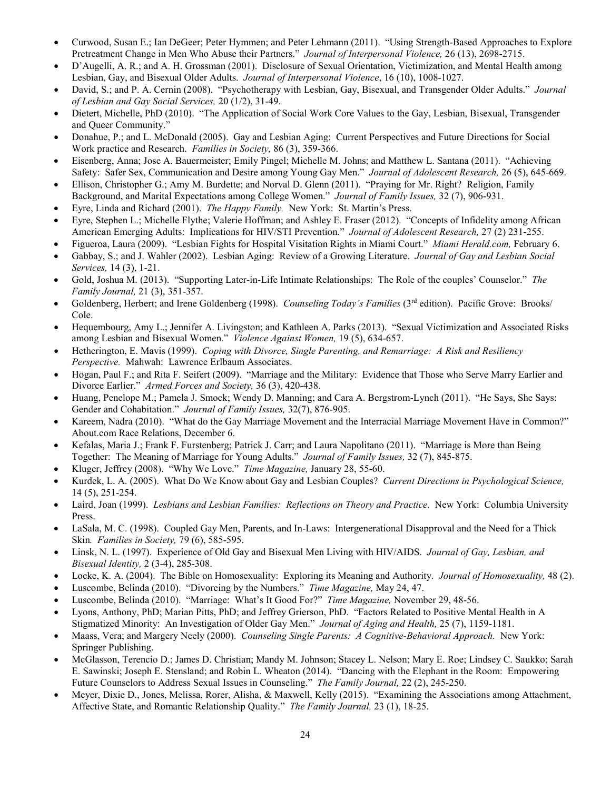- Curwood, Susan E.; Ian DeGeer; Peter Hymmen; and Peter Lehmann (2011). "Using Strength-Based Approaches to Explore Pretreatment Change in Men Who Abuse their Partners." *Journal of Interpersonal Violence,* 26 (13), 2698-2715.
- D'Augelli, A. R.; and A. H. Grossman (2001). Disclosure of Sexual Orientation, Victimization, and Mental Health among Lesbian, Gay, and Bisexual Older Adults. *Journal of Interpersonal Violence*, 16 (10), 1008-1027.
- David, S.; and P. A. Cernin (2008). "Psychotherapy with Lesbian, Gay, Bisexual, and Transgender Older Adults." *Journal of Lesbian and Gay Social Services,* 20 (1/2), 31-49.
- Dietert, Michelle, PhD (2010). "The Application of Social Work Core Values to the Gay, Lesbian, Bisexual, Transgender and Queer Community."
- Donahue, P.; and L. McDonald (2005). Gay and Lesbian Aging: Current Perspectives and Future Directions for Social Work practice and Research. *Families in Society,* 86 (3), 359-366.
- Eisenberg, Anna; Jose A. Bauermeister; Emily Pingel; Michelle M. Johns; and Matthew L. Santana (2011). "Achieving Safety: Safer Sex, Communication and Desire among Young Gay Men." *Journal of Adolescent Research,* 26 (5), 645-669.
- Ellison, Christopher G.; Amy M. Burdette; and Norval D. Glenn (2011). "Praying for Mr. Right? Religion, Family Background, and Marital Expectations among College Women." *Journal of Family Issues,* 32 (7), 906-931.
- Eyre, Linda and Richard (2001). *The Happy Family.* New York: St. Martin's Press.
- Eyre, Stephen L.; Michelle Flythe; Valerie Hoffman; and Ashley E. Fraser (2012). "Concepts of Infidelity among African American Emerging Adults: Implications for HIV/STI Prevention." *Journal of Adolescent Research,* 27 (2) 231-255.
- Figueroa, Laura (2009). "Lesbian Fights for Hospital Visitation Rights in Miami Court." *Miami Herald.com,* February 6.
- Gabbay, S.; and J. Wahler (2002). Lesbian Aging: Review of a Growing Literature. *Journal of Gay and Lesbian Social Services,* 14 (3), 1-21.
- Gold, Joshua M. (2013). "Supporting Later-in-Life Intimate Relationships: The Role of the couples' Counselor." *The Family Journal,* 21 (3), 351-357.
- Goldenberg, Herbert; and Irene Goldenberg (1998). *Counseling Today's Families* (3rd edition). Pacific Grove: Brooks/ Cole.
- Hequembourg, Amy L.; Jennifer A. Livingston; and Kathleen A. Parks (2013). "Sexual Victimization and Associated Risks among Lesbian and Bisexual Women." *Violence Against Women,* 19 (5), 634-657.
- Hetherington, E. Mavis (1999). *Coping with Divorce, Single Parenting, and Remarriage: A Risk and Resiliency Perspective.* Mahwah: Lawrence Erlbaum Associates.
- Hogan, Paul F.; and Rita F. Seifert (2009). "Marriage and the Military: Evidence that Those who Serve Marry Earlier and Divorce Earlier." *Armed Forces and Society,* 36 (3), 420-438.
- Huang, Penelope M.; Pamela J. Smock; Wendy D. Manning; and Cara A. Bergstrom-Lynch (2011). "He Says, She Says: Gender and Cohabitation." *Journal of Family Issues,* 32(7), 876-905.
- Kareem, Nadra (2010). "What do the Gay Marriage Movement and the Interracial Marriage Movement Have in Common?" About.com Race Relations, December 6.
- Kefalas, Maria J.; Frank F. Furstenberg; Patrick J. Carr; and Laura Napolitano (2011). "Marriage is More than Being Together: The Meaning of Marriage for Young Adults." *Journal of Family Issues,* 32 (7), 845-875.
- Kluger, Jeffrey (2008). "Why We Love." *Time Magazine,* January 28, 55-60.
- Kurdek, L. A. (2005). What Do We Know about Gay and Lesbian Couples? *Current Directions in Psychological Science,* 14 (5), 251-254.
- Laird, Joan (1999). *Lesbians and Lesbian Families: Reflections on Theory and Practice.* New York: Columbia University Press.
- LaSala, M. C. (1998). Coupled Gay Men, Parents, and In-Laws: Intergenerational Disapproval and the Need for a Thick Skin*. Families in Society,* 79 (6), 585-595.
- Linsk, N. L. (1997). Experience of Old Gay and Bisexual Men Living with HIV/AIDS. *Journal of Gay, Lesbian, and Bisexual Identity,* 2 (3-4), 285-308.
- Locke, K. A. (2004). The Bible on Homosexuality: Exploring its Meaning and Authority. *Journal of Homosexuality,* 48 (2).
- Luscombe, Belinda (2010). "Divorcing by the Numbers." *Time Magazine,* May 24, 47.
- Luscombe, Belinda (2010). "Marriage: What's It Good For?" *Time Magazine,* November 29, 48-56.
- Lyons, Anthony, PhD; Marian Pitts, PhD; and Jeffrey Grierson, PhD. "Factors Related to Positive Mental Health in A Stigmatized Minority: An Investigation of Older Gay Men." *Journal of Aging and Health,* 25 (7), 1159-1181.
- Maass, Vera; and Margery Neely (2000). *Counseling Single Parents: A Cognitive-Behavioral Approach.* New York: Springer Publishing.
- McGlasson, Terencio D.; James D. Christian; Mandy M. Johnson; Stacey L. Nelson; Mary E. Roe; Lindsey C. Saukko; Sarah E. Sawinski; Joseph E. Stensland; and Robin L. Wheaton (2014). "Dancing with the Elephant in the Room: Empowering Future Counselors to Address Sexual Issues in Counseling." *The Family Journal,* 22 (2), 245-250.
- Meyer, Dixie D., Jones, Melissa, Rorer, Alisha, & Maxwell, Kelly (2015). "Examining the Associations among Attachment, Affective State, and Romantic Relationship Quality." *The Family Journal,* 23 (1), 18-25.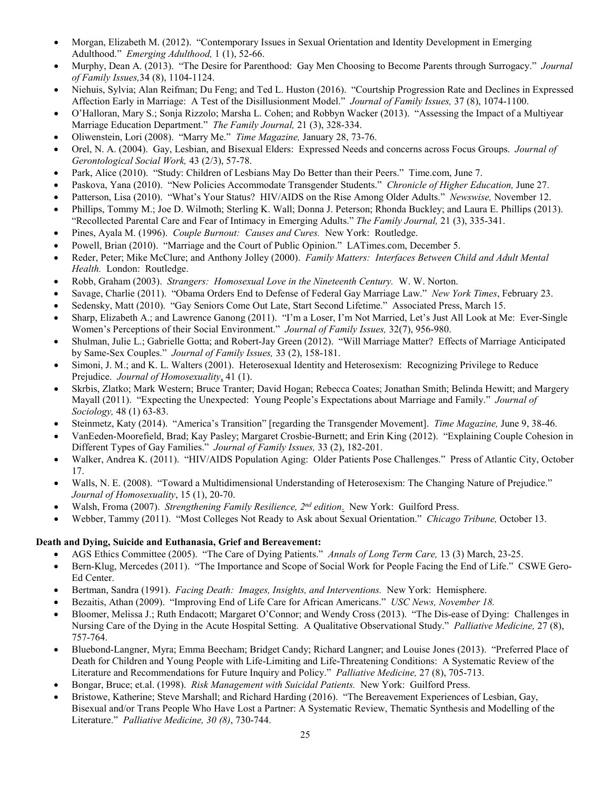- Morgan, Elizabeth M. (2012). "Contemporary Issues in Sexual Orientation and Identity Development in Emerging Adulthood." *Emerging Adulthood,* 1 (1), 52-66.
- Murphy, Dean A. (2013). "The Desire for Parenthood: Gay Men Choosing to Become Parents through Surrogacy." *Journal of Family Issues,*34 (8), 1104-1124.
- Niehuis, Sylvia; Alan Reifman; Du Feng; and Ted L. Huston (2016). "Courtship Progression Rate and Declines in Expressed Affection Early in Marriage: A Test of the Disillusionment Model." *Journal of Family Issues,* 37 (8), 1074-1100.
- O'Halloran, Mary S.; Sonja Rizzolo; Marsha L. Cohen; and Robbyn Wacker (2013). "Assessing the Impact of a Multiyear Marriage Education Department." *The Family Journal,* 21 (3), 328-334.
- Oliwenstein, Lori (2008). "Marry Me." *Time Magazine,* January 28, 73-76.
- Orel, N. A. (2004). Gay, Lesbian, and Bisexual Elders: Expressed Needs and concerns across Focus Groups. *Journal of Gerontological Social Work,* 43 (2/3), 57-78.
- Park, Alice (2010). "Study: Children of Lesbians May Do Better than their Peers." Time.com, June 7.
- Paskova, Yana (2010). "New Policies Accommodate Transgender Students." *Chronicle of Higher Education,* June 27.
- Patterson, Lisa (2010). "What's Your Status? HIV/AIDS on the Rise Among Older Adults." *Newswise,* November 12.
- Phillips, Tommy M.; Joe D. Wilmoth; Sterling K. Wall; Donna J. Peterson; Rhonda Buckley; and Laura E. Phillips (2013). "Recollected Parental Care and Fear of Intimacy in Emerging Adults." *The Family Journal,* 21 (3), 335-341.
- Pines, Ayala M. (1996). *Couple Burnout: Causes and Cures.* New York: Routledge.
- Powell, Brian (2010). "Marriage and the Court of Public Opinion." LATimes.com, December 5.
- Reder, Peter; Mike McClure; and Anthony Jolley (2000). *Family Matters: Interfaces Between Child and Adult Mental Health.* London: Routledge.
- Robb, Graham (2003). *Strangers: Homosexual Love in the Nineteenth Century.* W. W. Norton.
- Savage, Charlie (2011). "Obama Orders End to Defense of Federal Gay Marriage Law." *New York Times*, February 23.
- Sedensky, Matt (2010). "Gay Seniors Come Out Late, Start Second Lifetime." Associated Press, March 15.
- Sharp, Elizabeth A.; and Lawrence Ganong (2011). "I'm a Loser, I'm Not Married, Let's Just All Look at Me: Ever-Single Women's Perceptions of their Social Environment." *Journal of Family Issues,* 32(7), 956-980.
- Shulman, Julie L.; Gabrielle Gotta; and Robert-Jay Green (2012). "Will Marriage Matter? Effects of Marriage Anticipated by Same-Sex Couples." *Journal of Family Issues,* 33 (2), 158-181.
- Simoni, J. M.; and K. L. Walters (2001). Heterosexual Identity and Heterosexism: Recognizing Privilege to Reduce Prejudice. *Journal of Homosexuality*, 41 (1).
- Skrbis, Zlatko; Mark Western; Bruce Tranter; David Hogan; Rebecca Coates; Jonathan Smith; Belinda Hewitt; and Margery Mayall (2011). "Expecting the Unexpected: Young People's Expectations about Marriage and Family." *Journal of Sociology,* 48 (1) 63-83.
- Steinmetz, Katy (2014). "America's Transition" [regarding the Transgender Movement]. *Time Magazine,* June 9, 38-46.
- VanEeden-Moorefield, Brad; Kay Pasley; Margaret Crosbie-Burnett; and Erin King (2012). "Explaining Couple Cohesion in Different Types of Gay Families." *Journal of Family Issues,* 33 (2), 182-201.
- Walker, Andrea K. (2011). "HIV/AIDS Population Aging: Older Patients Pose Challenges." Press of Atlantic City, October 17.
- Walls, N. E. (2008). "Toward a Multidimensional Understanding of Heterosexism: The Changing Nature of Prejudice." *Journal of Homosexuality*, 15 (1), 20-70.
- Walsh, Froma (2007). *Strengthening Family Resilience, 2nd edition*. New York: Guilford Press.
- Webber, Tammy (2011). "Most Colleges Not Ready to Ask about Sexual Orientation." *Chicago Tribune,* October 13.

#### **Death and Dying, Suicide and Euthanasia, Grief and Bereavement:**

- AGS Ethics Committee (2005). "The Care of Dying Patients." *Annals of Long Term Care,* 13 (3) March, 23-25.
- Bern-Klug, Mercedes (2011). "The Importance and Scope of Social Work for People Facing the End of Life." CSWE Gero-Ed Center.
- Bertman, Sandra (1991). *Facing Death: Images, Insights, and Interventions.* New York: Hemisphere.
- Bezaitis, Athan (2009). "Improving End of Life Care for African Americans." *USC News, November 18.*
- Bloomer, Melissa J.; Ruth Endacott; Margaret O'Connor; and Wendy Cross (2013). "The Dis-ease of Dying: Challenges in Nursing Care of the Dying in the Acute Hospital Setting. A Qualitative Observational Study." *Palliative Medicine,* 27 (8), 757-764.
- Bluebond-Langner, Myra; Emma Beecham; Bridget Candy; Richard Langner; and Louise Jones (2013). "Preferred Place of Death for Children and Young People with Life-Limiting and Life-Threatening Conditions: A Systematic Review of the Literature and Recommendations for Future Inquiry and Policy." *Palliative Medicine,* 27 (8), 705-713.
- Bongar, Bruce; et.al. (1998). *Risk Management with Suicidal Patients.* New York: Guilford Press.
- Bristowe, Katherine; Steve Marshall; and Richard Harding (2016). "The Bereavement Experiences of Lesbian, Gay, Bisexual and/or Trans People Who Have Lost a Partner: A Systematic Review, Thematic Synthesis and Modelling of the Literature." *Palliative Medicine, 30 (8)*, 730-744.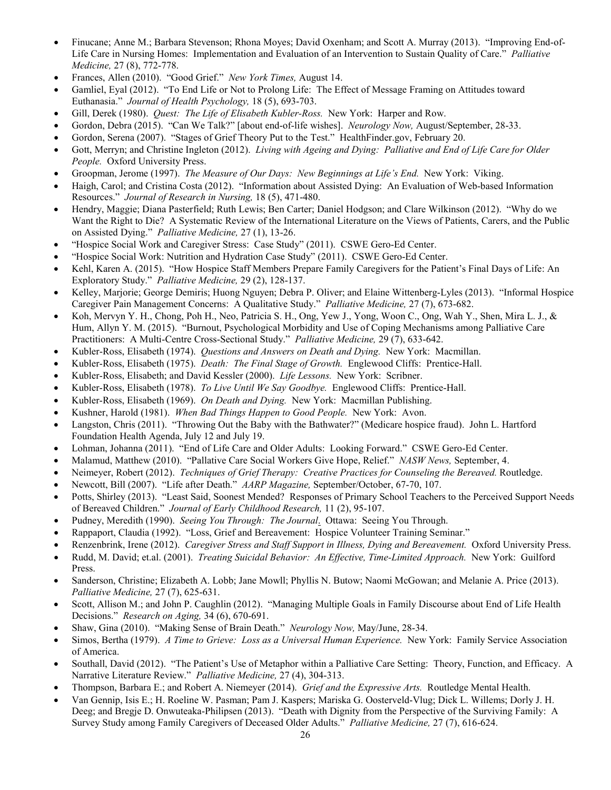- Finucane; Anne M.; Barbara Stevenson; Rhona Moyes; David Oxenham; and Scott A. Murray (2013). "Improving End-of-Life Care in Nursing Homes: Implementation and Evaluation of an Intervention to Sustain Quality of Care." *Palliative Medicine,* 27 (8), 772-778.
- Frances, Allen (2010). "Good Grief." *New York Times,* August 14.
- Gamliel, Eyal (2012). "To End Life or Not to Prolong Life: The Effect of Message Framing on Attitudes toward Euthanasia." *Journal of Health Psychology,* 18 (5), 693-703.
- Gill, Derek (1980). *Quest: The Life of Elisabeth Kubler-Ross.* New York: Harper and Row.
- Gordon, Debra (2015). "Can We Talk?" [about end-of-life wishes]. *Neurology Now,* August/September, 28-33.
- Gordon, Serena (2007). "Stages of Grief Theory Put to the Test." HealthFinder.gov, February 20.
- Gott, Merryn; and Christine Ingleton (2012). *Living with Ageing and Dying: Palliative and End of Life Care for Older People.* Oxford University Press.
- Groopman, Jerome (1997). *The Measure of Our Days: New Beginnings at Life's End.* New York: Viking.
- Haigh, Carol; and Cristina Costa (2012). "Information about Assisted Dying: An Evaluation of Web-based Information Resources." *Journal of Research in Nursing,* 18 (5), 471-480.
- Hendry, Maggie; Diana Pasterfield; Ruth Lewis; Ben Carter; Daniel Hodgson; and Clare Wilkinson (2012). "Why do we Want the Right to Die? A Systematic Review of the International Literature on the Views of Patients, Carers, and the Public on Assisted Dying." *Palliative Medicine,* 27 (1), 13-26.
- "Hospice Social Work and Caregiver Stress: Case Study" (2011). CSWE Gero-Ed Center.
- "Hospice Social Work: Nutrition and Hydration Case Study" (2011). CSWE Gero-Ed Center.
- Kehl, Karen A. (2015). "How Hospice Staff Members Prepare Family Caregivers for the Patient's Final Days of Life: An Exploratory Study." *Palliative Medicine,* 29 (2), 128-137.
- Kelley, Marjorie; George Demiris; Huong Nguyen; Debra P. Oliver; and Elaine Wittenberg-Lyles (2013). "Informal Hospice Caregiver Pain Management Concerns: A Qualitative Study." *Palliative Medicine,* 27 (7), 673-682.
- Koh, Mervyn Y. H., Chong, Poh H., Neo, Patricia S. H., Ong, Yew J., Yong, Woon C., Ong, Wah Y., Shen, Mira L. J., & Hum, Allyn Y. M. (2015). "Burnout, Psychological Morbidity and Use of Coping Mechanisms among Palliative Care Practitioners: A Multi-Centre Cross-Sectional Study." *Palliative Medicine,* 29 (7), 633-642.
- Kubler-Ross, Elisabeth (1974). *Questions and Answers on Death and Dying.* New York: Macmillan.
- Kubler-Ross, Elisabeth (1975). *Death: The Final Stage of Growth.* Englewood Cliffs: Prentice-Hall.
- Kubler-Ross, Elisabeth; and David Kessler (2000). *Life Lessons.* New York: Scribner.
- Kubler-Ross, Elisabeth (1978). *To Live Until We Say Goodbye.* Englewood Cliffs: Prentice-Hall.
- Kubler-Ross, Elisabeth (1969). *On Death and Dying.* New York: Macmillan Publishing.
- Kushner, Harold (1981). *When Bad Things Happen to Good People.* New York: Avon.
- Langston, Chris (2011). "Throwing Out the Baby with the Bathwater?" (Medicare hospice fraud). John L. Hartford Foundation Health Agenda, July 12 and July 19.
- Lohman, Johanna (2011). "End of Life Care and Older Adults: Looking Forward." CSWE Gero-Ed Center.
- Malamud, Matthew (2010). "Pallative Care Social Workers Give Hope, Relief." *NASW News,* September, 4.
- Neimeyer, Robert (2012). *Techniques of Grief Therapy: Creative Practices for Counseling the Bereaved.* Routledge.
- Newcott, Bill (2007). "Life after Death." *AARP Magazine,* September/October, 67-70, 107.
- Potts, Shirley (2013). "Least Said, Soonest Mended? Responses of Primary School Teachers to the Perceived Support Needs of Bereaved Children." *Journal of Early Childhood Research,* 11 (2), 95-107.
- Pudney, Meredith (1990). *Seeing You Through: The Journal*. Ottawa: Seeing You Through.
- Rappaport, Claudia (1992). "Loss, Grief and Bereavement: Hospice Volunteer Training Seminar."
- Renzenbrink, Irene (2012). *Caregiver Stress and Staff Support in Illness, Dying and Bereavement.* Oxford University Press.
- Rudd, M. David; et.al. (2001). *Treating Suicidal Behavior: An Effective, Time-Limited Approach.* New York: Guilford Press.
- Sanderson, Christine; Elizabeth A. Lobb; Jane Mowll; Phyllis N. Butow; Naomi McGowan; and Melanie A. Price (2013). *Palliative Medicine,* 27 (7), 625-631.
- Scott, Allison M.; and John P. Caughlin (2012). "Managing Multiple Goals in Family Discourse about End of Life Health Decisions." *Research on Aging,* 34 (6), 670-691.
- Shaw, Gina (2010). "Making Sense of Brain Death." *Neurology Now,* May/June, 28-34.
- Simos, Bertha (1979). *A Time to Grieve: Loss as a Universal Human Experience.* New York: Family Service Association of America.
- Southall, David (2012). "The Patient's Use of Metaphor within a Palliative Care Setting: Theory, Function, and Efficacy. A Narrative Literature Review." *Palliative Medicine,* 27 (4), 304-313.
- Thompson, Barbara E.; and Robert A. Niemeyer (2014). *Grief and the Expressive Arts.* Routledge Mental Health.
- Van Gennip, Isis E.; H. Roeline W. Pasman; Pam J. Kaspers; Mariska G. Oosterveld-Vlug; Dick L. Willems; Dorly J. H. Deeg; and Bregje D. Onwuteaka-Philipsen (2013). "Death with Dignity from the Perspective of the Surviving Family: A Survey Study among Family Caregivers of Deceased Older Adults." *Palliative Medicine,* 27 (7), 616-624.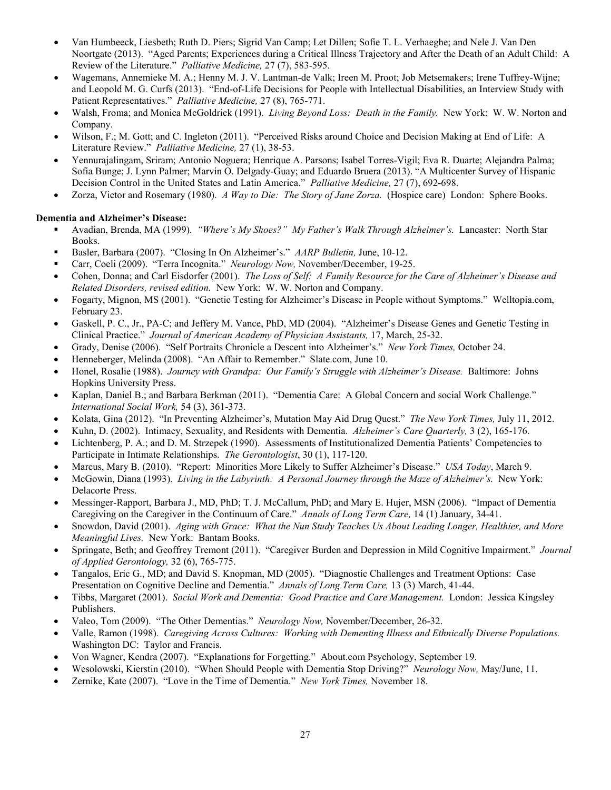- Van Humbeeck, Liesbeth; Ruth D. Piers; Sigrid Van Camp; Let Dillen; Sofie T. L. Verhaeghe; and Nele J. Van Den Noortgate (2013). "Aged Parents; Experiences during a Critical Illness Trajectory and After the Death of an Adult Child: A Review of the Literature." *Palliative Medicine,* 27 (7), 583-595.
- Wagemans, Annemieke M. A.; Henny M. J. V. Lantman-de Valk; Ireen M. Proot; Job Metsemakers; Irene Tuffrey-Wijne; and Leopold M. G. Curfs (2013). "End-of-Life Decisions for People with Intellectual Disabilities, an Interview Study with Patient Representatives." *Palliative Medicine,* 27 (8), 765-771.
- Walsh, Froma; and Monica McGoldrick (1991). *Living Beyond Loss: Death in the Family.* New York: W. W. Norton and Company.
- Wilson, F.; M. Gott; and C. Ingleton (2011). "Perceived Risks around Choice and Decision Making at End of Life: A Literature Review." *Palliative Medicine,* 27 (1), 38-53.
- Yennurajalingam, Sriram; Antonio Noguera; Henrique A. Parsons; Isabel Torres-Vigil; Eva R. Duarte; Alejandra Palma; Sofia Bunge; J. Lynn Palmer; Marvin O. Delgady-Guay; and Eduardo Bruera (2013). "A Multicenter Survey of Hispanic Decision Control in the United States and Latin America." *Palliative Medicine,* 27 (7), 692-698.
- Zorza, Victor and Rosemary (1980). *A Way to Die: The Story of Jane Zorza.* (Hospice care) London: Sphere Books.

#### **Dementia and Alzheimer's Disease:**

- Avadian, Brenda, MA (1999). *"Where's My Shoes?" My Father's Walk Through Alzheimer's.* Lancaster: North Star Books.
- Basler, Barbara (2007). "Closing In On Alzheimer's." *AARP Bulletin,* June, 10-12.
- Carr, Coeli (2009). "Terra Incognita." *Neurology Now,* November/December, 19-25.
- Cohen, Donna; and Carl Eisdorfer (2001). *The Loss of Self: A Family Resource for the Care of Alzheimer's Disease and Related Disorders, revised edition.* New York: W. W. Norton and Company.
- Fogarty, Mignon, MS (2001). "Genetic Testing for Alzheimer's Disease in People without Symptoms." Welltopia.com, February 23.
- Gaskell, P. C., Jr., PA-C; and Jeffery M. Vance, PhD, MD (2004). "Alzheimer's Disease Genes and Genetic Testing in Clinical Practice." *Journal of American Academy of Physician Assistants,* 17, March, 25-32.
- Grady, Denise (2006). "Self Portraits Chronicle a Descent into Alzheimer's." *New York Times,* October 24.
- Henneberger, Melinda (2008). "An Affair to Remember." Slate.com, June 10.
- Honel, Rosalie (1988). *Journey with Grandpa: Our Family's Struggle with Alzheimer's Disease.* Baltimore: Johns Hopkins University Press.
- Kaplan, Daniel B.; and Barbara Berkman (2011). "Dementia Care: A Global Concern and social Work Challenge." *International Social Work,* 54 (3), 361-373.
- Kolata, Gina (2012). "In Preventing Alzheimer's, Mutation May Aid Drug Quest." *The New York Times,* July 11, 2012.
- Kuhn, D. (2002). Intimacy, Sexuality, and Residents with Dementia. *Alzheimer's Care Quarterly,* 3 (2), 165-176.
- Lichtenberg, P. A.; and D. M. Strzepek (1990). Assessments of Institutionalized Dementia Patients' Competencies to Participate in Intimate Relationships. *The Gerontologist*, 30 (1), 117-120.
- Marcus, Mary B. (2010). "Report: Minorities More Likely to Suffer Alzheimer's Disease." *USA Today*, March 9.
- McGowin, Diana (1993). *Living in the Labyrinth: A Personal Journey through the Maze of Alzheimer's.* New York: Delacorte Press.
- Messinger-Rapport, Barbara J., MD, PhD; T. J. McCallum, PhD; and Mary E. Hujer, MSN (2006). "Impact of Dementia Caregiving on the Caregiver in the Continuum of Care." *Annals of Long Term Care,* 14 (1) January, 34-41.
- Snowdon, David (2001). *Aging with Grace: What the Nun Study Teaches Us About Leading Longer, Healthier, and More Meaningful Lives.* New York: Bantam Books.
- Springate, Beth; and Geoffrey Tremont (2011). "Caregiver Burden and Depression in Mild Cognitive Impairment." *Journal of Applied Gerontology,* 32 (6), 765-775.
- Tangalos, Eric G., MD; and David S. Knopman, MD (2005). "Diagnostic Challenges and Treatment Options: Case Presentation on Cognitive Decline and Dementia." *Annals of Long Term Care,* 13 (3) March, 41-44.
- Tibbs, Margaret (2001). *Social Work and Dementia: Good Practice and Care Management.* London: Jessica Kingsley Publishers.
- Valeo, Tom (2009). "The Other Dementias." *Neurology Now,* November/December, 26-32.
- Valle, Ramon (1998). *Caregiving Across Cultures: Working with Dementing Illness and Ethnically Diverse Populations.* Washington DC: Taylor and Francis.
- Von Wagner, Kendra (2007). "Explanations for Forgetting." About.com Psychology, September 19.
- Wesolowski, Kierstin (2010). "When Should People with Dementia Stop Driving?" *Neurology Now,* May/June, 11.
- Zernike, Kate (2007). "Love in the Time of Dementia." *New York Times,* November 18.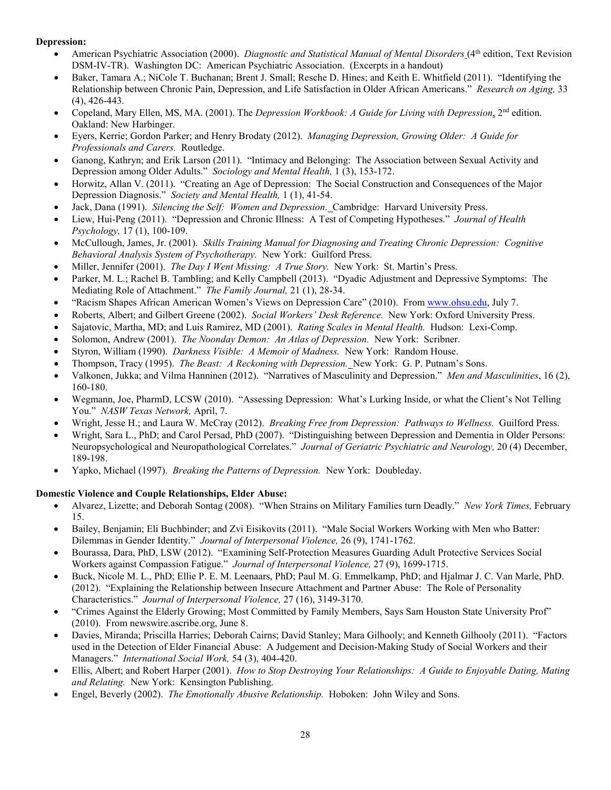#### **Depression:**

- American Psychiatric Association (2000). *Diagnostic and Statistical Manual of Mental Disorders* (4th edition, Text Revision DSM-IV-TR). Washington DC: American Psychiatric Association. (Excerpts in a handout)
- Baker, Tamara A.; NiCole T. Buchanan; Brent J. Small; Resche D. Hines; and Keith E. Whitfield (2011). "Identifying the Relationship between Chronic Pain, Depression, and Life Satisfaction in Older African Americans." *Research on Aging,* 33 (4), 426-443.
- Copeland, Mary Ellen, MS, MA. (2001). The *Depression Workbook: A Guide for Living with Depression*, 2nd edition. Oakland: New Harbinger.
- Eyers, Kerrie; Gordon Parker; and Henry Brodaty (2012). *Managing Depression, Growing Older: A Guide for Professionals and Carers.* Routledge.
- Ganong, Kathryn; and Erik Larson (2011). "Intimacy and Belonging: The Association between Sexual Activity and Depression among Older Adults." *Sociology and Mental Health,* 1 (3), 153-172.
- Horwitz, Allan V. (2011). "Creating an Age of Depression: The Social Construction and Consequences of the Major Depression Diagnosis." *Society and Mental Health,* 1 (1), 41-54.
- Jack, Dana (1991). *Silencing the Self: Women and Depression.* Cambridge: Harvard University Press.
- Liew, Hui-Peng (2011). "Depression and Chronic Illness: A Test of Competing Hypotheses." *Journal of Health Psychology,* 17 (1), 100-109.
- McCullough, James, Jr. (2001). *Skills Training Manual for Diagnosing and Treating Chronic Depression: Cognitive Behavioral Analysis System of Psychotherapy.* New York: Guilford Press.
- Miller, Jennifer (2001). *The Day I Went Missing: A True Story.* New York: St. Martin's Press.
- Parker, M. L.; Rachel B. Tambling; and Kelly Campbell (2013). "Dyadic Adjustment and Depressive Symptoms: The Mediating Role of Attachment." *The Family Journal,* 21 (1), 28-34.
- "Racism Shapes African American Women's Views on Depression Care" (2010). From [www.ohsu.edu,](http://www.ohsu.edu/) July 7.
- Roberts, Albert; and Gilbert Greene (2002). *Social Workers' Desk Reference.* New York: Oxford University Press.
- Sajatovic, Martha, MD; and Luis Ramirez, MD (2001). *Rating Scales in Mental Health.* Hudson: Lexi-Comp.
- Solomon, Andrew (2001). *The Noonday Demon: An Atlas of Depression.* New York: Scribner.
- Styron, William (1990). *Darkness Visible: A Memoir of Madness.* New York: Random House.
- Thompson, Tracy (1995). *The Beast: A Reckoning with Depression.* New York: G. P. Putnam's Sons.
- Valkonen, Jukka; and Vilma Hanninen (2012). "Narratives of Masculinity and Depression." *Men and Masculinities*, 16 (2), 160-180.
- Wegmann, Joe, PharmD, LCSW (2010). "Assessing Depression: What's Lurking Inside, or what the Client's Not Telling You." *NASW Texas Network,* April, 7.
- Wright, Jesse H.; and Laura W. McCray (2012). *Breaking Free from Depression: Pathways to Wellness.* Guilford Press.
- Wright, Sara L., PhD; and Carol Persad, PhD (2007). "Distinguishing between Depression and Dementia in Older Persons: Neuropsychological and Neuropathological Correlates." *Journal of Geriatric Psychiatric and Neurology,* 20 (4) December, 189-198.
- Yapko, Michael (1997). *Breaking the Patterns of Depression.* New York: Doubleday.

#### **Domestic Violence and Couple Relationships, Elder Abuse:**

- Alvarez, Lizette; and Deborah Sontag (2008). "When Strains on Military Families turn Deadly." *New York Times,* February 15.
- Bailey, Benjamin; Eli Buchbinder; and Zvi Eisikovits (2011). "Male Social Workers Working with Men who Batter: Dilemmas in Gender Identity." *Journal of Interpersonal Violence,* 26 (9), 1741-1762.
- Bourassa, Dara, PhD, LSW (2012). "Examining Self-Protection Measures Guarding Adult Protective Services Social Workers against Compassion Fatigue." *Journal of Interpersonal Violence,* 27 (9), 1699-1715.
- Buck, Nicole M. L., PhD; Ellie P. E. M. Leenaars, PhD; Paul M. G. Emmelkamp, PhD; and Hjalmar J. C. Van Marle, PhD. (2012). "Explaining the Relationship between Insecure Attachment and Partner Abuse: The Role of Personality Characteristics." *Journal of Interpersonal Violence,* 27 (16), 3149-3170.
- "Crimes Against the Elderly Growing; Most Committed by Family Members, Says Sam Houston State University Prof" (2010). From newswire.ascribe.org, June 8.
- Davies, Miranda; Priscilla Harries; Deborah Cairns; David Stanley; Mara Gilhooly; and Kenneth Gilhooly (2011). "Factors used in the Detection of Elder Financial Abuse: A Judgement and Decision-Making Study of Social Workers and their Managers." *International Social Work,* 54 (3), 404-420.
- Ellis, Albert; and Robert Harper (2001). *How to Stop Destroying Your Relationships: A Guide to Enjoyable Dating, Mating and Relating.* New York: Kensington Publishing.
- Engel, Beverly (2002). *The Emotionally Abusive Relationship.* Hoboken: John Wiley and Sons.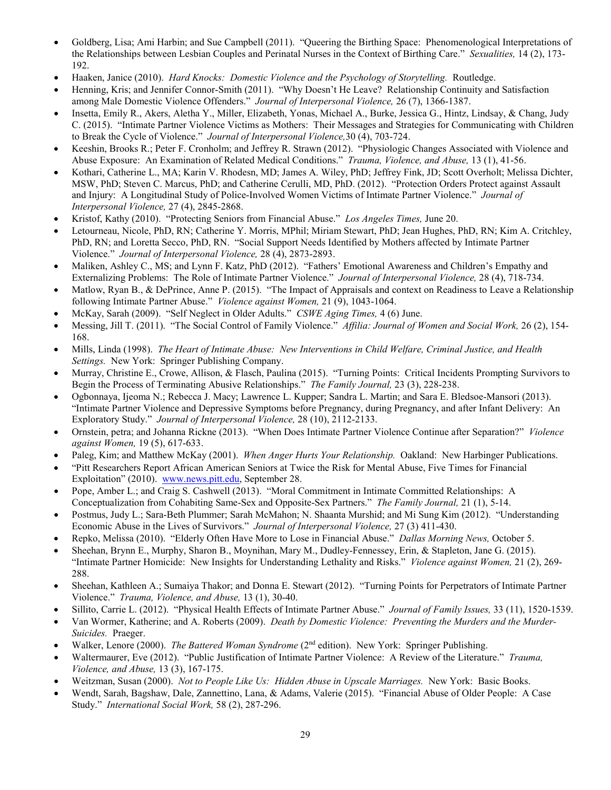- Goldberg, Lisa; Ami Harbin; and Sue Campbell (2011). "Queering the Birthing Space: Phenomenological Interpretations of the Relationships between Lesbian Couples and Perinatal Nurses in the Context of Birthing Care." *Sexualities,* 14 (2), 173- 192.
- Haaken, Janice (2010). *Hard Knocks: Domestic Violence and the Psychology of Storytelling.* Routledge.
- Henning, Kris; and Jennifer Connor-Smith (2011). "Why Doesn't He Leave? Relationship Continuity and Satisfaction among Male Domestic Violence Offenders." *Journal of Interpersonal Violence,* 26 (7), 1366-1387.
- Insetta, Emily R., Akers, Aletha Y., Miller, Elizabeth, Yonas, Michael A., Burke, Jessica G., Hintz, Lindsay, & Chang, Judy C. (2015). "Intimate Partner Violence Victims as Mothers: Their Messages and Strategies for Communicating with Children to Break the Cycle of Violence." *Journal of Interpersonal Violence,*30 (4), 703-724.
- Keeshin, Brooks R.; Peter F. Cronholm; and Jeffrey R. Strawn (2012). "Physiologic Changes Associated with Violence and Abuse Exposure: An Examination of Related Medical Conditions." *Trauma, Violence, and Abuse,* 13 (1), 41-56.
- Kothari, Catherine L., MA; Karin V. Rhodesn, MD; James A. Wiley, PhD; Jeffrey Fink, JD; Scott Overholt; Melissa Dichter, MSW, PhD; Steven C. Marcus, PhD; and Catherine Cerulli, MD, PhD. (2012). "Protection Orders Protect against Assault and Injury: A Longitudinal Study of Police-Involved Women Victims of Intimate Partner Violence." *Journal of Interpersonal Violence,* 27 (4), 2845-2868.
- Kristof, Kathy (2010). "Protecting Seniors from Financial Abuse." *Los Angeles Times,* June 20.
- Letourneau, Nicole, PhD, RN; Catherine Y. Morris, MPhil; Miriam Stewart, PhD; Jean Hughes, PhD, RN; Kim A. Critchley, PhD, RN; and Loretta Secco, PhD, RN. "Social Support Needs Identified by Mothers affected by Intimate Partner Violence." *Journal of Interpersonal Violence,* 28 (4), 2873-2893.
- Maliken, Ashley C., MS; and Lynn F. Katz, PhD (2012). "Fathers' Emotional Awareness and Children's Empathy and Externalizing Problems: The Role of Intimate Partner Violence." *Journal of Interpersonal Violence,* 28 (4), 718-734.
- Matlow, Ryan B., & DePrince, Anne P. (2015). "The Impact of Appraisals and context on Readiness to Leave a Relationship following Intimate Partner Abuse." *Violence against Women,* 21 (9), 1043-1064.
- McKay, Sarah (2009). "Self Neglect in Older Adults." *CSWE Aging Times,* 4 (6) June.
- Messing, Jill T. (2011). "The Social Control of Family Violence." *Affilia: Journal of Women and Social Work,* 26 (2), 154- 168.
- Mills, Linda (1998). *The Heart of Intimate Abuse: New Interventions in Child Welfare, Criminal Justice, and Health Settings.* New York: Springer Publishing Company.
- Murray, Christine E., Crowe, Allison, & Flasch, Paulina (2015). "Turning Points: Critical Incidents Prompting Survivors to Begin the Process of Terminating Abusive Relationships." *The Family Journal,* 23 (3), 228-238.
- Ogbonnaya, Ijeoma N.; Rebecca J. Macy; Lawrence L. Kupper; Sandra L. Martin; and Sara E. Bledsoe-Mansori (2013). "Intimate Partner Violence and Depressive Symptoms before Pregnancy, during Pregnancy, and after Infant Delivery: An Exploratory Study." *Journal of Interpersonal Violence,* 28 (10), 2112-2133.
- Ornstein, petra; and Johanna Rickne (2013). "When Does Intimate Partner Violence Continue after Separation?" *Violence against Women,* 19 (5), 617-633.
- Paleg, Kim; and Matthew McKay (2001). *When Anger Hurts Your Relationship.* Oakland: New Harbinger Publications.
- "Pitt Researchers Report African American Seniors at Twice the Risk for Mental Abuse, Five Times for Financial Exploitation" (2010). [www.news.pitt.edu,](http://www.news.pitt.edu/) September 28.
- Pope, Amber L.; and Craig S. Cashwell (2013). "Moral Commitment in Intimate Committed Relationships: A Conceptualization from Cohabiting Same-Sex and Opposite-Sex Partners." *The Family Journal,* 21 (1), 5-14.
- Postmus, Judy L.; Sara-Beth Plummer; Sarah McMahon; N. Shaanta Murshid; and Mi Sung Kim (2012). "Understanding Economic Abuse in the Lives of Survivors." *Journal of Interpersonal Violence,* 27 (3) 411-430.
- Repko, Melissa (2010). "Elderly Often Have More to Lose in Financial Abuse." *Dallas Morning News,* October 5.
- Sheehan, Brynn E., Murphy, Sharon B., Moynihan, Mary M., Dudley-Fennessey, Erin, & Stapleton, Jane G. (2015). "Intimate Partner Homicide: New Insights for Understanding Lethality and Risks." *Violence against Women,* 21 (2), 269- 288.
- Sheehan, Kathleen A.; Sumaiya Thakor; and Donna E. Stewart (2012). "Turning Points for Perpetrators of Intimate Partner Violence." *Trauma, Violence, and Abuse,* 13 (1), 30-40.
- Sillito, Carrie L. (2012). "Physical Health Effects of Intimate Partner Abuse." *Journal of Family Issues,* 33 (11), 1520-1539.
- Van Wormer, Katherine; and A. Roberts (2009). *Death by Domestic Violence: Preventing the Murders and the Murder-Suicides.* Praeger.
- Walker, Lenore (2000). *The Battered Woman Syndrome* (2nd edition). New York: Springer Publishing.
- Waltermaurer, Eve (2012). "Public Justification of Intimate Partner Violence: A Review of the Literature." *Trauma, Violence, and Abuse,* 13 (3), 167-175.
- Weitzman, Susan (2000). *Not to People Like Us: Hidden Abuse in Upscale Marriages.* New York: Basic Books.
- Wendt, Sarah, Bagshaw, Dale, Zannettino, Lana, & Adams, Valerie (2015). "Financial Abuse of Older People: A Case Study." *International Social Work,* 58 (2), 287-296.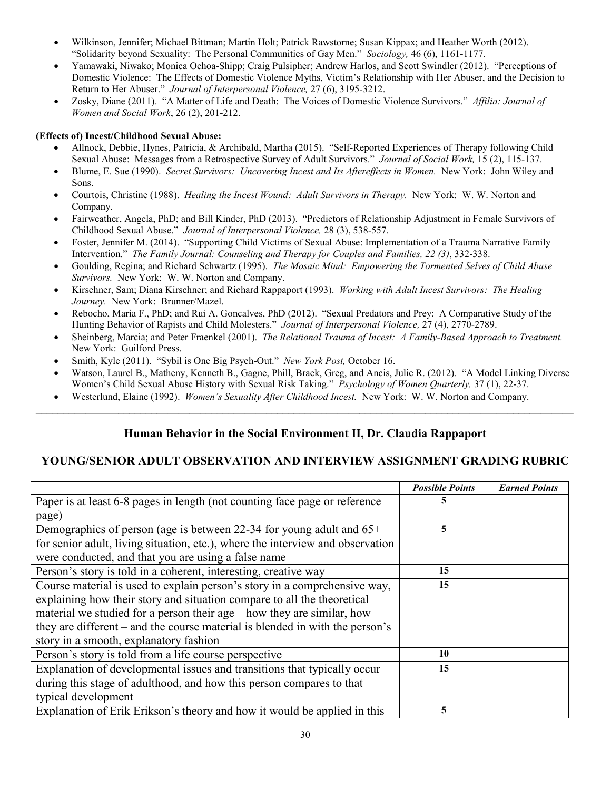- Wilkinson, Jennifer; Michael Bittman; Martin Holt; Patrick Rawstorne; Susan Kippax; and Heather Worth (2012). "Solidarity beyond Sexuality: The Personal Communities of Gay Men." *Sociology,* 46 (6), 1161-1177.
- Yamawaki, Niwako; Monica Ochoa-Shipp; Craig Pulsipher; Andrew Harlos, and Scott Swindler (2012). "Perceptions of Domestic Violence: The Effects of Domestic Violence Myths, Victim's Relationship with Her Abuser, and the Decision to Return to Her Abuser." *Journal of Interpersonal Violence,* 27 (6), 3195-3212.
- Zosky, Diane (2011). "A Matter of Life and Death: The Voices of Domestic Violence Survivors." *Affilia: Journal of Women and Social Work*, 26 (2), 201-212.

#### **(Effects of) Incest/Childhood Sexual Abuse:**

- Allnock, Debbie, Hynes, Patricia, & Archibald, Martha (2015). "Self-Reported Experiences of Therapy following Child Sexual Abuse: Messages from a Retrospective Survey of Adult Survivors." *Journal of Social Work,* 15 (2), 115-137.
- Blume, E. Sue (1990). *Secret Survivors: Uncovering Incest and Its Aftereffects in Women.* New York: John Wiley and Sons.
- Courtois, Christine (1988). *Healing the Incest Wound: Adult Survivors in Therapy.* New York: W. W. Norton and Company.
- Fairweather, Angela, PhD; and Bill Kinder, PhD (2013). "Predictors of Relationship Adjustment in Female Survivors of Childhood Sexual Abuse." *Journal of Interpersonal Violence,* 28 (3), 538-557.
- Foster, Jennifer M. (2014). "Supporting Child Victims of Sexual Abuse: Implementation of a Trauma Narrative Family Intervention." *The Family Journal: Counseling and Therapy for Couples and Families, 22 (3)*, 332-338.
- Goulding, Regina; and Richard Schwartz (1995). *The Mosaic Mind: Empowering the Tormented Selves of Child Abuse Survivors.* New York: W. W. Norton and Company.
- Kirschner, Sam; Diana Kirschner; and Richard Rappaport (1993). *Working with Adult Incest Survivors: The Healing Journey.* New York: Brunner/Mazel.
- Rebocho, Maria F., PhD; and Rui A. Goncalves, PhD (2012). "Sexual Predators and Prey: A Comparative Study of the Hunting Behavior of Rapists and Child Molesters." *Journal of Interpersonal Violence,* 27 (4), 2770-2789.
- Sheinberg, Marcia; and Peter Fraenkel (2001). *The Relational Trauma of Incest: A Family-Based Approach to Treatment.*  New York: Guilford Press.
- Smith, Kyle (2011). "Sybil is One Big Psych-Out." *New York Post,* October 16.
- Watson, Laurel B., Matheny, Kenneth B., Gagne, Phill, Brack, Greg, and Ancis, Julie R. (2012). "A Model Linking Diverse Women's Child Sexual Abuse History with Sexual Risk Taking." *Psychology of Women Quarterly,* 37 (1), 22-37.
- Westerlund, Elaine (1992). *Women's Sexuality After Childhood Incest.* New York: W. W. Norton and Company.

## **Human Behavior in the Social Environment II, Dr. Claudia Rappaport**

 $\_$ 

### **YOUNG/SENIOR ADULT OBSERVATION AND INTERVIEW ASSIGNMENT GRADING RUBRIC**

|                                                                                | <b>Possible Points</b> | <b>Earned Points</b> |
|--------------------------------------------------------------------------------|------------------------|----------------------|
| Paper is at least 6-8 pages in length (not counting face page or reference     |                        |                      |
| page)                                                                          |                        |                      |
| Demographics of person (age is between 22-34 for young adult and $65+$         | 5                      |                      |
| for senior adult, living situation, etc.), where the interview and observation |                        |                      |
| were conducted, and that you are using a false name                            |                        |                      |
| Person's story is told in a coherent, interesting, creative way                | 15                     |                      |
| Course material is used to explain person's story in a comprehensive way,      | 15                     |                      |
| explaining how their story and situation compare to all the theoretical        |                        |                      |
| material we studied for a person their age – how they are similar, how         |                        |                      |
| they are different – and the course material is blended in with the person's   |                        |                      |
| story in a smooth, explanatory fashion                                         |                        |                      |
| Person's story is told from a life course perspective                          | 10                     |                      |
| Explanation of developmental issues and transitions that typically occur       | 15                     |                      |
| during this stage of adulthood, and how this person compares to that           |                        |                      |
| typical development                                                            |                        |                      |
| Explanation of Erik Erikson's theory and how it would be applied in this       | 5                      |                      |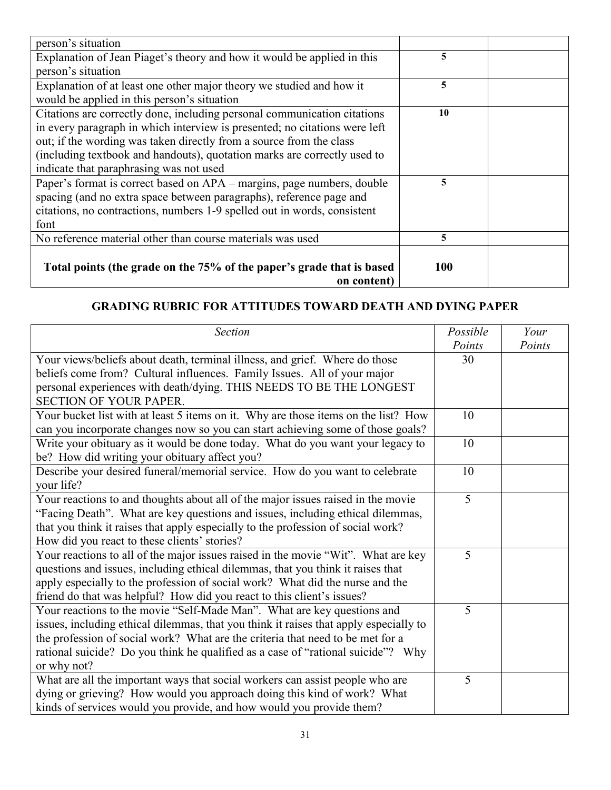| person's situation                                                         |     |  |
|----------------------------------------------------------------------------|-----|--|
| Explanation of Jean Piaget's theory and how it would be applied in this    | 5   |  |
| person's situation                                                         |     |  |
| Explanation of at least one other major theory we studied and how it       | 5   |  |
| would be applied in this person's situation                                |     |  |
| Citations are correctly done, including personal communication citations   | 10  |  |
| in every paragraph in which interview is presented; no citations were left |     |  |
| out; if the wording was taken directly from a source from the class        |     |  |
| (including textbook and handouts), quotation marks are correctly used to   |     |  |
| indicate that paraphrasing was not used                                    |     |  |
| Paper's format is correct based on APA – margins, page numbers, double     | 5   |  |
| spacing (and no extra space between paragraphs), reference page and        |     |  |
| citations, no contractions, numbers 1-9 spelled out in words, consistent   |     |  |
| font                                                                       |     |  |
| No reference material other than course materials was used                 | 5   |  |
|                                                                            |     |  |
| Total points (the grade on the 75% of the paper's grade that is based      | 100 |  |
| on content)                                                                |     |  |

# **GRADING RUBRIC FOR ATTITUDES TOWARD DEATH AND DYING PAPER**

| Section                                                                               | Possible | Your   |
|---------------------------------------------------------------------------------------|----------|--------|
|                                                                                       | Points   | Points |
| Your views/beliefs about death, terminal illness, and grief. Where do those           | 30       |        |
| beliefs come from? Cultural influences. Family Issues. All of your major              |          |        |
| personal experiences with death/dying. THIS NEEDS TO BE THE LONGEST                   |          |        |
| <b>SECTION OF YOUR PAPER.</b>                                                         |          |        |
| Your bucket list with at least 5 items on it. Why are those items on the list? How    | 10       |        |
| can you incorporate changes now so you can start achieving some of those goals?       |          |        |
| Write your obituary as it would be done today. What do you want your legacy to        | 10       |        |
| be? How did writing your obituary affect you?                                         |          |        |
| Describe your desired funeral/memorial service. How do you want to celebrate          | 10       |        |
| your life?                                                                            |          |        |
| Your reactions to and thoughts about all of the major issues raised in the movie      | 5        |        |
| "Facing Death". What are key questions and issues, including ethical dilemmas,        |          |        |
| that you think it raises that apply especially to the profession of social work?      |          |        |
| How did you react to these clients' stories?                                          |          |        |
| Your reactions to all of the major issues raised in the movie "Wit". What are key     | 5        |        |
| questions and issues, including ethical dilemmas, that you think it raises that       |          |        |
| apply especially to the profession of social work? What did the nurse and the         |          |        |
| friend do that was helpful? How did you react to this client's issues?                |          |        |
| Your reactions to the movie "Self-Made Man". What are key questions and               | 5        |        |
| issues, including ethical dilemmas, that you think it raises that apply especially to |          |        |
| the profession of social work? What are the criteria that need to be met for a        |          |        |
| rational suicide? Do you think he qualified as a case of "rational suicide"? Why      |          |        |
| or why not?                                                                           |          |        |
| What are all the important ways that social workers can assist people who are         | 5        |        |
| dying or grieving? How would you approach doing this kind of work? What               |          |        |
| kinds of services would you provide, and how would you provide them?                  |          |        |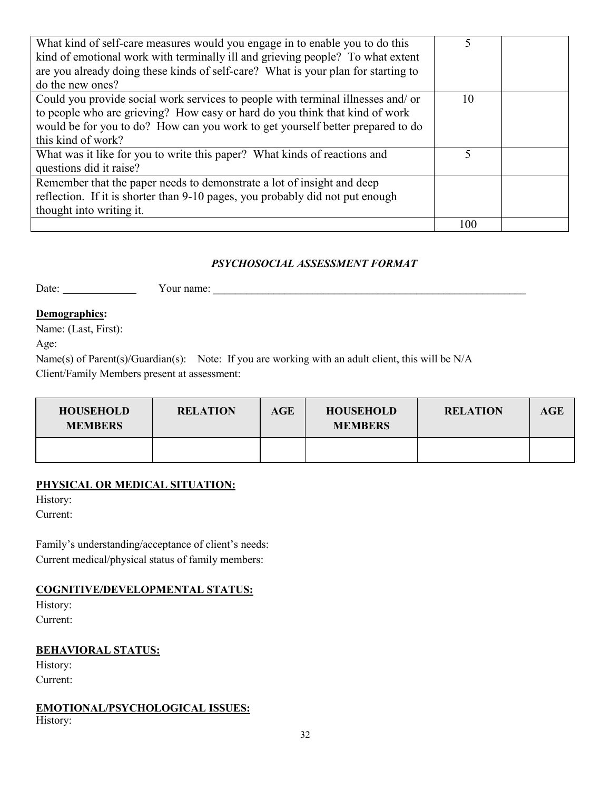| What kind of self-care measures would you engage in to enable you to do this      |     |  |
|-----------------------------------------------------------------------------------|-----|--|
| kind of emotional work with terminally ill and grieving people? To what extent    |     |  |
| are you already doing these kinds of self-care? What is your plan for starting to |     |  |
| do the new ones?                                                                  |     |  |
| Could you provide social work services to people with terminal illnesses and/ or  | 10  |  |
| to people who are grieving? How easy or hard do you think that kind of work       |     |  |
| would be for you to do? How can you work to get yourself better prepared to do    |     |  |
| this kind of work?                                                                |     |  |
| What was it like for you to write this paper? What kinds of reactions and         |     |  |
| questions did it raise?                                                           |     |  |
| Remember that the paper needs to demonstrate a lot of insight and deep            |     |  |
| reflection. If it is shorter than 9-10 pages, you probably did not put enough     |     |  |
| thought into writing it.                                                          |     |  |
|                                                                                   | 100 |  |

## *PSYCHOSOCIAL ASSESSMENT FORMAT*

Date: Your name: \_\_\_\_\_\_\_\_\_\_\_\_\_\_\_\_\_\_\_\_\_\_\_\_\_\_\_\_\_\_\_\_\_\_\_\_\_\_\_\_\_\_\_\_\_\_\_\_\_\_\_\_\_\_\_\_\_

### **Demographics:**

Name: (Last, First):

Age:

Name(s) of Parent(s)/Guardian(s): Note: If you are working with an adult client, this will be N/A Client/Family Members present at assessment:

| <b>HOUSEHOLD</b><br><b>MEMBERS</b> | <b>RELATION</b> | AGE | <b>HOUSEHOLD</b><br><b>MEMBERS</b> | <b>RELATION</b> | AGE |
|------------------------------------|-----------------|-----|------------------------------------|-----------------|-----|
|                                    |                 |     |                                    |                 |     |

## **PHYSICAL OR MEDICAL SITUATION:**

History:

Current:

Family's understanding/acceptance of client's needs: Current medical/physical status of family members:

### **COGNITIVE/DEVELOPMENTAL STATUS:**

History: Current:

## **BEHAVIORAL STATUS:**

History: Current:

### **EMOTIONAL/PSYCHOLOGICAL ISSUES:**

History: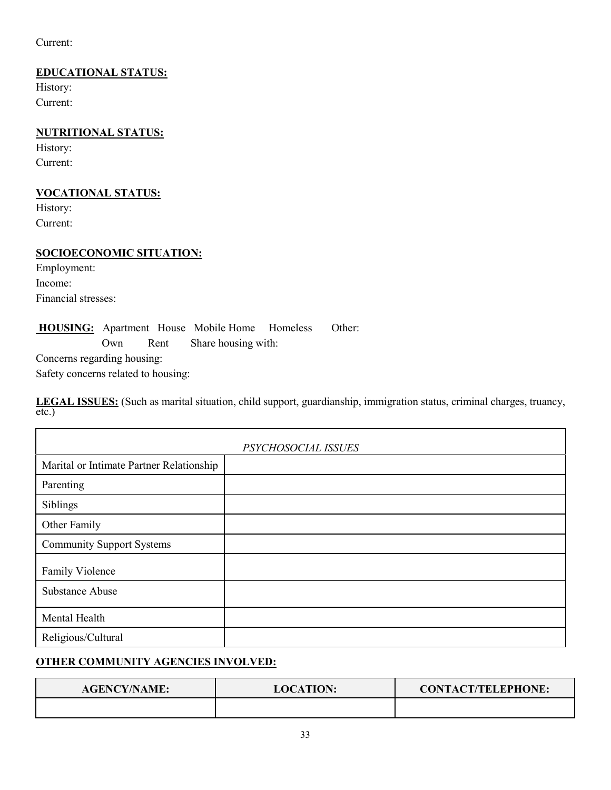Current:

## **EDUCATIONAL STATUS:**

History: Current:

## **NUTRITIONAL STATUS:**

History: Current:

## **VOCATIONAL STATUS:**

History: Current:

### **SOCIOECONOMIC SITUATION:**

Employment: Income: Financial stresses:

**HOUSING:** Apartment House Mobile Home Homeless Other: Own Rent Share housing with:

Concerns regarding housing:

Safety concerns related to housing:

**LEGAL ISSUES:** (Such as marital situation, child support, guardianship, immigration status, criminal charges, truancy, etc.)

| PSYCHOSOCIAL ISSUES                      |  |  |  |  |
|------------------------------------------|--|--|--|--|
| Marital or Intimate Partner Relationship |  |  |  |  |
| Parenting                                |  |  |  |  |
| Siblings                                 |  |  |  |  |
| Other Family                             |  |  |  |  |
| <b>Community Support Systems</b>         |  |  |  |  |
| Family Violence                          |  |  |  |  |
| Substance Abuse                          |  |  |  |  |
| Mental Health                            |  |  |  |  |
| Religious/Cultural                       |  |  |  |  |

## **OTHER COMMUNITY AGENCIES INVOLVED:**

| <b>AGENCY/NAME:</b> | <b>LOCATION:</b> | <b>CONTACT/TELEPHONE:</b> |  |
|---------------------|------------------|---------------------------|--|
|                     |                  |                           |  |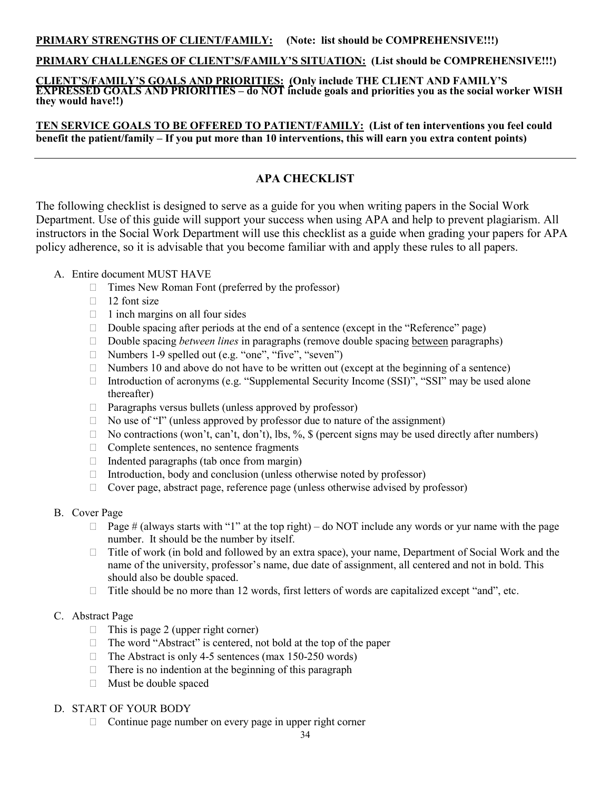### **PRIMARY CHALLENGES OF CLIENT'S/FAMILY'S SITUATION: (List should be COMPREHENSIVE!!!)**

**CLIENT'S/FAMILY'S GOALS AND PRIORITIES: (Only include THE CLIENT AND FAMILY'S EXPRESSED GOALS AND PRIORITIES – do NOT include goals and priorities you as the social worker WISH they would have!!)**

**TEN SERVICE GOALS TO BE OFFERED TO PATIENT/FAMILY: (List of ten interventions you feel could benefit the patient/family – If you put more than 10 interventions, this will earn you extra content points)**

## **APA CHECKLIST**

The following checklist is designed to serve as a guide for you when writing papers in the Social Work Department. Use of this guide will support your success when using APA and help to prevent plagiarism. All instructors in the Social Work Department will use this checklist as a guide when grading your papers for APA policy adherence, so it is advisable that you become familiar with and apply these rules to all papers.

#### A. Entire document MUST HAVE

- $\Box$  Times New Roman Font (preferred by the professor)
- $\Box$  12 font size
- $\Box$  1 inch margins on all four sides
- $\Box$  Double spacing after periods at the end of a sentence (except in the "Reference" page)
- □ Double spacing *between lines* in paragraphs (remove double spacing between paragraphs)
- □ Numbers 1-9 spelled out (e.g. "one", "five", "seven")
- $\Box$  Numbers 10 and above do not have to be written out (except at the beginning of a sentence)
- Introduction of acronyms (e.g. "Supplemental Security Income (SSI)", "SSI" may be used alone thereafter)
- $\Box$  Paragraphs versus bullets (unless approved by professor)
- $\Box$  No use of "I" (unless approved by professor due to nature of the assignment)
- $\Box$  No contractions (won't, can't, don't), lbs, %, \$ (percent signs may be used directly after numbers)
- $\Box$  Complete sentences, no sentence fragments
- $\Box$  Indented paragraphs (tab once from margin)
- $\Box$  Introduction, body and conclusion (unless otherwise noted by professor)
- Cover page, abstract page, reference page (unless otherwise advised by professor)

#### B. Cover Page

- $\Box$  Page # (always starts with "1" at the top right) do NOT include any words or yur name with the page number. It should be the number by itself.
- □ Title of work (in bold and followed by an extra space), your name, Department of Social Work and the name of the university, professor's name, due date of assignment, all centered and not in bold. This should also be double spaced.
- $\Box$  Title should be no more than 12 words, first letters of words are capitalized except "and", etc.

#### C. Abstract Page

- $\Box$  This is page 2 (upper right corner)
- $\Box$  The word "Abstract" is centered, not bold at the top of the paper
- $\Box$  The Abstract is only 4-5 sentences (max 150-250 words)
- $\Box$  There is no indention at the beginning of this paragraph
- Must be double spaced

### D. START OF YOUR BODY

 $\Box$  Continue page number on every page in upper right corner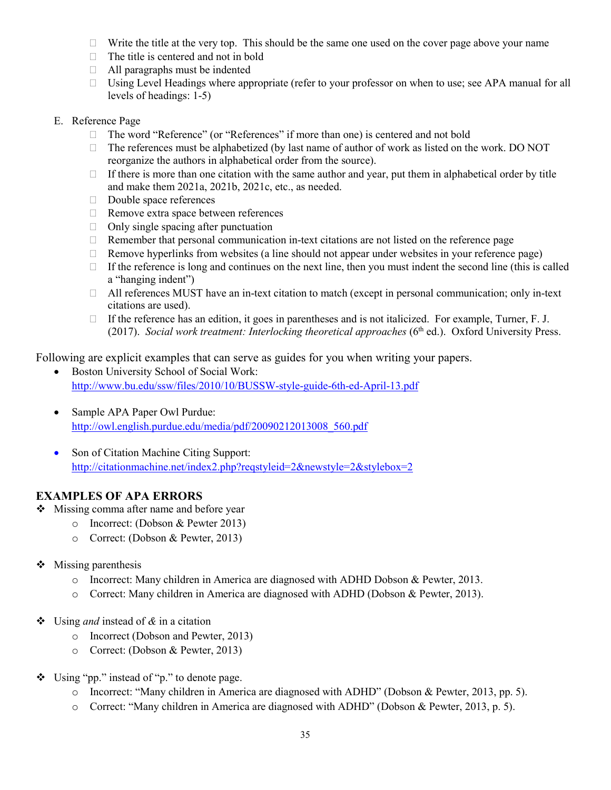- $\Box$  Write the title at the very top. This should be the same one used on the cover page above your name
- $\Box$  The title is centered and not in bold
- $\Box$  All paragraphs must be indented
- $\Box$  Using Level Headings where appropriate (refer to your professor on when to use; see APA manual for all levels of headings: 1-5)
- E. Reference Page
	- □ The word "Reference" (or "References" if more than one) is centered and not bold
	- $\Box$  The references must be alphabetized (by last name of author of work as listed on the work. DO NOT reorganize the authors in alphabetical order from the source).
	- $\Box$  If there is more than one citation with the same author and year, put them in alphabetical order by title and make them 2021a, 2021b, 2021c, etc., as needed.
	- Double space references
	- $\Box$  Remove extra space between references
	- $\Box$  Only single spacing after punctuation
	- $\Box$  Remember that personal communication in-text citations are not listed on the reference page
	- $\Box$  Remove hyperlinks from websites (a line should not appear under websites in your reference page)
	- $\Box$  If the reference is long and continues on the next line, then you must indent the second line (this is called a "hanging indent")
	- $\Box$  All references MUST have an in-text citation to match (except in personal communication; only in-text citations are used).
	- If the reference has an edition, it goes in parentheses and is not italicized. For example, Turner, F. J. (2017). *Social work treatment: Interlocking theoretical approaches* (6th ed.). Oxford University Press.

Following are explicit examples that can serve as guides for you when writing your papers.

- Boston University School of Social Work: <http://www.bu.edu/ssw/files/2010/10/BUSSW-style-guide-6th-ed-April-13.pdf>
- Sample APA Paper Owl Purdue: [http://owl.english.purdue.edu/media/pdf/20090212013008\\_560.pdf](http://owl.english.purdue.edu/media/pdf/20090212013008_560.pdf)
- Son of Citation Machine Citing Support: <http://citationmachine.net/index2.php?reqstyleid=2&newstyle=2&stylebox=2>

## **EXAMPLES OF APA ERRORS**

- ❖ Missing comma after name and before year
	- o Incorrect: (Dobson & Pewter 2013)
	- o Correct: (Dobson & Pewter, 2013)
- $\triangleleft$  Missing parenthesis
	- o Incorrect: Many children in America are diagnosed with ADHD Dobson & Pewter, 2013.
	- o Correct: Many children in America are diagnosed with ADHD (Dobson & Pewter, 2013).
- Using *and* instead of *&* in a citation
	- o Incorrect (Dobson and Pewter, 2013)
	- o Correct: (Dobson & Pewter, 2013)
- Using "pp." instead of "p." to denote page.
	- o Incorrect: "Many children in America are diagnosed with ADHD" (Dobson & Pewter, 2013, pp. 5).
	- o Correct: "Many children in America are diagnosed with ADHD" (Dobson & Pewter, 2013, p. 5).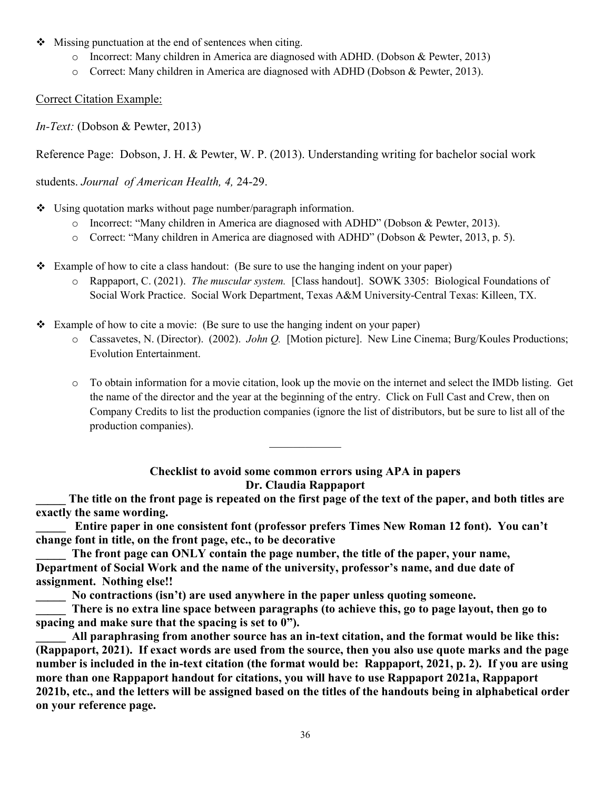- $\triangle$  Missing punctuation at the end of sentences when citing.
	- o Incorrect: Many children in America are diagnosed with ADHD. (Dobson & Pewter, 2013)
	- o Correct: Many children in America are diagnosed with ADHD (Dobson & Pewter, 2013).

### Correct Citation Example:

*In-Text:* (Dobson & Pewter, 2013)

Reference Page: Dobson, J. H. & Pewter, W. P. (2013). Understanding writing for bachelor social work

students. *Journal of American Health, 4,* 24-29.

 $\cdot \cdot$  Using quotation marks without page number/paragraph information.

- o Incorrect: "Many children in America are diagnosed with ADHD" (Dobson & Pewter, 2013).
- o Correct: "Many children in America are diagnosed with ADHD" (Dobson & Pewter, 2013, p. 5).
- Example of how to cite a class handout: (Be sure to use the hanging indent on your paper)
	- o Rappaport, C. (2021). *The muscular system.* [Class handout]. SOWK 3305: Biological Foundations of Social Work Practice. Social Work Department, Texas A&M University-Central Texas: Killeen, TX.
- Example of how to cite a movie: (Be sure to use the hanging indent on your paper)
	- o Cassavetes, N. (Director). (2002). *John Q.* [Motion picture]. New Line Cinema; Burg/Koules Productions; Evolution Entertainment.
	- o To obtain information for a movie citation, look up the movie on the internet and select the IMDb listing. Get the name of the director and the year at the beginning of the entry. Click on Full Cast and Crew, then on Company Credits to list the production companies (ignore the list of distributors, but be sure to list all of the production companies).

## **Checklist to avoid some common errors using APA in papers Dr. Claudia Rappaport**

 $\mathcal{L}_\text{max}$ 

The title on the front page is repeated on the first page of the text of the paper, and both titles are **exactly the same wording.**

Entire paper in one consistent font (professor prefers Times New Roman 12 font). You can't **change font in title, on the front page, etc., to be decorative**

The front page can ONLY contain the page number, the title of the paper, your name, **Department of Social Work and the name of the university, professor's name, and due date of assignment. Nothing else!!**

No contractions (isn't) are used anywhere in the paper unless quoting someone.

There is no extra line space between paragraphs (to achieve this, go to page layout, then go to **spacing and make sure that the spacing is set to 0").**

All paraphrasing from another source has an in-text citation, and the format would be like this: **(Rappaport, 2021). If exact words are used from the source, then you also use quote marks and the page number is included in the in-text citation (the format would be: Rappaport, 2021, p. 2). If you are using more than one Rappaport handout for citations, you will have to use Rappaport 2021a, Rappaport 2021b, etc., and the letters will be assigned based on the titles of the handouts being in alphabetical order on your reference page.**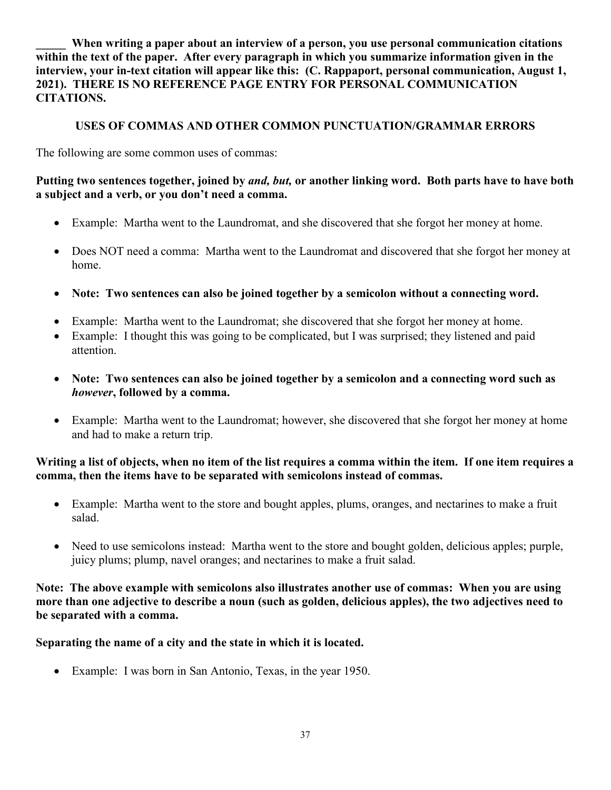When writing a paper about an interview of a person, you use personal communication citations **within the text of the paper. After every paragraph in which you summarize information given in the interview, your in-text citation will appear like this: (C. Rappaport, personal communication, August 1, 2021). THERE IS NO REFERENCE PAGE ENTRY FOR PERSONAL COMMUNICATION CITATIONS.**

## **USES OF COMMAS AND OTHER COMMON PUNCTUATION/GRAMMAR ERRORS**

The following are some common uses of commas:

## **Putting two sentences together, joined by** *and, but,* **or another linking word. Both parts have to have both a subject and a verb, or you don't need a comma.**

- Example: Martha went to the Laundromat, and she discovered that she forgot her money at home.
- Does NOT need a comma: Martha went to the Laundromat and discovered that she forgot her money at home.
- **Note: Two sentences can also be joined together by a semicolon without a connecting word.**
- Example: Martha went to the Laundromat; she discovered that she forgot her money at home.
- Example: I thought this was going to be complicated, but I was surprised; they listened and paid attention.
- **Note: Two sentences can also be joined together by a semicolon and a connecting word such as**  *however***, followed by a comma.**
- Example: Martha went to the Laundromat; however, she discovered that she forgot her money at home and had to make a return trip.

## **Writing a list of objects, when no item of the list requires a comma within the item. If one item requires a comma, then the items have to be separated with semicolons instead of commas.**

- Example: Martha went to the store and bought apples, plums, oranges, and nectarines to make a fruit salad.
- Need to use semicolons instead: Martha went to the store and bought golden, delicious apples; purple, juicy plums; plump, navel oranges; and nectarines to make a fruit salad.

## **Note: The above example with semicolons also illustrates another use of commas: When you are using more than one adjective to describe a noun (such as golden, delicious apples), the two adjectives need to be separated with a comma.**

## **Separating the name of a city and the state in which it is located.**

• Example: I was born in San Antonio, Texas, in the year 1950.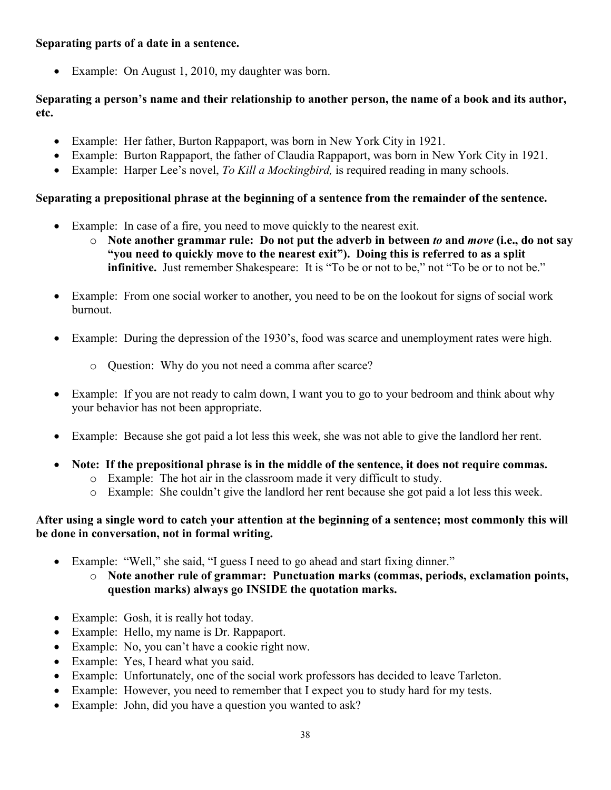## **Separating parts of a date in a sentence.**

• Example: On August 1, 2010, my daughter was born.

## **Separating a person's name and their relationship to another person, the name of a book and its author, etc.**

- Example: Her father, Burton Rappaport, was born in New York City in 1921.
- Example: Burton Rappaport, the father of Claudia Rappaport, was born in New York City in 1921.
- Example: Harper Lee's novel, *To Kill a Mockingbird,* is required reading in many schools.

## **Separating a prepositional phrase at the beginning of a sentence from the remainder of the sentence.**

- Example: In case of a fire, you need to move quickly to the nearest exit.
	- o **Note another grammar rule: Do not put the adverb in between** *to* **and** *move* **(i.e., do not say "you need to quickly move to the nearest exit"). Doing this is referred to as a split infinitive.** Just remember Shakespeare: It is "To be or not to be," not "To be or to not be."
- Example: From one social worker to another, you need to be on the lookout for signs of social work burnout.
- Example: During the depression of the 1930's, food was scarce and unemployment rates were high.
	- o Question: Why do you not need a comma after scarce?
- Example: If you are not ready to calm down, I want you to go to your bedroom and think about why your behavior has not been appropriate.
- Example: Because she got paid a lot less this week, she was not able to give the landlord her rent.
- **Note: If the prepositional phrase is in the middle of the sentence, it does not require commas.**
	- o Example: The hot air in the classroom made it very difficult to study.
	- o Example: She couldn't give the landlord her rent because she got paid a lot less this week.

## **After using a single word to catch your attention at the beginning of a sentence; most commonly this will be done in conversation, not in formal writing.**

- Example: "Well," she said, "I guess I need to go ahead and start fixing dinner."
	- o **Note another rule of grammar: Punctuation marks (commas, periods, exclamation points, question marks) always go INSIDE the quotation marks.**
- Example: Gosh, it is really hot today.
- Example: Hello, my name is Dr. Rappaport.
- Example: No, you can't have a cookie right now.
- Example: Yes, I heard what you said.
- Example: Unfortunately, one of the social work professors has decided to leave Tarleton.
- Example: However, you need to remember that I expect you to study hard for my tests.
- Example: John, did you have a question you wanted to ask?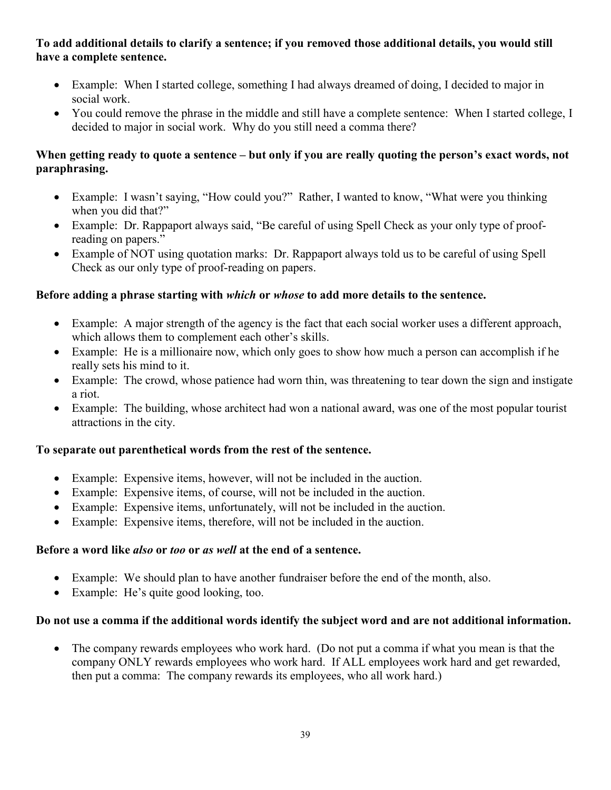## **To add additional details to clarify a sentence; if you removed those additional details, you would still have a complete sentence.**

- Example: When I started college, something I had always dreamed of doing, I decided to major in social work.
- You could remove the phrase in the middle and still have a complete sentence: When I started college, I decided to major in social work. Why do you still need a comma there?

## **When getting ready to quote a sentence – but only if you are really quoting the person's exact words, not paraphrasing.**

- Example: I wasn't saying, "How could you?" Rather, I wanted to know, "What were you thinking when you did that?"
- Example: Dr. Rappaport always said, "Be careful of using Spell Check as your only type of proofreading on papers."
- Example of NOT using quotation marks: Dr. Rappaport always told us to be careful of using Spell Check as our only type of proof-reading on papers.

# **Before adding a phrase starting with** *which* **or** *whose* **to add more details to the sentence.**

- Example: A major strength of the agency is the fact that each social worker uses a different approach, which allows them to complement each other's skills.
- Example: He is a millionaire now, which only goes to show how much a person can accomplish if he really sets his mind to it.
- Example: The crowd, whose patience had worn thin, was threatening to tear down the sign and instigate a riot.
- Example: The building, whose architect had won a national award, was one of the most popular tourist attractions in the city.

## **To separate out parenthetical words from the rest of the sentence.**

- Example: Expensive items, however, will not be included in the auction.
- Example: Expensive items, of course, will not be included in the auction.
- Example: Expensive items, unfortunately, will not be included in the auction.
- Example: Expensive items, therefore, will not be included in the auction.

## **Before a word like** *also* **or** *too* **or** *as well* **at the end of a sentence.**

- Example: We should plan to have another fundraiser before the end of the month, also.
- Example: He's quite good looking, too.

## **Do not use a comma if the additional words identify the subject word and are not additional information.**

• The company rewards employees who work hard. (Do not put a comma if what you mean is that the company ONLY rewards employees who work hard. If ALL employees work hard and get rewarded, then put a comma: The company rewards its employees, who all work hard.)